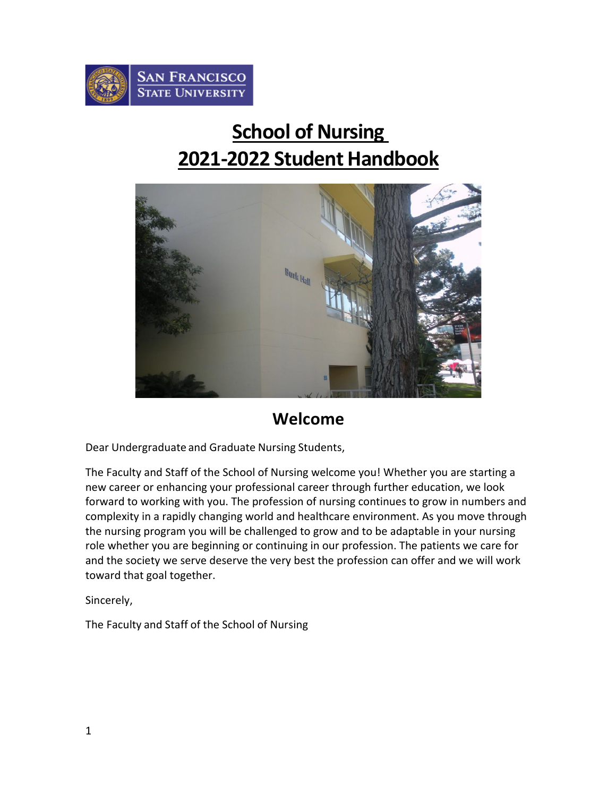

# **School of Nursing 2021-2022 Student Handbook**



## **Welcome**

Dear Undergraduate and Graduate Nursing Students,

The Faculty and Staff of the School of Nursing welcome you! Whether you are starting a new career or enhancing your professional career through further education, we look forward to working with you. The profession of nursing continues to grow in numbers and complexity in a rapidly changing world and healthcare environment. As you move through the nursing program you will be challenged to grow and to be adaptable in your nursing role whether you are beginning or continuing in our profession. The patients we care for and the society we serve deserve the very best the profession can offer and we will work toward that goal together.

Sincerely,

The Faculty and Staff of the School of Nursing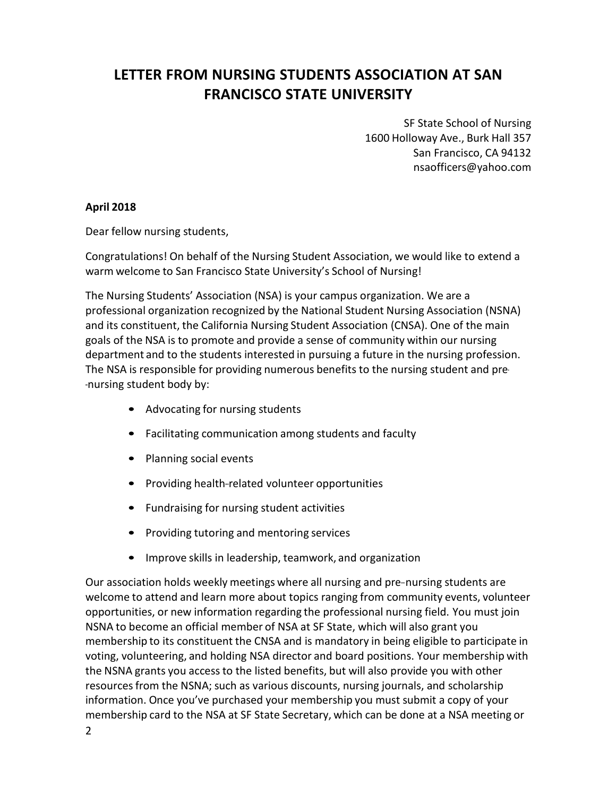## <span id="page-1-0"></span>**LETTER FROM NURSING STUDENTS ASSOCIATION AT SAN FRANCISCO STATE UNIVERSITY**

SF State School of Nursing 1600 Holloway Ave., Burk Hall 357 San Francisco, CA 94132 [nsaofficers@yahoo.com](mailto:nsaofficers@yahoo.com)

#### **April 2018**

Dear fellow nursing students,

Congratulations! On behalf of the Nursing Student Association, we would like to extend a warm welcome to San Francisco State University's School of Nursing!

The Nursing Students' Association (NSA) is your campus organization. We are a professional organization recognized by the National Student Nursing Association (NSNA) and its constituent, the California Nursing Student Association (CNSA). One of the main goals of the NSA is to promote and provide a sense of community within our nursing department and to the students interested in pursuing a future in the nursing profession. The NSA is responsible for providing numerous benefits to the nursing student and pre- --nursing student body by:

- Advocating for nursing students
- Facilitating communication among students and faculty
- Planning social events
- Providing health-related volunteer opportunities
- Fundraising for nursing student activities
- Providing tutoring and mentoring services
- Improve skills in leadership, teamwork, and organization

Our association holds weekly meetings where all nursing and pre-nursing students are welcome to attend and learn more about topics ranging from community events, volunteer opportunities, or new information regarding the professional nursing field. You must join NSNA to become an official member of NSA at SF State, which will also grant you membership to its constituent the CNSA and is mandatory in being eligible to participate in voting, volunteering, and holding NSA director and board positions. Your membership with the NSNA grants you accessto the listed benefits, but will also provide you with other resourcesfrom the NSNA; such as various discounts, nursing journals, and scholarship information. Once you've purchased your membership you must submit a copy of your membership card to the NSA at SF State Secretary, which can be done at a NSA meeting or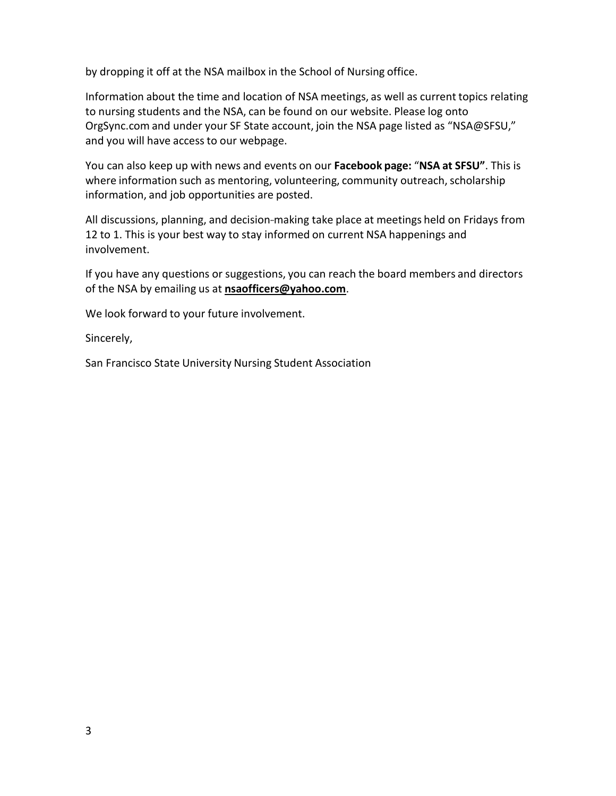by dropping it off at the NSA mailbox in the School of Nursing office.

Information about the time and location of NSA meetings, as well as current topics relating to nursing students and the NSA, can be found on our website. Please log onto OrgSync.com and under your SF State account, join the NSA page listed as "NSA@SFSU," and you will have access to our webpage.

You can also keep up with news and events on our **Facebook page:** "**NSA at SFSU"**. This is where information such as mentoring, volunteering, community outreach, scholarship information, and job opportunities are posted.

All discussions, planning, and decision-making take place at meetings held on Fridays from 12 to 1. This is your best way to stay informed on current NSA happenings and involvement.

If you have any questions or suggestions, you can reach the board members and directors of the NSA by emailing us at **[nsaofficers@yahoo.com](mailto:nsaofficers@yahoo.com)**.

We look forward to your future involvement.

Sincerely,

San Francisco State University Nursing Student Association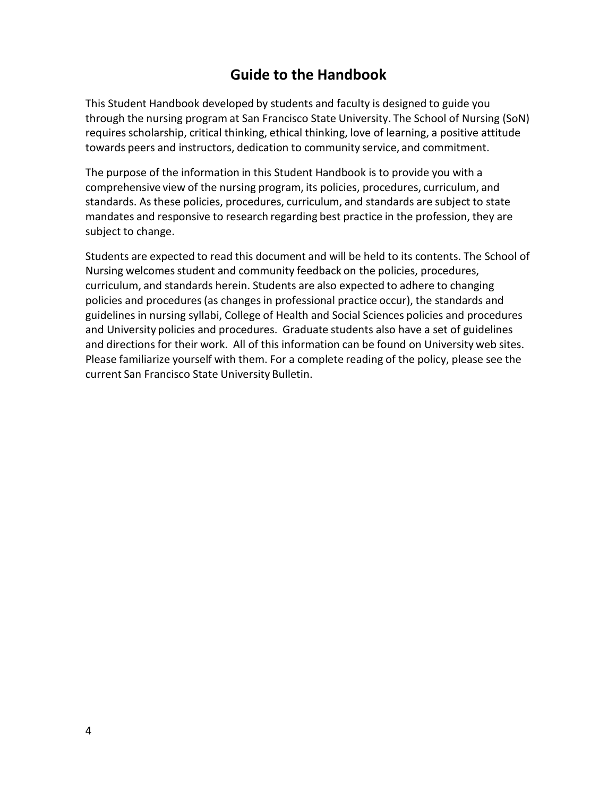## **Guide to the Handbook**

<span id="page-3-0"></span>This Student Handbook developed by students and faculty is designed to guide you through the nursing program at San Francisco State University. The School of Nursing (SoN) requires scholarship, critical thinking, ethical thinking, love of learning, a positive attitude towards peers and instructors, dedication to community service, and commitment.

The purpose of the information in this Student Handbook is to provide you with a comprehensive view of the nursing program, its policies, procedures, curriculum, and standards. As these policies, procedures, curriculum, and standards are subject to state mandates and responsive to research regarding best practice in the profession, they are subject to change.

Students are expected to read this document and will be held to its contents. The School of Nursing welcomes student and community feedback on the policies, procedures, curriculum, and standards herein. Students are also expected to adhere to changing policies and procedures(as changesin professional practice occur), the standards and guidelines in nursing syllabi, College of Health and Social Sciences policies and procedures and University policies and procedures. Graduate students also have a set of guidelines and directions for their work. All of this information can be found on University web sites. Please familiarize yourself with them. For a complete reading of the policy, please see the current San Francisco State University Bulletin.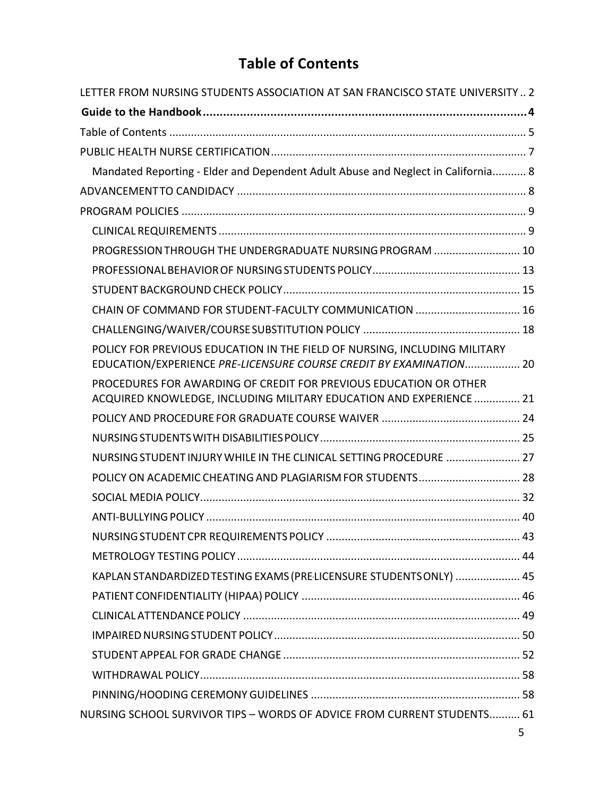## **Table of Contents**

<span id="page-4-0"></span>

| LETTER FROM NURSING STUDENTS ASSOCIATION AT SAN FRANCISCO STATE UNIVERSITY 2                                                                    |
|-------------------------------------------------------------------------------------------------------------------------------------------------|
|                                                                                                                                                 |
|                                                                                                                                                 |
|                                                                                                                                                 |
| Mandated Reporting - Elder and Dependent Adult Abuse and Neglect in California 8                                                                |
|                                                                                                                                                 |
|                                                                                                                                                 |
|                                                                                                                                                 |
| PROGRESSION THROUGH THE UNDERGRADUATE NURSING PROGRAM  10                                                                                       |
|                                                                                                                                                 |
|                                                                                                                                                 |
| CHAIN OF COMMAND FOR STUDENT-FACULTY COMMUNICATION  16                                                                                          |
|                                                                                                                                                 |
| POLICY FOR PREVIOUS EDUCATION IN THE FIELD OF NURSING, INCLUDING MILITARY<br>EDUCATION/EXPERIENCE PRE-LICENSURE COURSE CREDIT BY EXAMINATION 20 |
| PROCEDURES FOR AWARDING OF CREDIT FOR PREVIOUS EDUCATION OR OTHER<br>ACQUIRED KNOWLEDGE, INCLUDING MILITARY EDUCATION AND EXPERIENCE  21        |
|                                                                                                                                                 |
|                                                                                                                                                 |
| NURSING STUDENT INJURY WHILE IN THE CLINICAL SETTING PROCEDURE  27                                                                              |
| POLICY ON ACADEMIC CHEATING AND PLAGIARISM FOR STUDENTS 28                                                                                      |
|                                                                                                                                                 |
|                                                                                                                                                 |
|                                                                                                                                                 |
|                                                                                                                                                 |
| KAPLAN STANDARDIZED TESTING EXAMS (PRE-LICENSURE STUDENTS ONLY)  45                                                                             |
|                                                                                                                                                 |
|                                                                                                                                                 |
|                                                                                                                                                 |
|                                                                                                                                                 |
|                                                                                                                                                 |
|                                                                                                                                                 |
| NURSING SCHOOL SURVIVOR TIPS - WORDS OF ADVICE FROM CURRENT STUDENTS 61                                                                         |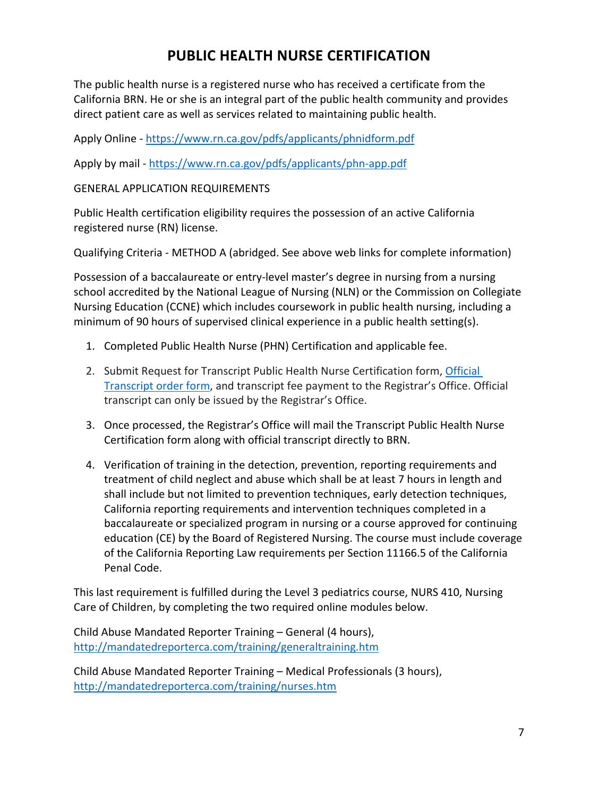## **PUBLIC HEALTH NURSE CERTIFICATION**

<span id="page-6-0"></span>The public health nurse is a registered nurse who has received a certificate from the California BRN. He or she is an integral part of the public health community and provides direct patient care as well as services related to maintaining public health.

Apply Online - <https://www.rn.ca.gov/pdfs/applicants/phnidform.pdf>

Apply by mail - <https://www.rn.ca.gov/pdfs/applicants/phn-app.pdf>

#### GENERAL APPLICATION REQUIREMENTS

Public Health certification eligibility requires the possession of an active California registered nurse (RN) license.

Qualifying Criteria - METHOD A (abridged. See above web links for complete information)

Possession of a baccalaureate or entry-level master's degree in nursing from a nursing school accredited by the National League of Nursing (NLN) or the Commission on Collegiate Nursing Education (CCNE) which includes coursework in public health nursing, including a minimum of 90 hours of supervised clinical experience in a public health setting(s).

- 1. Completed Public Health Nurse (PHN) Certification and applicable fee.
- 2. Submit Request for Transcript Public Health Nurse Certification form, [Official](https://registrar.sfsu.edu/transcripts)  [Transcript](https://registrar.sfsu.edu/transcripts) order form, and transcript fee payment to the Registrar's Office. Official transcript can only be issued by the Registrar's Office.
- 3. Once processed, the Registrar's Office will mail the Transcript Public Health Nurse Certification form along with official transcript directly to BRN.
- 4. Verification of training in the detection, prevention, reporting requirements and treatment of child neglect and abuse which shall be at least 7 hours in length and shall include but not limited to prevention techniques, early detection techniques, California reporting requirements and intervention techniques completed in a baccalaureate or specialized program in nursing or a course approved for continuing education (CE) by the Board of Registered Nursing. The course must include coverage of the California Reporting Law requirements per Section 11166.5 of the California Penal Code.

This last requirement is fulfilled during the Level 3 pediatrics course, NURS 410, Nursing Care of Children, by completing the two required online modules below.

Child Abuse Mandated Reporter Training – General (4 hours), <http://mandatedreporterca.com/training/generaltraining.htm>

Child Abuse Mandated Reporter Training – Medical Professionals (3 hours), <http://mandatedreporterca.com/training/nurses.htm>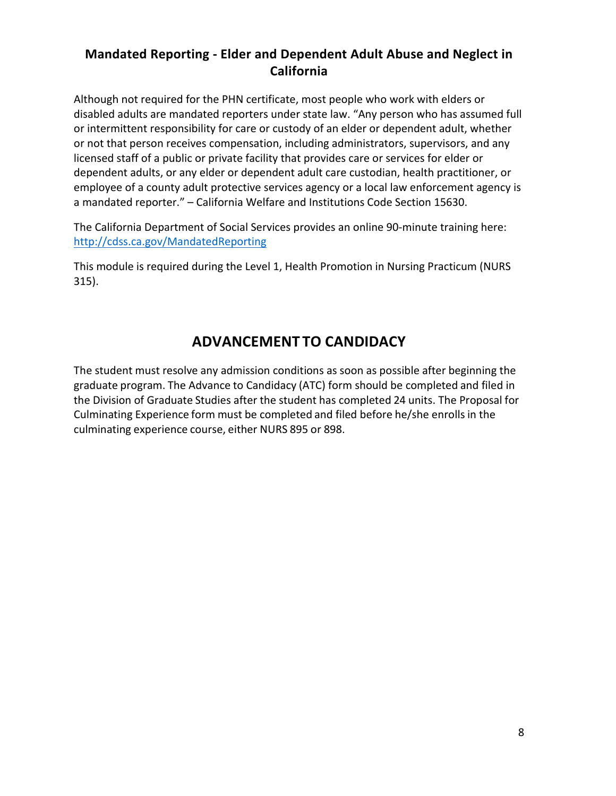## <span id="page-7-0"></span>**Mandated Reporting - Elder and Dependent Adult Abuse and Neglect in California**

Although not required for the PHN certificate, most people who work with elders or disabled adults are mandated reporters under state law. "Any person who has assumed full or intermittent responsibility for care or custody of an elder or dependent adult, whether or not that person receives compensation, including administrators, supervisors, and any licensed staff of a public or private facility that provides care or services for elder or dependent adults, or any elder or dependent adult care custodian, health practitioner, or employee of a county adult protective services agency or a local law enforcement agency is a mandated reporter." – California Welfare and Institutions Code Section 15630.

The California Department of Social Services provides an online 90-minute training here: <http://cdss.ca.gov/MandatedReporting>

This module is required during the Level 1, Health Promotion in Nursing Practicum (NURS 315).

## **ADVANCEMENT TO CANDIDACY**

<span id="page-7-1"></span>The student must resolve any admission conditions as soon as possible after beginning the graduate program. The Advance to Candidacy (ATC) form should be completed and filed in the Division of Graduate Studies after the student has completed 24 units. The Proposal for Culminating Experience form must be completed and filed before he/she enrolls in the culminating experience course, either NURS 895 or 898.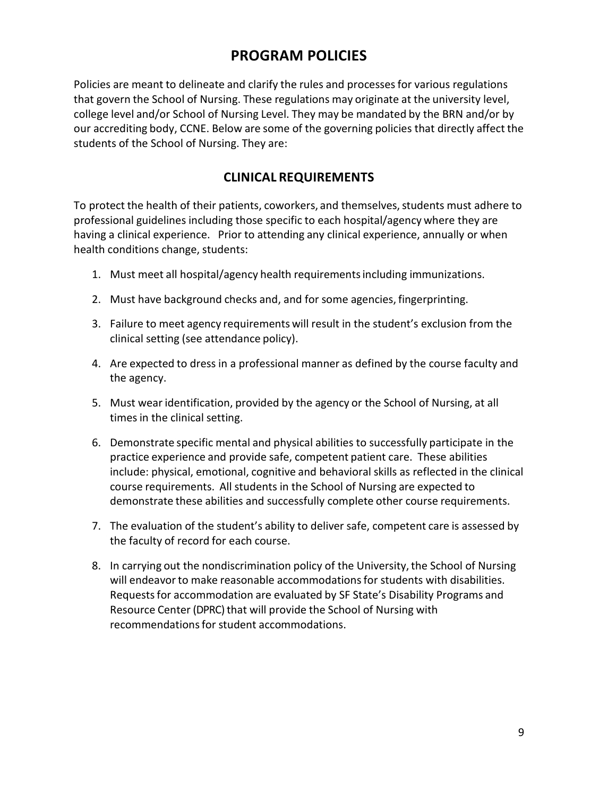## **PROGRAM POLICIES**

<span id="page-8-0"></span>Policies are meant to delineate and clarify the rules and processesfor various regulations that govern the School of Nursing. These regulations may originate at the university level, college level and/or School of Nursing Level. They may be mandated by the BRN and/or by our accrediting body, CCNE. Below are some of the governing policies that directly affect the students of the School of Nursing. They are:

## **CLINICAL REQUIREMENTS**

<span id="page-8-1"></span>To protect the health of their patients, coworkers, and themselves, students must adhere to professional guidelines including those specific to each hospital/agency where they are having a clinical experience. Prior to attending any clinical experience, annually or when health conditions change, students:

- 1. Must meet all hospital/agency health requirementsincluding immunizations.
- 2. Must have background checks and, and for some agencies, fingerprinting.
- 3. Failure to meet agency requirements will result in the student's exclusion from the clinical setting (see attendance policy).
- 4. Are expected to dress in a professional manner as defined by the course faculty and the agency.
- 5. Must wear identification, provided by the agency or the School of Nursing, at all times in the clinical setting.
- 6. Demonstrate specific mental and physical abilities to successfully participate in the practice experience and provide safe, competent patient care. These abilities include: physical, emotional, cognitive and behavioral skills as reflected in the clinical course requirements. All students in the School of Nursing are expected to demonstrate these abilities and successfully complete other course requirements.
- 7. The evaluation of the student's ability to deliver safe, competent care is assessed by the faculty of record for each course.
- 8. In carrying out the nondiscrimination policy of the University, the School of Nursing will endeavor to make reasonable accommodations for students with disabilities. Requestsfor accommodation are evaluated by SF State's Disability Programs and Resource Center (DPRC) that will provide the School of Nursing with recommendations for student accommodations.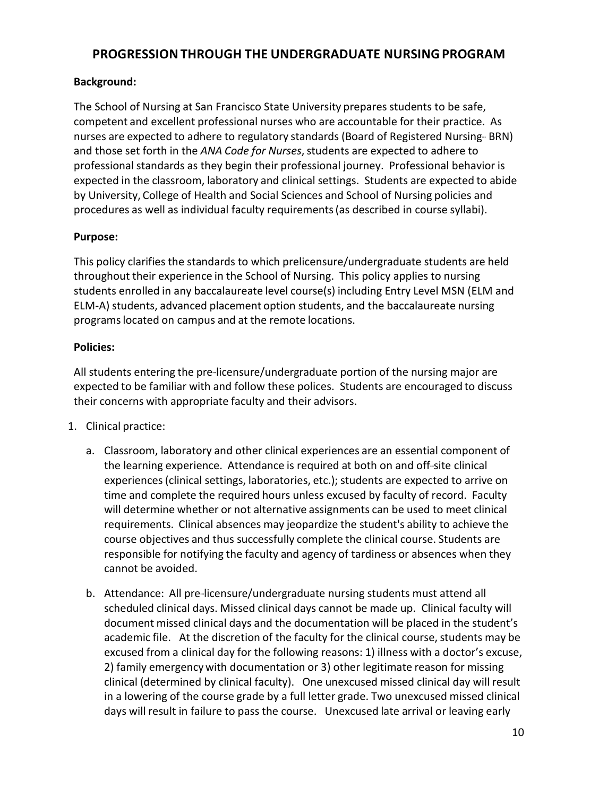## <span id="page-9-0"></span>**PROGRESSIONTHROUGH THE UNDERGRADUATE NURSINGPROGRAM**

#### **Background:**

The School of Nursing at San Francisco State University prepares students to be safe, competent and excellent professional nurses who are accountable for their practice. As nurses are expected to adhere to regulatory standards (Board of Registered Nursing-- BRN) and those set forth in the ANA Code for Nurses, students are expected to adhere to professional standards as they begin their professional journey. Professional behavior is expected in the classroom, laboratory and clinical settings. Students are expected to abide by University, College of Health and Social Sciences and School of Nursing policies and procedures as well as individual faculty requirements(as described in course syllabi).

#### **Purpose:**

This policy clarifies the standards to which prelicensure/undergraduate students are held throughout their experience in the School of Nursing. This policy applies to nursing students enrolled in any baccalaureate level course(s) including Entry Level MSN (ELM and ELM-A) students, advanced placement option students, and the baccalaureate nursing programslocated on campus and at the remote locations.

#### **Policies:**

All students entering the pre-licensure/undergraduate portion of the nursing major are expected to be familiar with and follow these polices. Students are encouraged to discuss their concerns with appropriate faculty and their advisors.

- 1. Clinical practice:
	- a. Classroom, laboratory and other clinical experiences are an essential component of the learning experience. Attendance is required at both on and off-site clinical experiences(clinical settings, laboratories, etc.); students are expected to arrive on time and complete the required hours unless excused by faculty of record. Faculty will determine whether or not alternative assignments can be used to meet clinical requirements. Clinical absences may jeopardize the student's ability to achieve the course objectives and thus successfully complete the clinical course. Students are responsible for notifying the faculty and agency of tardiness or absences when they cannot be avoided.
	- b. Attendance: All pre-licensure/undergraduate nursing students must attend all scheduled clinical days. Missed clinical days cannot be made up. Clinical faculty will document missed clinical days and the documentation will be placed in the student's academic file. At the discretion of the faculty for the clinical course, students may be excused from a clinical day for the following reasons: 1) illness with a doctor's excuse, 2) family emergency with documentation or 3) other legitimate reason for missing clinical (determined by clinical faculty). One unexcused missed clinical day will result in a lowering of the course grade by a full letter grade. Two unexcused missed clinical days will result in failure to pass the course. Unexcused late arrival or leaving early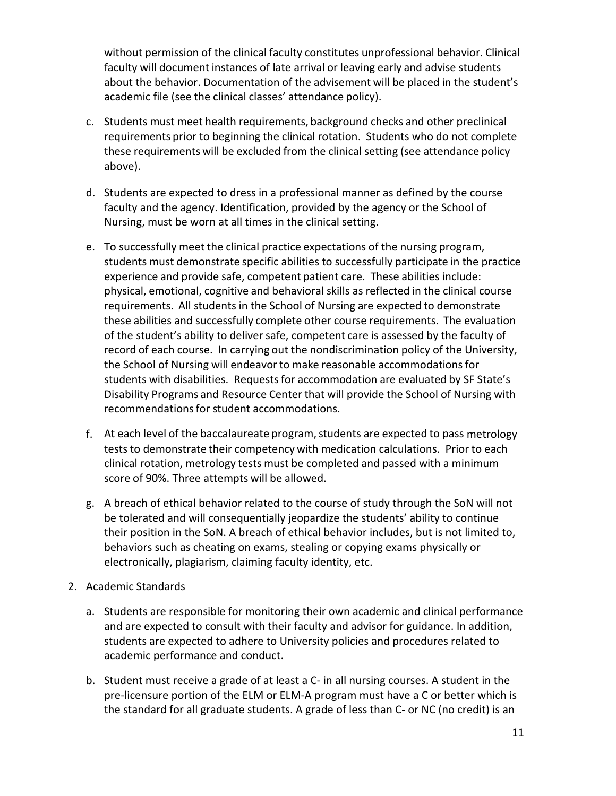without permission of the clinical faculty constitutes unprofessional behavior. Clinical faculty will document instances of late arrival or leaving early and advise students about the behavior. Documentation of the advisement will be placed in the student's academic file (see the clinical classes' attendance policy).

- c. Students must meet health requirements, background checks and other preclinical requirements prior to beginning the clinical rotation. Students who do not complete these requirements will be excluded from the clinical setting (see attendance policy above).
- d. Students are expected to dress in a professional manner as defined by the course faculty and the agency. Identification, provided by the agency or the School of Nursing, must be worn at all times in the clinical setting.
- e. To successfully meet the clinical practice expectations of the nursing program, students must demonstrate specific abilities to successfully participate in the practice experience and provide safe, competent patient care. These abilities include: physical, emotional, cognitive and behavioral skills as reflected in the clinical course requirements. All students in the School of Nursing are expected to demonstrate these abilities and successfully complete other course requirements. The evaluation of the student's ability to deliver safe, competent care is assessed by the faculty of record of each course. In carrying out the nondiscrimination policy of the University, the School of Nursing will endeavor to make reasonable accommodations for students with disabilities. Requestsfor accommodation are evaluated by SF State's Disability Programs and Resource Center that will provide the School of Nursing with recommendations for student accommodations.
- f. At each level of the baccalaureate program, students are expected to pass metrology tests to demonstrate their competency with medication calculations. Prior to each clinical rotation, metrology tests must be completed and passed with a minimum score of 90%. Three attempts will be allowed.
- g. A breach of ethical behavior related to the course of study through the SoN will not be tolerated and will consequentially jeopardize the students' ability to continue their position in the SoN. A breach of ethical behavior includes, but is not limited to, behaviors such as cheating on exams, stealing or copying exams physically or electronically, plagiarism, claiming faculty identity, etc.
- 2. Academic Standards
	- a. Students are responsible for monitoring their own academic and clinical performance and are expected to consult with their faculty and advisor for guidance. In addition, students are expected to adhere to University policies and procedures related to academic performance and conduct.
	- b. Student must receive a grade of at least a C- in all nursing courses. A student in the pre-licensure portion of the ELM or ELM-A program must have a C or better which is the standard for all graduate students. A grade of less than C- or NC (no credit) is an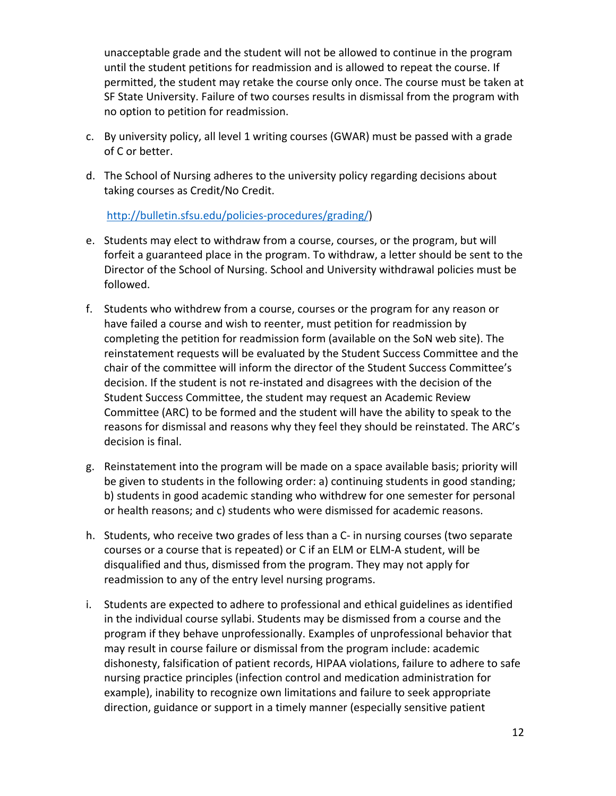unacceptable grade and the student will not be allowed to continue in the program until the student petitions for readmission and is allowed to repeat the course. If permitted, the student may retake the course only once. The course must be taken at SF State University. Failure of two courses results in dismissal from the program with no option to petition for readmission.

- c. By university policy, all level 1 writing courses (GWAR) must be passed with a grade of C or better.
- d. The School of Nursing adheres to the university policy regarding decisions about taking courses as Credit/No Credit.

[http://bulletin.sfsu.edu/policies-procedures/grading/\)](http://bulletin.sfsu.edu/policies-procedures/grading/)

- e. Students may elect to withdraw from a course, courses, or the program, but will forfeit a guaranteed place in the program. To withdraw, a letter should be sent to the Director of the School of Nursing. School and University withdrawal policies must be followed.
- f. Students who withdrew from a course, courses or the program for any reason or have failed a course and wish to reenter, must petition for readmission by completing the petition for readmission form (available on the SoN web site). The reinstatement requests will be evaluated by the Student Success Committee and the chair of the committee will inform the director of the Student Success Committee's decision. If the student is not re-instated and disagrees with the decision of the Student Success Committee, the student may request an Academic Review Committee (ARC) to be formed and the student will have the ability to speak to the reasons for dismissal and reasons why they feel they should be reinstated. The ARC's decision is final.
- g. Reinstatement into the program will be made on a space available basis; priority will be given to students in the following order: a) continuing students in good standing; b) students in good academic standing who withdrew for one semester for personal or health reasons; and c) students who were dismissed for academic reasons.
- h. Students, who receive two grades of less than a C- in nursing courses (two separate courses or a course that is repeated) or C if an ELM or ELM-A student, will be disqualified and thus, dismissed from the program. They may not apply for readmission to any of the entry level nursing programs.
- i. Students are expected to adhere to professional and ethical guidelines as identified in the individual course syllabi. Students may be dismissed from a course and the program if they behave unprofessionally. Examples of unprofessional behavior that may result in course failure or dismissal from the program include: academic dishonesty, falsification of patient records, HIPAA violations, failure to adhere to safe nursing practice principles (infection control and medication administration for example), inability to recognize own limitations and failure to seek appropriate direction, guidance or support in a timely manner (especially sensitive patient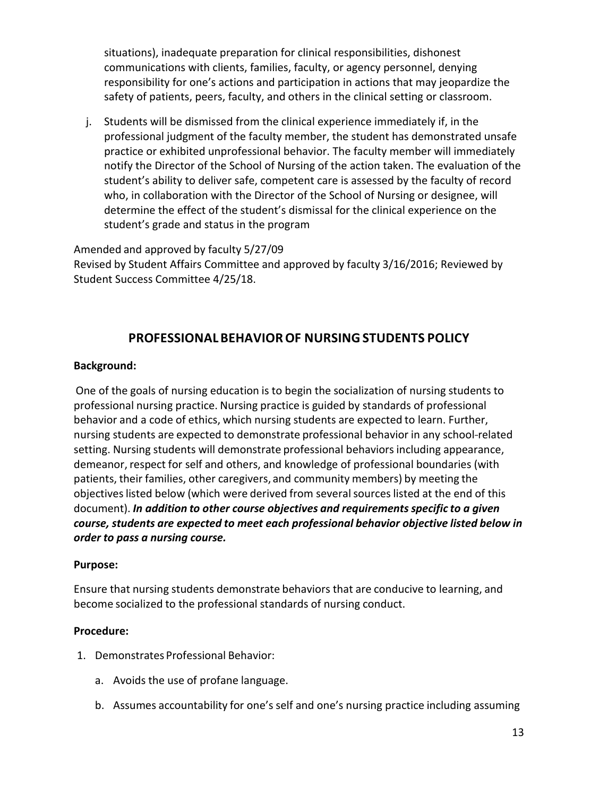situations), inadequate preparation for clinical responsibilities, dishonest communications with clients, families, faculty, or agency personnel, denying responsibility for one's actions and participation in actions that may jeopardize the safety of patients, peers, faculty, and others in the clinical setting or classroom.

j. Students will be dismissed from the clinical experience immediately if, in the professional judgment of the faculty member, the student has demonstrated unsafe practice or exhibited unprofessional behavior. The faculty member will immediately notify the Director of the School of Nursing of the action taken. The evaluation of the student's ability to deliver safe, competent care is assessed by the faculty of record who, in collaboration with the Director of the School of Nursing or designee, will determine the effect of the student's dismissal for the clinical experience on the student's grade and status in the program

#### Amended and approved by faculty 5/27/09

Revised by Student Affairs Committee and approved by faculty 3/16/2016; Reviewed by Student Success Committee 4/25/18.

### **PROFESSIONALBEHAVIOROF NURSINGSTUDENTS POLICY**

#### <span id="page-12-0"></span>**Background:**

One of the goals of nursing education is to begin the socialization of nursing students to professional nursing practice. Nursing practice is guided by standards of professional behavior and a code of ethics, which nursing students are expected to learn. Further, nursing students are expected to demonstrate professional behavior in any school-related setting. Nursing students will demonstrate professional behaviors including appearance, demeanor, respect for self and others, and knowledge of professional boundaries (with patients, their families, other caregivers, and community members) by meeting the objectives listed below (which were derived from several sources listed at the end of this document). *In addition to other course objectives and requirementsspecific to a given course, students are expected to meet each professional behavior objective listed below in order to pass a nursing course.*

#### **Purpose:**

Ensure that nursing students demonstrate behaviors that are conducive to learning, and become socialized to the professional standards of nursing conduct.

#### **Procedure:**

- 1. Demonstrates Professional Behavior:
	- a. Avoids the use of profane language.
	- b. Assumes accountability for one's self and one's nursing practice including assuming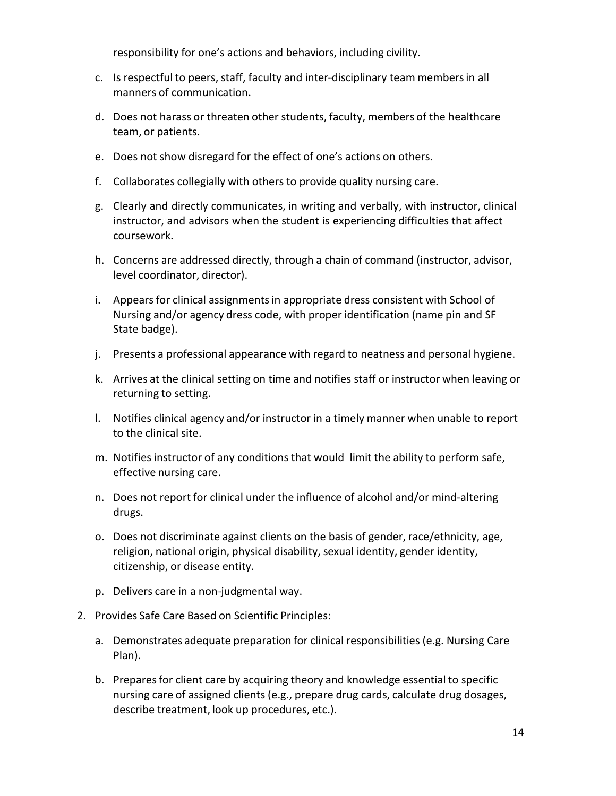responsibility for one's actions and behaviors, including civility.

- c. Is respectful to peers, staff, faculty and inter-disciplinary team members in all manners of communication.
- d. Does not harass or threaten other students, faculty, members of the healthcare team, or patients.
- e. Does not show disregard for the effect of one's actions on others.
- f. Collaborates collegially with others to provide quality nursing care.
- g. Clearly and directly communicates, in writing and verbally, with instructor, clinical instructor, and advisors when the student is experiencing difficulties that affect coursework.
- h. Concerns are addressed directly, through a chain of command (instructor, advisor, level coordinator, director).
- i. Appears for clinical assignments in appropriate dress consistent with School of Nursing and/or agency dress code, with proper identification (name pin and SF State badge).
- j. Presents a professional appearance with regard to neatness and personal hygiene.
- k. Arrives at the clinical setting on time and notifies staff or instructor when leaving or returning to setting.
- l. Notifies clinical agency and/or instructor in a timely manner when unable to report to the clinical site.
- m. Notifies instructor of any conditions that would limit the ability to perform safe, effective nursing care.
- n. Does not report for clinical under the influence of alcohol and/or mind-altering drugs.
- o. Does not discriminate against clients on the basis of gender, race/ethnicity, age, religion, national origin, physical disability, sexual identity, gender identity, citizenship, or disease entity.
- p. Delivers care in a non-judgmental way.
- 2. Provides Safe Care Based on Scientific Principles:
	- a. Demonstrates adequate preparation for clinical responsibilities (e.g. Nursing Care Plan).
	- b. Preparesfor client care by acquiring theory and knowledge essential to specific nursing care of assigned clients (e.g., prepare drug cards, calculate drug dosages, describe treatment, look up procedures, etc.).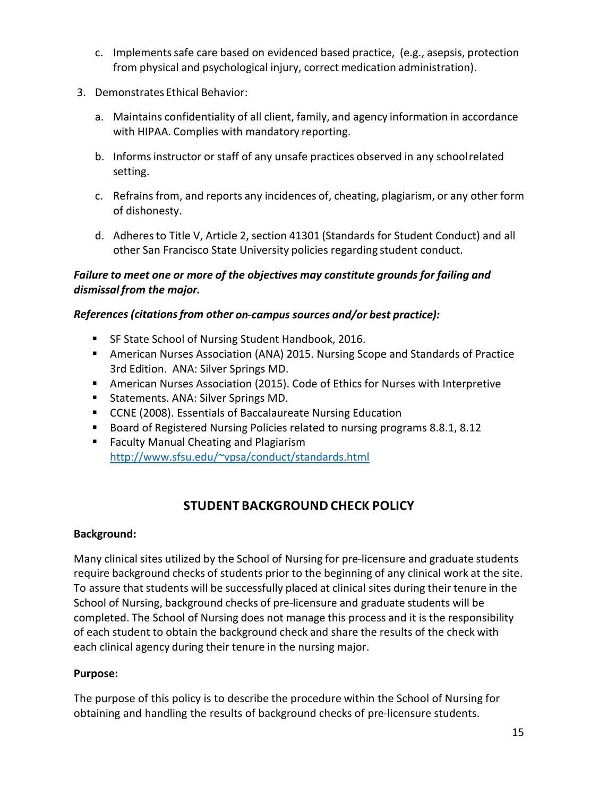- c. Implementssafe care based on evidenced based practice, (e.g., asepsis, protection from physical and psychological injury, correct medication administration).
- 3. Demonstrates Ethical Behavior:
	- a. Maintains confidentiality of all client, family, and agency information in accordance with HIPAA. Complies with mandatory reporting.
	- b. Informsinstructor or staff of any unsafe practices observed in any schoolrelated setting.
	- c. Refrains from, and reports any incidences of, cheating, plagiarism, or any other form of dishonesty.
	- d. Adheresto Title V, Article 2, section 41301 (Standards for Student Conduct) and all other San Francisco State University policies regarding student conduct.

### *Failure to meet one or more of the objectives may constitute grounds for failing and dismissal from the major.*

#### *References (citationsfrom other on---campus sources and/or best practice):*

- **SF State School of Nursing Student Handbook, 2016.**
- American Nurses Association (ANA) 2015. Nursing Scope and Standards of Practice 3rd Edition. ANA: Silver Springs MD.
- American Nurses Association (2015). Code of Ethics for Nurses with Interpretive
- Statements. ANA: Silver Springs MD.
- CCNE (2008). Essentials of Baccalaureate Nursing Education
- **Board of Registered Nursing Policies related to nursing programs 8.8.1, 8.12**
- **Faculty Manual Cheating and Plagiarism** [http://www.sfsu.edu/~vpsa/conduct/standards.html](http://www.sfsu.edu/%7Evpsa/conduct/standards.html)

## **STUDENT BACKGROUND CHECK POLICY**

#### <span id="page-14-0"></span>**Background:**

Many clinical sites utilized by the School of Nursing for pre-licensure and graduate students require background checks of students prior to the beginning of any clinical work at the site. To assure that students will be successfully placed at clinical sites during their tenure in the School of Nursing, background checks of pre-licensure and graduate students will be completed. The School of Nursing does not manage this process and it is the responsibility of each student to obtain the background check and share the results of the check with each clinical agency during their tenure in the nursing major.

#### **Purpose:**

The purpose of this policy is to describe the procedure within the School of Nursing for obtaining and handling the results of background checks of pre-licensure students.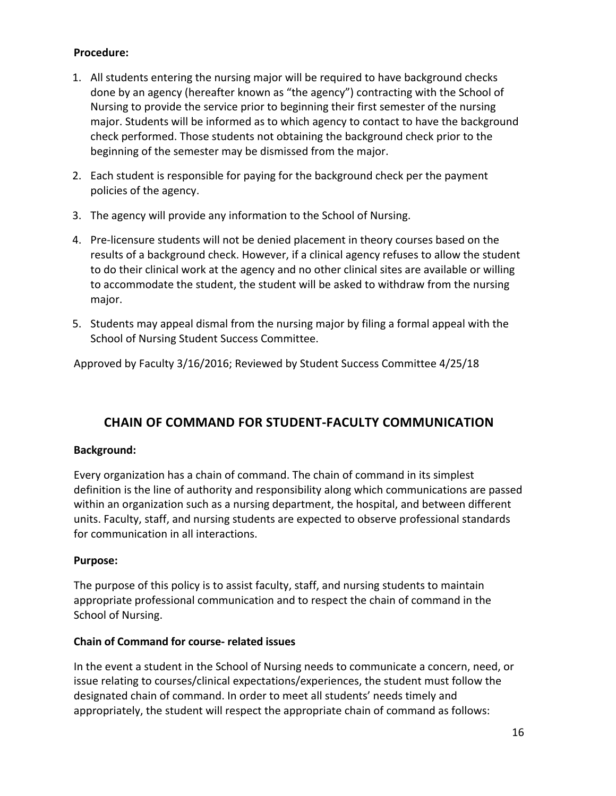#### **Procedure:**

- 1. All students entering the nursing major will be required to have background checks done by an agency (hereafter known as "the agency") contracting with the School of Nursing to provide the service prior to beginning their first semester of the nursing major. Students will be informed as to which agency to contact to have the background check performed. Those students not obtaining the background check prior to the beginning of the semester may be dismissed from the major.
- 2. Each student is responsible for paying for the background check per the payment policies of the agency.
- 3. The agency will provide any information to the School of Nursing.
- 4. Pre-licensure students will not be denied placement in theory courses based on the results of a background check. However, if a clinical agency refuses to allow the student to do their clinical work at the agency and no other clinical sites are available or willing to accommodate the student, the student will be asked to withdraw from the nursing major.
- 5. Students may appeal dismal from the nursing major by filing a formal appeal with the School of Nursing Student Success Committee.

Approved by Faculty 3/16/2016; Reviewed by Student Success Committee 4/25/18

## <span id="page-15-0"></span>**CHAIN OF COMMAND FOR STUDENT-FACULTY COMMUNICATION**

#### **Background:**

Every organization has a chain of command. The chain of command in its simplest definition is the line of authority and responsibility along which communications are passed within an organization such as a nursing department, the hospital, and between different units. Faculty, staff, and nursing students are expected to observe professional standards for communication in all interactions.

#### **Purpose:**

The purpose of this policy is to assist faculty, staff, and nursing students to maintain appropriate professional communication and to respect the chain of command in the School of Nursing.

#### **Chain of Command for course- related issues**

In the event a student in the School of Nursing needs to communicate a concern, need, or issue relating to courses/clinical expectations/experiences, the student must follow the designated chain of command. In order to meet all students' needs timely and appropriately, the student will respect the appropriate chain of command as follows: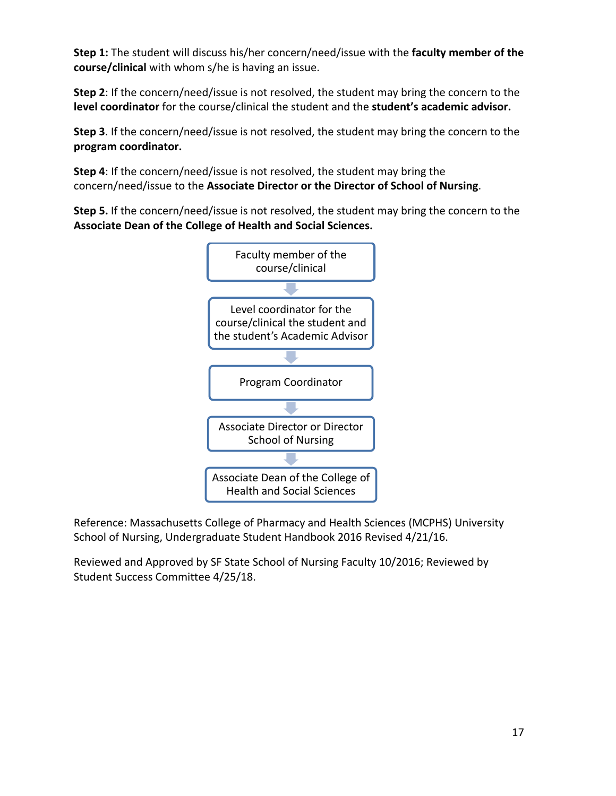**Step 1:** The student will discuss his/her concern/need/issue with the **faculty member of the course/clinical** with whom s/he is having an issue.

**Step 2**: If the concern/need/issue is not resolved, the student may bring the concern to the **level coordinator** for the course/clinical the student and the **student's academic advisor.**

**Step 3**. If the concern/need/issue is not resolved, the student may bring the concern to the **program coordinator.**

**Step 4**: If the concern/need/issue is not resolved, the student may bring the concern/need/issue to the **Associate Director or the Director of School of Nursing**.

**Step 5.** If the concern/need/issue is not resolved, the student may bring the concern to the **Associate Dean of the College of Health and Social Sciences.**



Reference: Massachusetts College of Pharmacy and Health Sciences (MCPHS) University School of Nursing, Undergraduate Student Handbook 2016 Revised 4/21/16.

Reviewed and Approved by SF State School of Nursing Faculty 10/2016; Reviewed by Student Success Committee 4/25/18.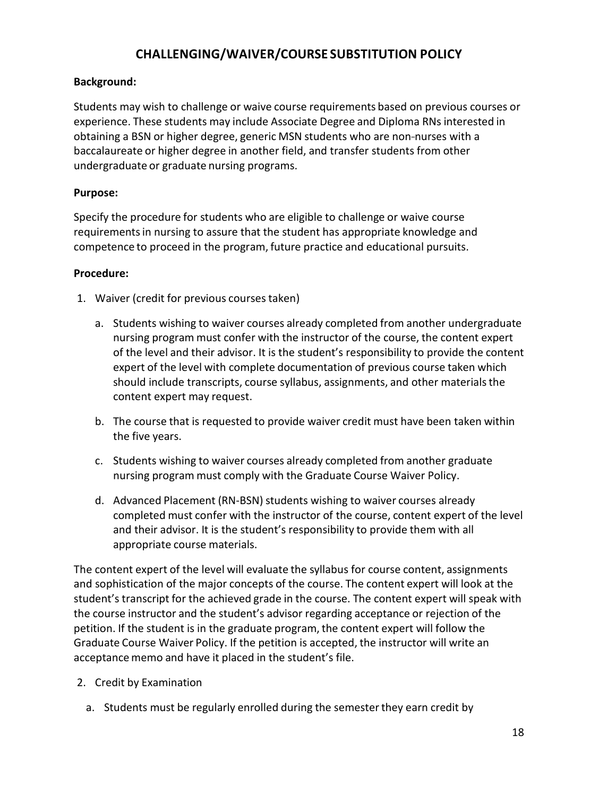## **CHALLENGING/WAIVER/COURSE SUBSTITUTION POLICY**

#### <span id="page-17-0"></span>**Background:**

Students may wish to challenge or waive course requirements based on previous courses or experience. These students may include Associate Degree and Diploma RNs interested in obtaining a BSN or higher degree, generic MSN students who are non-nurses with a baccalaureate or higher degree in another field, and transfer students from other undergraduate or graduate nursing programs.

#### **Purpose:**

Specify the procedure for students who are eligible to challenge or waive course requirementsin nursing to assure that the student has appropriate knowledge and competence to proceed in the program, future practice and educational pursuits.

#### **Procedure:**

- 1. Waiver (credit for previous coursestaken)
	- a. Students wishing to waiver courses already completed from another undergraduate nursing program must confer with the instructor of the course, the content expert of the level and their advisor. It is the student's responsibility to provide the content expert of the level with complete documentation of previous course taken which should include transcripts, course syllabus, assignments, and other materials the content expert may request.
	- b. The course that is requested to provide waiver credit must have been taken within the five years.
	- c. Students wishing to waiver courses already completed from another graduate nursing program must comply with the Graduate Course Waiver Policy.
	- d. Advanced Placement (RN-BSN) students wishing to waiver courses already completed must confer with the instructor of the course, content expert of the level and their advisor. It is the student's responsibility to provide them with all appropriate course materials.

The content expert of the level will evaluate the syllabus for course content, assignments and sophistication of the major concepts of the course. The content expert will look at the student's transcript for the achieved grade in the course. The content expert will speak with the course instructor and the student's advisor regarding acceptance or rejection of the petition. If the student is in the graduate program,the content expert will follow the Graduate Course Waiver Policy. If the petition is accepted, the instructor will write an acceptance memo and have it placed in the student's file.

- 2. Credit by Examination
	- a. Students must be regularly enrolled during the semester they earn credit by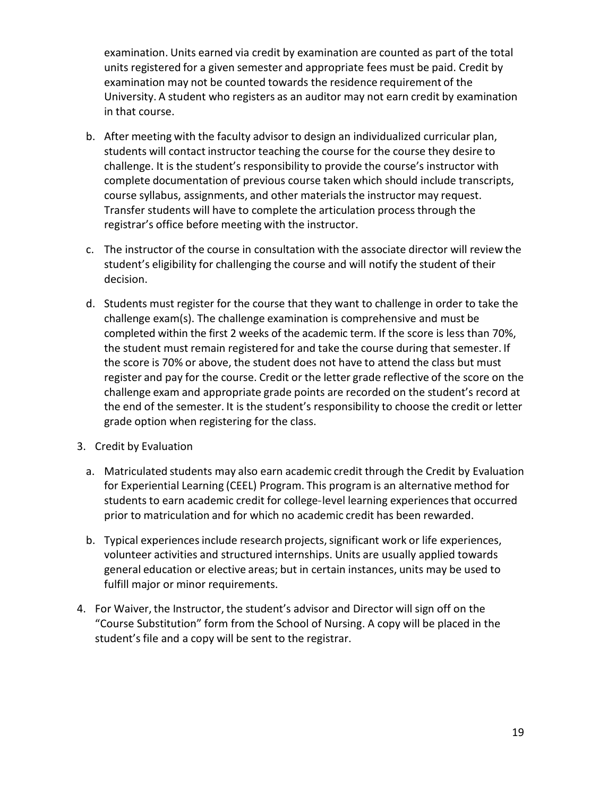examination. Units earned via credit by examination are counted as part of the total units registered for a given semester and appropriate fees must be paid. Credit by examination may not be counted towards the residence requirement of the University. A student who registers as an auditor may not earn credit by examination in that course.

- b. After meeting with the faculty advisor to design an individualized curricular plan, students will contact instructor teaching the course for the course they desire to challenge. It is the student's responsibility to provide the course's instructor with complete documentation of previous course taken which should include transcripts, course syllabus, assignments, and other materialsthe instructor may request. Transfer students will have to complete the articulation processthrough the registrar's office before meeting with the instructor.
- c. The instructor of the course in consultation with the associate director will review the student's eligibility for challenging the course and will notify the student of their decision.
- d. Students must register for the course that they want to challenge in order to take the challenge exam(s). The challenge examination is comprehensive and must be completed within the first 2 weeks of the academic term. If the score is less than 70%, the student must remain registered for and take the course during that semester. If the score is 70% or above, the student does not have to attend the class but must register and pay for the course. Credit or the letter grade reflective of the score on the challenge exam and appropriate grade points are recorded on the student's record at the end of the semester. It is the student's responsibility to choose the credit or letter grade option when registering for the class.
- 3. Credit by Evaluation
	- a. Matriculated students may also earn academic credit through the Credit by Evaluation for Experiential Learning (CEEL) Program. This program is an alternative method for students to earn academic credit for college-level learning experiences that occurred prior to matriculation and for which no academic credit has been rewarded.
	- b. Typical experiences include research projects, significant work or life experiences, volunteer activities and structured internships. Units are usually applied towards general education or elective areas; but in certain instances, units may be used to fulfill major or minor requirements.
- 4. For Waiver,the Instructor, the student's advisor and Director will sign off on the "Course Substitution" form from the School of Nursing. A copy will be placed in the student's file and a copy will be sent to the registrar.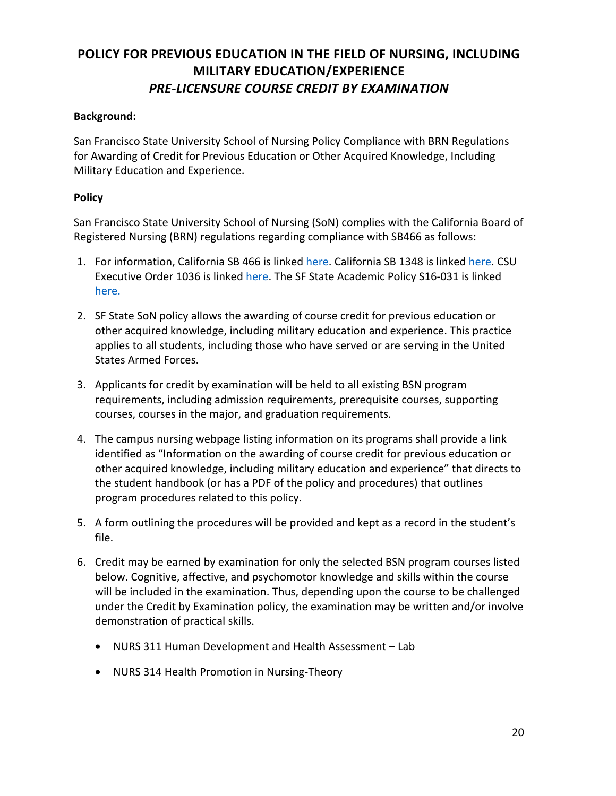## <span id="page-19-0"></span>**POLICY FOR PREVIOUS EDUCATION IN THE FIELD OF NURSING, INCLUDING MILITARY EDUCATION/EXPERIENCE** *PRE-LICENSURE COURSE CREDIT BY EXAMINATION*

#### **Background:**

San Francisco State University School of Nursing Policy Compliance with BRN Regulations for Awarding of Credit for Previous Education or Other Acquired Knowledge, Including Military Education and Experience.

#### **Policy**

San Francisco State University School of Nursing (SoN) complies with the California Board of Registered Nursing (BRN) regulations regarding compliance with SB466 as follows:

- 1. For information, California SB 466 is linked [here.](http://www.leginfo.ca.gov/pub/15-16/bill/sen/sb_0451-0500/sb_466_bill_20151004_chaptered.pdf) California SB 1348 is linked [here.](https://leginfo.legislature.ca.gov/faces/billNavClient.xhtml?bill_id=201520160SB1348) CSU Executive Order 1036 is linked [here.](https://www.calstate.edu/eo/EO-1036.pdf) The SF State Academic Policy S16-031 is linked [here.](https://senate.sfsu.edu/policy/academic-credit-military-service-and-training)
- 2. SF State SoN policy allows the awarding of course credit for previous education or other acquired knowledge, including military education and experience. This practice applies to all students, including those who have served or are serving in the United States Armed Forces.
- 3. Applicants for credit by examination will be held to all existing BSN program requirements, including admission requirements, prerequisite courses, supporting courses, courses in the major, and graduation requirements.
- 4. The campus nursing webpage listing information on its programs shall provide a link identified as "Information on the awarding of course credit for previous education or other acquired knowledge, including military education and experience" that directs to the student handbook (or has a PDF of the policy and procedures) that outlines program procedures related to this policy.
- 5. A form outlining the procedures will be provided and kept as a record in the student's file.
- 6. Credit may be earned by examination for only the selected BSN program courses listed below. Cognitive, affective, and psychomotor knowledge and skills within the course will be included in the examination. Thus, depending upon the course to be challenged under the Credit by Examination policy, the examination may be written and/or involve demonstration of practical skills.
	- NURS 311 Human Development and Health Assessment Lab
	- NURS 314 Health Promotion in Nursing-Theory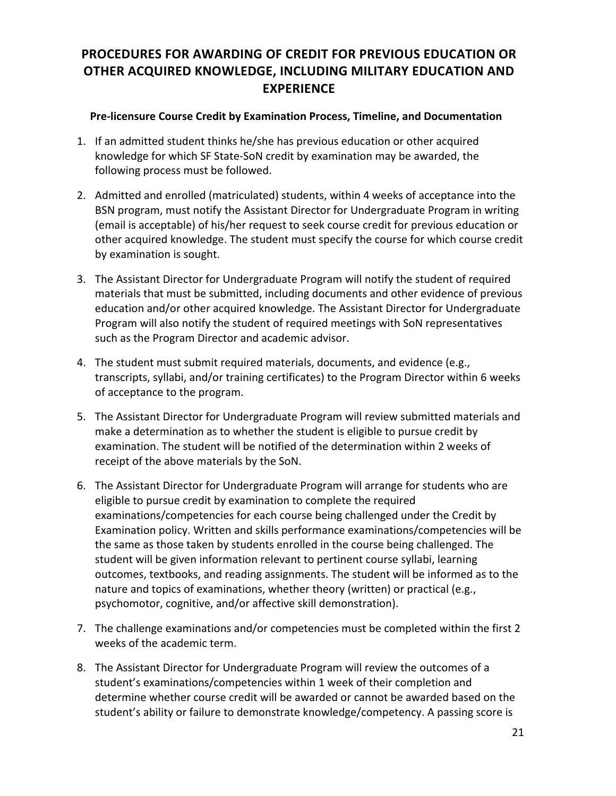## <span id="page-20-0"></span>**PROCEDURES FOR AWARDING OF CREDIT FOR PREVIOUS EDUCATION OR OTHER ACQUIRED KNOWLEDGE, INCLUDING MILITARY EDUCATION AND EXPERIENCE**

#### **Pre-licensure Course Credit by Examination Process, Timeline, and Documentation**

- 1. If an admitted student thinks he/she has previous education or other acquired knowledge for which SF State-SoN credit by examination may be awarded, the following process must be followed.
- 2. Admitted and enrolled (matriculated) students, within 4 weeks of acceptance into the BSN program, must notify the Assistant Director for Undergraduate Program in writing (email is acceptable) of his/her request to seek course credit for previous education or other acquired knowledge. The student must specify the course for which course credit by examination is sought.
- 3. The Assistant Director for Undergraduate Program will notify the student of required materials that must be submitted, including documents and other evidence of previous education and/or other acquired knowledge. The Assistant Director for Undergraduate Program will also notify the student of required meetings with SoN representatives such as the Program Director and academic advisor.
- 4. The student must submit required materials, documents, and evidence (e.g., transcripts, syllabi, and/or training certificates) to the Program Director within 6 weeks of acceptance to the program.
- 5. The Assistant Director for Undergraduate Program will review submitted materials and make a determination as to whether the student is eligible to pursue credit by examination. The student will be notified of the determination within 2 weeks of receipt of the above materials by the SoN.
- 6. The Assistant Director for Undergraduate Program will arrange for students who are eligible to pursue credit by examination to complete the required examinations/competencies for each course being challenged under the Credit by Examination policy. Written and skills performance examinations/competencies will be the same as those taken by students enrolled in the course being challenged. The student will be given information relevant to pertinent course syllabi, learning outcomes, textbooks, and reading assignments. The student will be informed as to the nature and topics of examinations, whether theory (written) or practical (e.g., psychomotor, cognitive, and/or affective skill demonstration).
- 7. The challenge examinations and/or competencies must be completed within the first 2 weeks of the academic term.
- 8. The Assistant Director for Undergraduate Program will review the outcomes of a student's examinations/competencies within 1 week of their completion and determine whether course credit will be awarded or cannot be awarded based on the student's ability or failure to demonstrate knowledge/competency. A passing score is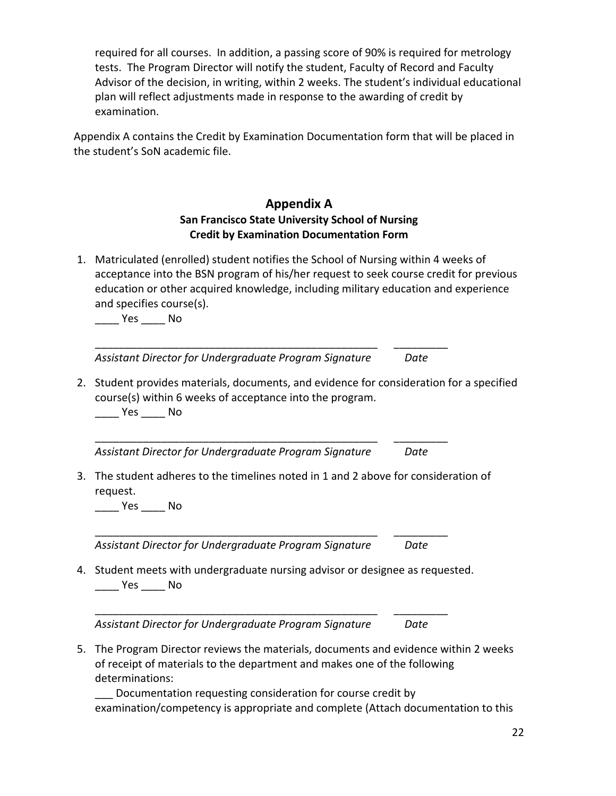required for all courses. In addition, a passing score of 90% is required for metrology tests. The Program Director will notify the student, Faculty of Record and Faculty Advisor of the decision, in writing, within 2 weeks. The student's individual educational plan will reflect adjustments made in response to the awarding of credit by examination.

Appendix A contains the Credit by Examination Documentation form that will be placed in the student's SoN academic file.

### **Appendix A San Francisco State University School of Nursing Credit by Examination Documentation Form**

1. Matriculated (enrolled) student notifies the School of Nursing within 4 weeks of acceptance into the BSN program of his/her request to seek course credit for previous education or other acquired knowledge, including military education and experience and specifies course(s).

\_\_\_\_ Yes \_\_\_\_ No

\_\_\_\_\_\_\_\_\_\_\_\_\_\_\_\_\_\_\_\_\_\_\_\_\_\_\_\_\_\_\_\_\_\_\_\_\_\_\_\_\_\_\_\_\_\_\_ \_\_\_\_\_\_\_\_\_ *Assistant Director for Undergraduate Program Signature Date*

\_\_\_\_\_\_\_\_\_\_\_\_\_\_\_\_\_\_\_\_\_\_\_\_\_\_\_\_\_\_\_\_\_\_\_\_\_\_\_\_\_\_\_\_\_\_\_ \_\_\_\_\_\_\_\_\_

2. Student provides materials, documents, and evidence for consideration for a specified course(s) within 6 weeks of acceptance into the program.

Yes No

*Assistant Director for Undergraduate Program Signature Date*

3. The student adheres to the timelines noted in 1 and 2 above for consideration of request.

\_\_\_\_ Yes \_\_\_\_ No

*Assistant Director for Undergraduate Program Signature Date*

4. Student meets with undergraduate nursing advisor or designee as requested. \_\_\_\_ Yes \_\_\_\_ No

\_\_\_\_\_\_\_\_\_\_\_\_\_\_\_\_\_\_\_\_\_\_\_\_\_\_\_\_\_\_\_\_\_\_\_\_\_\_\_\_\_\_\_\_\_\_\_ \_\_\_\_\_\_\_\_\_

\_\_\_\_\_\_\_\_\_\_\_\_\_\_\_\_\_\_\_\_\_\_\_\_\_\_\_\_\_\_\_\_\_\_\_\_\_\_\_\_\_\_\_\_\_\_\_ \_\_\_\_\_\_\_\_\_

*Assistant Director for Undergraduate Program Signature Date*

5. The Program Director reviews the materials, documents and evidence within 2 weeks of receipt of materials to the department and makes one of the following determinations:

Documentation requesting consideration for course credit by examination/competency is appropriate and complete (Attach documentation to this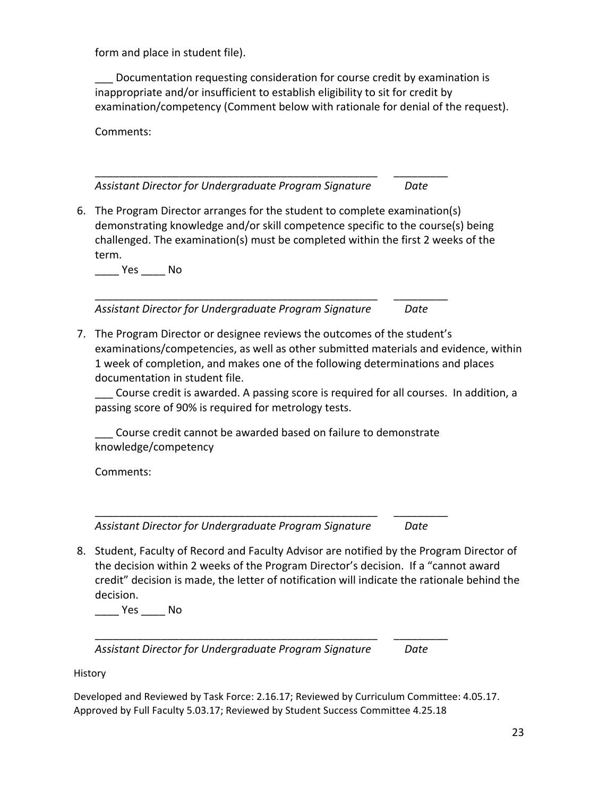form and place in student file).

Documentation requesting consideration for course credit by examination is inappropriate and/or insufficient to establish eligibility to sit for credit by examination/competency (Comment below with rationale for denial of the request).

Comments:

*Assistant Director for Undergraduate Program Signature Date*

\_\_\_\_\_\_\_\_\_\_\_\_\_\_\_\_\_\_\_\_\_\_\_\_\_\_\_\_\_\_\_\_\_\_\_\_\_\_\_\_\_\_\_\_\_\_\_ \_\_\_\_\_\_\_\_\_

6. The Program Director arranges for the student to complete examination(s) demonstrating knowledge and/or skill competence specific to the course(s) being challenged. The examination(s) must be completed within the first 2 weeks of the term.

\_\_\_\_ Yes \_\_\_\_ No

*Assistant Director for Undergraduate Program Signature Date*

\_\_\_\_\_\_\_\_\_\_\_\_\_\_\_\_\_\_\_\_\_\_\_\_\_\_\_\_\_\_\_\_\_\_\_\_\_\_\_\_\_\_\_\_\_\_\_ \_\_\_\_\_\_\_\_\_

7. The Program Director or designee reviews the outcomes of the student's examinations/competencies, as well as other submitted materials and evidence, within 1 week of completion, and makes one of the following determinations and places documentation in student file.

\_\_\_ Course credit is awarded. A passing score is required for all courses. In addition, a passing score of 90% is required for metrology tests.

\_\_\_ Course credit cannot be awarded based on failure to demonstrate knowledge/competency

\_\_\_\_\_\_\_\_\_\_\_\_\_\_\_\_\_\_\_\_\_\_\_\_\_\_\_\_\_\_\_\_\_\_\_\_\_\_\_\_\_\_\_\_\_\_\_ \_\_\_\_\_\_\_\_\_

Comments:

*Assistant Director for Undergraduate Program Signature Date*

8. Student, Faculty of Record and Faculty Advisor are notified by the Program Director of the decision within 2 weeks of the Program Director's decision. If a "cannot award credit" decision is made, the letter of notification will indicate the rationale behind the decision.

\_\_\_\_ Yes \_\_\_\_ No

*Assistant Director for Undergraduate Program Signature Date*

\_\_\_\_\_\_\_\_\_\_\_\_\_\_\_\_\_\_\_\_\_\_\_\_\_\_\_\_\_\_\_\_\_\_\_\_\_\_\_\_\_\_\_\_\_\_\_ \_\_\_\_\_\_\_\_\_

**History** 

Developed and Reviewed by Task Force: 2.16.17; Reviewed by Curriculum Committee: 4.05.17. Approved by Full Faculty 5.03.17; Reviewed by Student Success Committee 4.25.18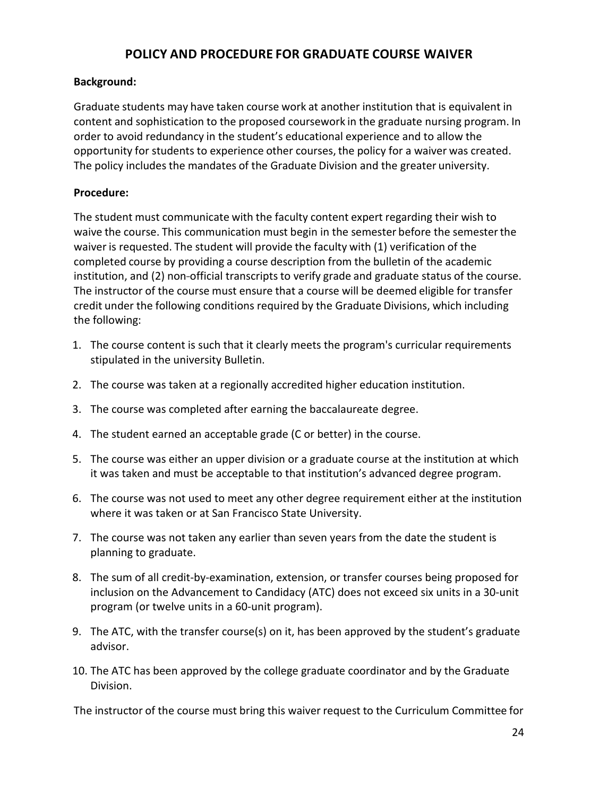## **POLICY AND PROCEDURE FOR GRADUATE COURSE WAIVER**

#### <span id="page-23-0"></span>**Background:**

Graduate students may have taken course work at another institution that is equivalent in content and sophistication to the proposed coursework in the graduate nursing program. In order to avoid redundancy in the student's educational experience and to allow the opportunity for students to experience other courses, the policy for a waiver was created. The policy includes the mandates of the Graduate Division and the greater university.

#### **Procedure:**

The student must communicate with the faculty content expert regarding their wish to waive the course. This communication must begin in the semester before the semesterthe waiver is requested. The student will provide the faculty with (1) verification of the completed course by providing a course description from the bulletin of the academic institution, and (2) non-official transcripts to verify grade and graduate status of the course. The instructor of the course must ensure that a course will be deemed eligible for transfer credit under the following conditions required by the Graduate Divisions, which including the following:

- 1. The course content is such that it clearly meets the program's curricular requirements stipulated in the university Bulletin.
- 2. The course was taken at a regionally accredited higher education institution.
- 3. The course was completed after earning the baccalaureate degree.
- 4. The student earned an acceptable grade (C or better) in the course.
- 5. The course was either an upper division or a graduate course at the institution at which it was taken and must be acceptable to that institution's advanced degree program.
- 6. The course was not used to meet any other degree requirement either at the institution where it was taken or at San Francisco State University.
- 7. The course was not taken any earlier than seven years from the date the student is planning to graduate.
- 8. The sum of all credit-by-examination, extension, or transfer courses being proposed for inclusion on the Advancement to Candidacy (ATC) does not exceed six units in a 30-unit program (or twelve units in a 60-unit program).
- 9. The ATC, with the transfer course(s) on it, has been approved by the student's graduate advisor.
- 10. The ATC has been approved by the college graduate coordinator and by the Graduate Division.

The instructor of the course must bring this waiver request to the Curriculum Committee for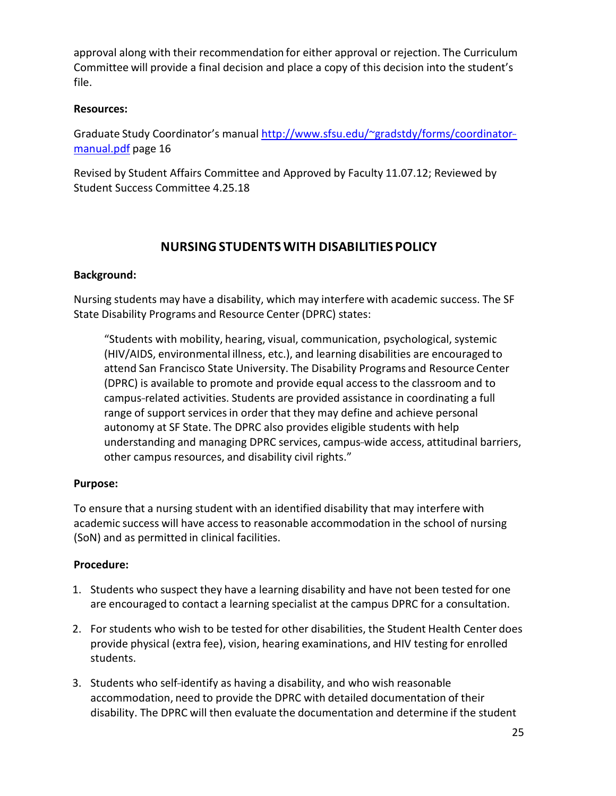approval along with their recommendation for either approval or rejection. The Curriculum Committee will provide a final decision and place a copy of this decision into the student's file.

#### **Resources:**

Graduate Study Coordinator's manual http://www.sfsu.edu/~gradstdy/forms/coordinator-manual.pdf page 16

Revised by Student Affairs Committee and Approved by Faculty 11.07.12; Reviewed by Student Success Committee 4.25.18

## **NURSINGSTUDENTSWITH DISABILITIESPOLICY**

#### <span id="page-24-0"></span>**Background:**

Nursing students may have a disability, which may interfere with academic success. The SF State Disability Programs and Resource Center (DPRC) states:

"Students with mobility, hearing, visual, communication, psychological, systemic (HIV/AIDS, environmental illness, etc.), and learning disabilities are encouraged to attend San Francisco State University. The Disability Programs and Resource Center (DPRC) is available to promote and provide equal accessto the classroom and to campus-related activities. Students are provided assistance in coordinating a full range of support services in order that they may define and achieve personal autonomy at SF State. The DPRC also provides eligible students with help understanding and managing DPRC services, campus-wide access, attitudinal barriers, other campus resources, and disability civil rights."

#### **Purpose:**

To ensure that a nursing student with an identified disability that may interfere with academic success will have accessto reasonable accommodation in the school of nursing (SoN) and as permitted in clinical facilities.

#### **Procedure:**

- 1. Students who suspect they have a learning disability and have not been tested for one are encouraged to contact a learning specialist at the campus DPRC for a consultation.
- 2. For students who wish to be tested for other disabilities, the Student Health Center does provide physical (extra fee), vision, hearing examinations, and HIV testing for enrolled students.
- 3. Students who self-identify as having a disability, and who wish reasonable accommodation, need to provide the DPRC with detailed documentation of their disability. The DPRC will then evaluate the documentation and determine if the student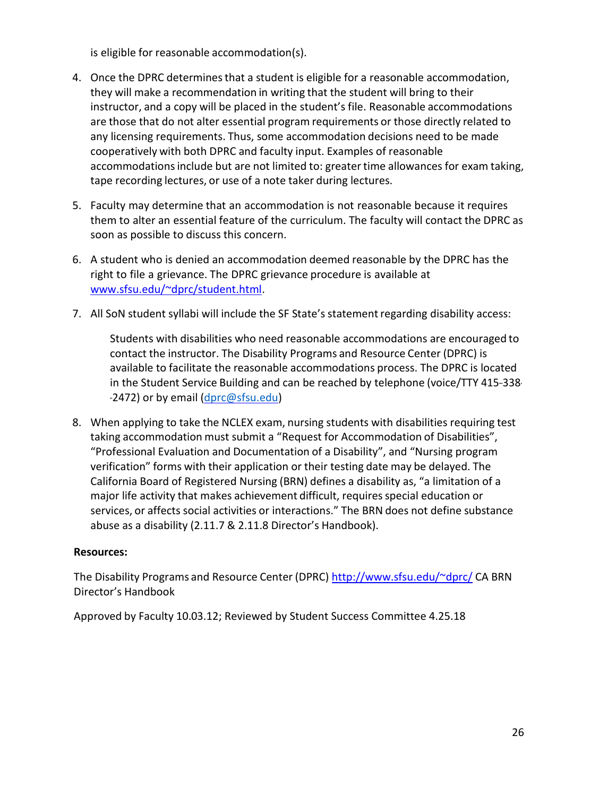is eligible for reasonable accommodation(s).

- 4. Once the DPRC determines that a student is eligible for a reasonable accommodation, they will make a recommendation in writing that the student will bring to their instructor, and a copy will be placed in the student's file. Reasonable accommodations are those that do not alter essential program requirements or those directly related to any licensing requirements. Thus, some accommodation decisions need to be made cooperatively with both DPRC and faculty input. Examples of reasonable accommodations include but are not limited to: greater time allowances for exam taking, tape recording lectures, or use of a note taker during lectures.
- 5. Faculty may determine that an accommodation is not reasonable because it requires them to alter an essential feature of the curriculum. The faculty will contact the DPRC as soon as possible to discuss this concern.
- 6. A student who is denied an accommodation deemed reasonable by the DPRC has the right to file a grievance. The DPRC grievance procedure is available at [www.sfsu.edu/~dprc/student.html.](http://www.sfsu.edu/%7Edprc/student.html)
- 7. All SoN student syllabi will include the SF State's statement regarding disability access:

Students with disabilities who need reasonable accommodations are encouraged to contact the instructor. The Disability Programs and Resource Center (DPRC) is available to facilitate the reasonable accommodations process. The DPRC is located in the Student Service Building and can be reached by telephone (voice/TTY 415-338--2472) or by email [\(dprc@sfsu.edu\)](mailto:dprc@sfsu.edu)

8. When applying to take the NCLEX exam, nursing students with disabilities requiring test taking accommodation must submit a "Request for Accommodation of Disabilities", "Professional Evaluation and Documentation of a Disability", and "Nursing program verification" forms with their application or their testing date may be delayed. The California Board of Registered Nursing (BRN) defines a disability as, "a limitation of a major life activity that makes achievement difficult, requires special education or services, or affects social activities or interactions." The BRN does not define substance abuse as a disability (2.11.7 & 2.11.8 Director's Handbook).

#### **Resources:**

The Disability Programs and Resource Center (DPRC[\) http://www.sfsu.edu/~dprc/](http://www.sfsu.edu/%7Edprc/) CA BRN Director's Handbook

Approved by Faculty 10.03.12; Reviewed by Student Success Committee 4.25.18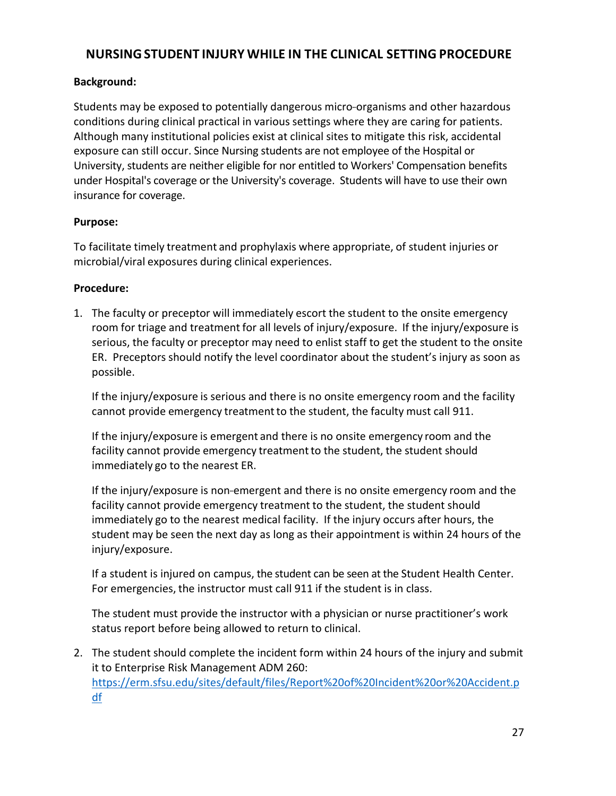## <span id="page-26-0"></span>**NURSINGSTUDENT INJURY WHILE IN THE CLINICAL SETTING PROCEDURE**

#### **Background:**

Students may be exposed to potentially dangerous micro-organisms and other hazardous conditions during clinical practical in various settings where they are caring for patients. Although many institutional policies exist at clinical sites to mitigate this risk, accidental exposure can still occur. Since Nursing students are not employee of the Hospital or University, students are neither eligible for nor entitled to Workers' Compensation benefits under Hospital's coverage or the University's coverage. Students will have to use their own insurance for coverage.

#### **Purpose:**

To facilitate timely treatment and prophylaxis where appropriate, of student injuries or microbial/viral exposures during clinical experiences.

#### **Procedure:**

1. The faculty or preceptor will immediately escort the student to the onsite emergency room for triage and treatment for all levels of injury/exposure. If the injury/exposure is serious, the faculty or preceptor may need to enlist staff to get the student to the onsite ER. Preceptors should notify the level coordinator about the student's injury as soon as possible.

If the injury/exposure is serious and there is no onsite emergency room and the facility cannot provide emergency treatment to the student, the faculty must call 911.

If the injury/exposure is emergent and there is no onsite emergency room and the facility cannot provide emergency treatment to the student, the student should immediately go to the nearest ER.

If the injury/exposure is non-emergent and there is no onsite emergency room and the facility cannot provide emergency treatment to the student, the student should immediately go to the nearest medical facility. If the injury occurs after hours, the student may be seen the next day as long as their appointment is within 24 hours of the injury/exposure.

If a student is injured on campus, the student can be seen at the Student Health Center. For emergencies, the instructor must call 911 if the student is in class.

The student must provide the instructor with a physician or nurse practitioner's work status report before being allowed to return to clinical.

2. The student should complete the incident form within 24 hours of the injury and submit it to Enterprise Risk Management ADM 260: [https://erm.sfsu.edu/sites/default/files/Report%20of%20Incident%20or%20Accident.p](https://erm.sfsu.edu/sites/default/files/Report%20of%20Incident%20or%20Accident.pdf) [df](https://erm.sfsu.edu/sites/default/files/Report%20of%20Incident%20or%20Accident.pdf)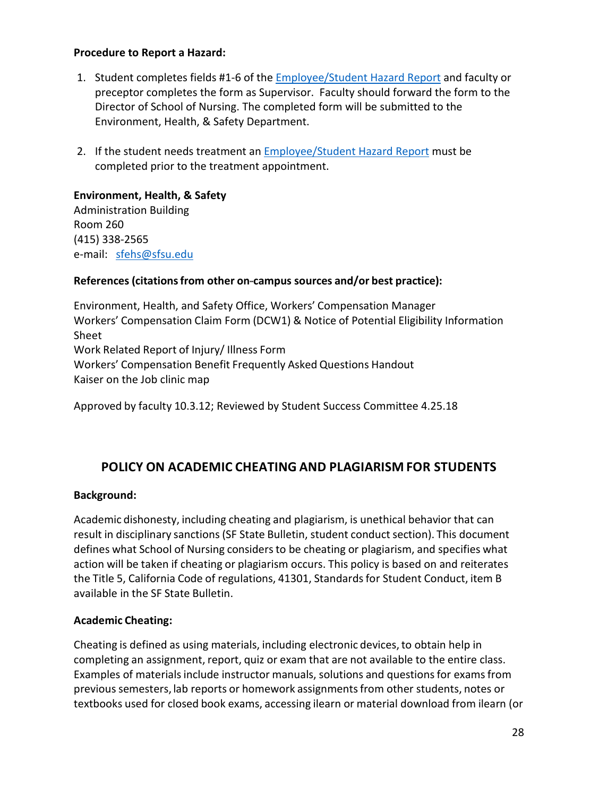#### **Procedure to Report a Hazard:**

- 1. Student completes fields #1-6 of the **Employee/Student Hazard Report and faculty or** preceptor completes the form as Supervisor. Faculty should forward the form to the Director of School of Nursing. The completed form will be submitted to the Environment, Health, & Safety Department.
- 2. If the student needs treatment an [Employee/Student Hazard Report](http://ehs.sfsu.edu/sites/default/files/Employee_Student%20Hazard%20Report%20%28a%29.pdf) must be completed prior to the treatment appointment.

#### **Environment, Health, & Safety**

Administration Building Room 260 (415) 338-2565 e-mail: [sfehs@sfsu.edu](mailto:sfehs@sfsu.edu)

#### **References** (citations from other on-campus sources and/or best practice):

Environment, Health, and Safety Office, Workers' Compensation Manager Workers' Compensation Claim Form (DCW1) & Notice of Potential Eligibility Information Sheet Work Related Report of Injury/ Illness Form Workers' Compensation Benefit Frequently Asked Questions Handout Kaiser on the Job clinic map

Approved by faculty 10.3.12; Reviewed by Student Success Committee 4.25.18

## <span id="page-27-0"></span>**POLICY ON ACADEMIC CHEATING AND PLAGIARISM FOR STUDENTS**

#### **Background:**

Academic dishonesty, including cheating and plagiarism, is unethical behavior that can result in disciplinary sanctions (SF State Bulletin, student conduct section). This document defines what School of Nursing considersto be cheating or plagiarism, and specifies what action will be taken if cheating or plagiarism occurs. This policy is based on and reiterates the Title 5, California Code of regulations, 41301, Standardsfor Student Conduct, item B available in the SF State Bulletin.

#### **Academic Cheating:**

Cheating is defined as using materials, including electronic devices, to obtain help in completing an assignment, report, quiz or exam that are not available to the entire class. Examples of materials include instructor manuals, solutions and questions for exams from previous semesters, lab reports or homework assignmentsfrom other students, notes or textbooks used for closed book exams, accessing ilearn or material download from ilearn (or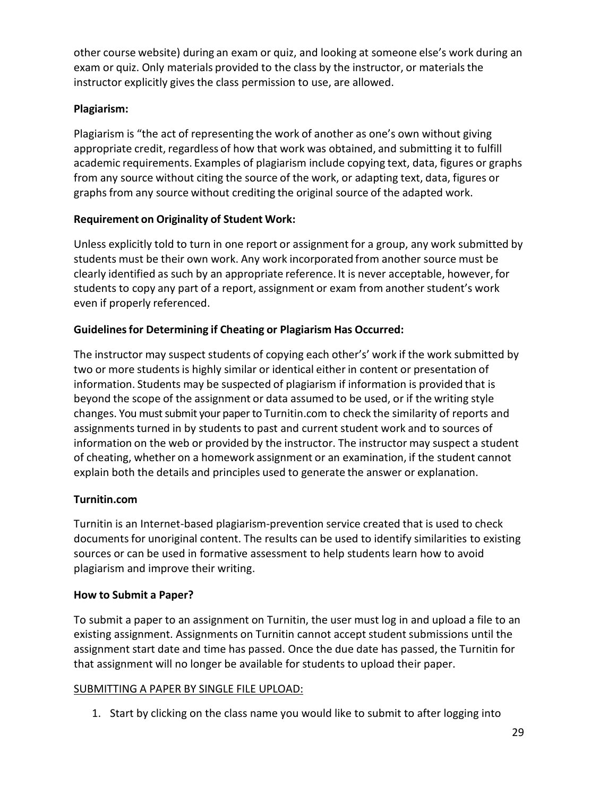other course website) during an exam or quiz, and looking at someone else's work during an exam or quiz. Only materials provided to the class by the instructor, or materials the instructor explicitly gives the class permission to use, are allowed.

#### **Plagiarism:**

Plagiarism is "the act of representing the work of another as one's own without giving appropriate credit, regardless of how that work was obtained, and submitting it to fulfill academic requirements. Examples of plagiarism include copying text, data, figures or graphs from any source without citing the source of the work, or adapting text, data, figures or graphs from any source without crediting the original source of the adapted work.

#### **Requirement on Originality of Student Work:**

Unless explicitly told to turn in one report or assignment for a group, any work submitted by students must be their own work. Any work incorporated from another source must be clearly identified as such by an appropriate reference. It is never acceptable, however, for students to copy any part of a report, assignment or exam from another student's work even if properly referenced.

### **Guidelinesfor Determining if Cheating or Plagiarism Has Occurred:**

The instructor may suspect students of copying each other's' work if the work submitted by two or more students is highly similar or identical either in content or presentation of information. Students may be suspected of plagiarism if information is provided that is beyond the scope of the assignment or data assumed to be used, or if the writing style changes. You must submit your paper to Turnitin.com to check the similarity of reports and assignments turned in by students to past and current student work and to sources of information on the web or provided by the instructor. The instructor may suspect a student of cheating, whether on a homework assignment or an examination, if the student cannot explain both the details and principles used to generate the answer or explanation.

#### **Turnitin.com**

Turnitin is an Internet-based plagiarism-prevention service created that is used to check documents for unoriginal content. The results can be used to identify similarities to existing sources or can be used in formative assessment to help students learn how to avoid plagiarism and improve their writing.

#### **How to Submit a Paper?**

To submit a paper to an assignment on Turnitin, the user must log in and upload a file to an existing assignment. Assignments on Turnitin cannot accept student submissions until the assignment start date and time has passed. Once the due date has passed, the Turnitin for that assignment will no longer be available for students to upload their paper.

#### SUBMITTING A PAPER BY SINGLE FILE UPLOAD:

1. Start by clicking on the class name you would like to submit to after logging into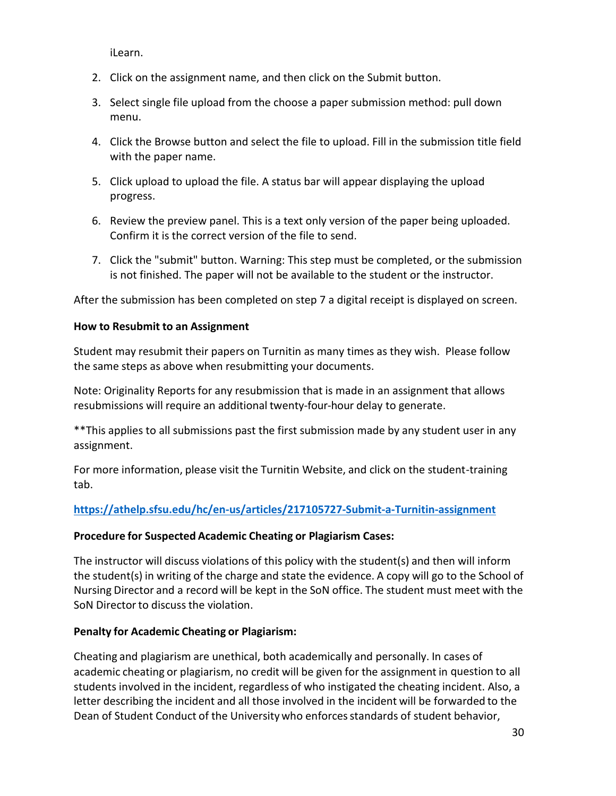iLearn.

- 2. Click on the assignment name, and then click on the Submit button.
- 3. Select single file upload from the choose a paper submission method: pull down menu.
- 4. Click the Browse button and select the file to upload. Fill in the submission title field with the paper name.
- 5. Click upload to upload the file. A status bar will appear displaying the upload progress.
- 6. Review the preview panel. This is a text only version of the paper being uploaded. Confirm it is the correct version of the file to send.
- 7. Click the "submit" button. Warning: This step must be completed, or the submission is not finished. The paper will not be available to the student or the instructor.

After the submission has been completed on step 7 a digital receipt is displayed on screen.

#### **How to Resubmit to an Assignment**

Student may resubmit their papers on Turnitin as many times as they wish. Please follow the same steps as above when resubmitting your documents.

Note: Originality Reports for any resubmission that is made in an assignment that allows resubmissions will require an additional twenty-four-hour delay to generate.

\*\*This applies to all submissions past the first submission made by any student user in any assignment.

For more information, please visit the Turnitin Website, and click on the student-training tab.

#### **<https://athelp.sfsu.edu/hc/en-us/articles/217105727-Submit-a-Turnitin-assignment>**

#### **Procedure for Suspected Academic Cheating or Plagiarism Cases:**

The instructor will discuss violations of this policy with the student(s) and then will inform the student(s) in writing of the charge and state the evidence. A copy will go to the School of Nursing Director and a record will be kept in the SoN office. The student must meet with the SoN Director to discuss the violation.

#### **Penalty for Academic Cheating or Plagiarism:**

Cheating and plagiarism are unethical, both academically and personally. In cases of academic cheating or plagiarism, no credit will be given for the assignment in question to all students involved in the incident, regardless of who instigated the cheating incident. Also, a letter describing the incident and all those involved in the incident will be forwarded to the Dean of Student Conduct of the University who enforces standards of student behavior,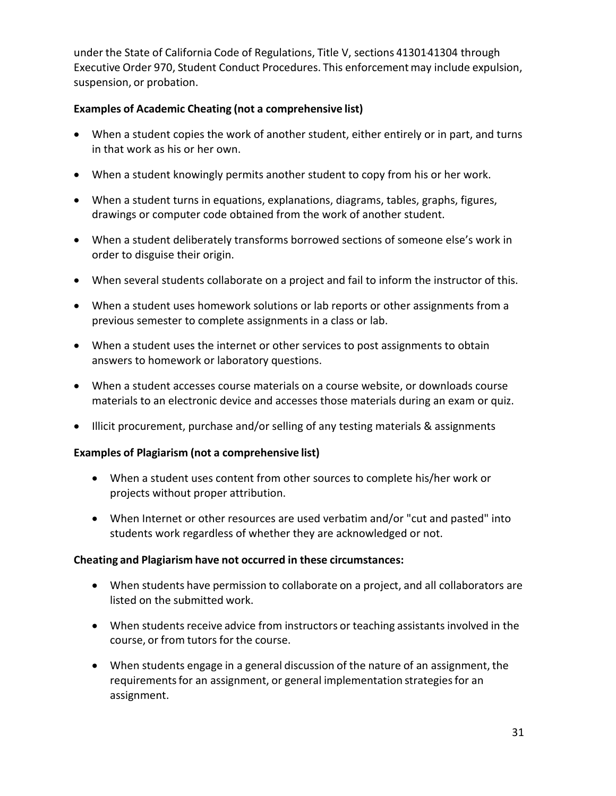under the State of California Code of Regulations, Title V, sections 41301-41304 through Executive Order 970, Student Conduct Procedures. This enforcementmay include expulsion, suspension, or probation.

#### **Examples of Academic Cheating (not a comprehensive list)**

- When a student copies the work of another student, either entirely or in part, and turns in that work as his or her own.
- When a student knowingly permits another student to copy from his or her work.
- When a student turns in equations, explanations, diagrams, tables, graphs, figures, drawings or computer code obtained from the work of another student.
- When a student deliberately transforms borrowed sections of someone else's work in order to disguise their origin.
- When several students collaborate on a project and fail to inform the instructor of this.
- When a student uses homework solutions or lab reports or other assignments from a previous semester to complete assignments in a class or lab.
- When a student uses the internet or other services to post assignments to obtain answers to homework or laboratory questions.
- When a student accesses course materials on a course website, or downloads course materials to an electronic device and accesses those materials during an exam or quiz.
- Illicit procurement, purchase and/or selling of any testing materials & assignments

#### **Examples of Plagiarism (not a comprehensive list)**

- When a student uses content from other sources to complete his/her work or projects without proper attribution.
- When Internet or other resources are used verbatim and/or "cut and pasted" into students work regardless of whether they are acknowledged or not.

#### **Cheating and Plagiarism have not occurred in these circumstances:**

- When students have permission to collaborate on a project, and all collaborators are listed on the submitted work.
- When students receive advice from instructors or teaching assistants involved in the course, or from tutors for the course.
- When students engage in a general discussion of the nature of an assignment, the requirements for an assignment, or general implementation strategies for an assignment.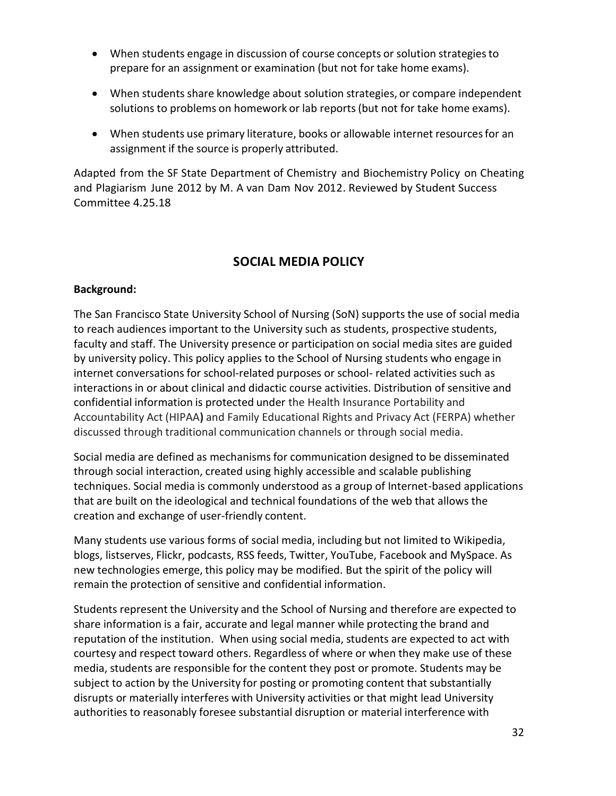- When students engage in discussion of course concepts or solution strategies to prepare for an assignment or examination (but not for take home exams).
- When students share knowledge about solution strategies, or compare independent solutions to problems on homework or lab reports(but not for take home exams).
- When students use primary literature, books or allowable internet resources for an assignment if the source is properly attributed.

Adapted from the SF State Department of Chemistry and Biochemistry Policy on Cheating and Plagiarism June 2012 by M. A van Dam Nov 2012. Reviewed by Student Success Committee 4.25.18

## **SOCIAL MEDIA POLICY**

#### <span id="page-31-0"></span>**Background:**

The San Francisco State University School of Nursing (SoN) supports the use of social media to reach audiences important to the University such as students, prospective students, faculty and staff. The University presence or participation on social media sites are guided by university policy. This policy applies to the School of Nursing students who engage in internet conversations for school-related purposes or school- related activities such as interactions in or about clinical and didactic course activities. Distribution of sensitive and confidential information is protected under the Health Insurance Portability and Accountability Act (HIPAA**)** and Family Educational Rights and Privacy Act (FERPA) whether discussed through traditional communication channels or through social media.

Social media are defined as mechanismsfor communication designed to be disseminated through social interaction, created using highly accessible and scalable publishing techniques. Social media is commonly understood as a group of Internet-based applications that are built on the ideological and technical foundations of the web that allows the creation and exchange of user-friendly content.

Many students use various forms of social media, including but not limited to Wikipedia, blogs, listserves, Flickr, podcasts, RSS feeds, Twitter, YouTube, Facebook and MySpace. As new technologies emerge, this policy may be modified. But the spirit of the policy will remain the protection of sensitive and confidential information.

Students represent the University and the School of Nursing and therefore are expected to share information is a fair, accurate and legal manner while protecting the brand and reputation of the institution. When using social media, students are expected to act with courtesy and respect toward others. Regardless of where or when they make use of these media, students are responsible for the content they post or promote. Students may be subject to action by the University for posting or promoting content that substantially disrupts or materially interferes with University activities or that might lead University authorities to reasonably foresee substantial disruption or material interference with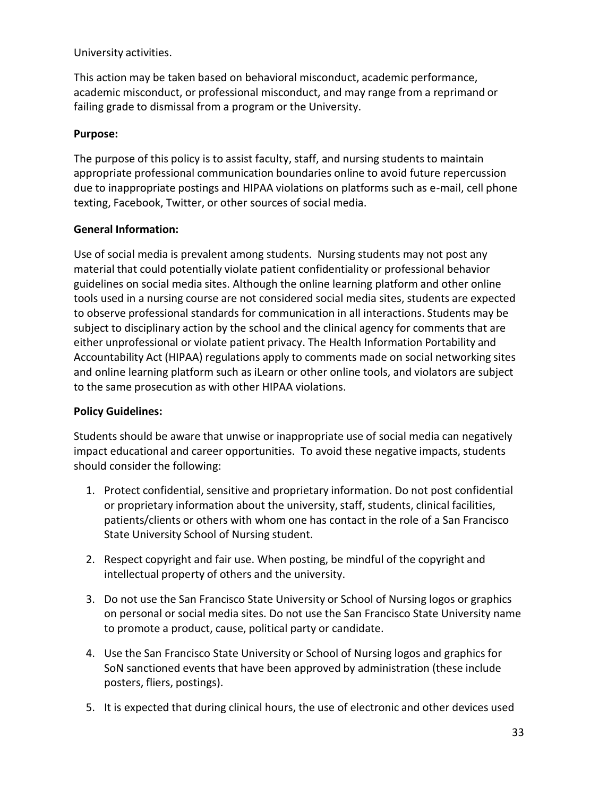University activities.

This action may be taken based on behavioral misconduct, academic performance, academic misconduct, or professional misconduct, and may range from a reprimand or failing grade to dismissal from a program or the University.

#### **Purpose:**

The purpose of this policy is to assist faculty, staff, and nursing students to maintain appropriate professional communication boundaries online to avoid future repercussion due to inappropriate postings and HIPAA violations on platforms such as e-mail, cell phone texting, Facebook, Twitter, or other sources of social media.

#### **General Information:**

Use of social media is prevalent among students. Nursing students may not post any material that could potentially violate patient confidentiality or professional behavior guidelines on social media sites. Although the online learning platform and other online tools used in a nursing course are not considered social media sites, students are expected to observe professional standards for communication in all interactions. Students may be subject to disciplinary action by the school and the clinical agency for comments that are either unprofessional or violate patient privacy. The Health Information Portability and Accountability Act (HIPAA) regulations apply to comments made on social networking sites and online learning platform such as iLearn or other online tools, and violators are subject to the same prosecution as with other HIPAA violations.

#### **Policy Guidelines:**

Students should be aware that unwise or inappropriate use of social media can negatively impact educational and career opportunities. To avoid these negative impacts, students should consider the following:

- 1. Protect confidential, sensitive and proprietary information. Do not post confidential or proprietary information about the university, staff, students, clinical facilities, patients/clients or others with whom one has contact in the role of a San Francisco State University School of Nursing student.
- 2. Respect copyright and fair use. When posting, be mindful of the copyright and intellectual property of others and the university.
- 3. Do not use the San Francisco State University or School of Nursing logos or graphics on personal or social media sites. Do not use the San Francisco State University name to promote a product, cause, political party or candidate.
- 4. Use the San Francisco State University or School of Nursing logos and graphics for SoN sanctioned events that have been approved by administration (these include posters, fliers, postings).
- 5. It is expected that during clinical hours, the use of electronic and other devices used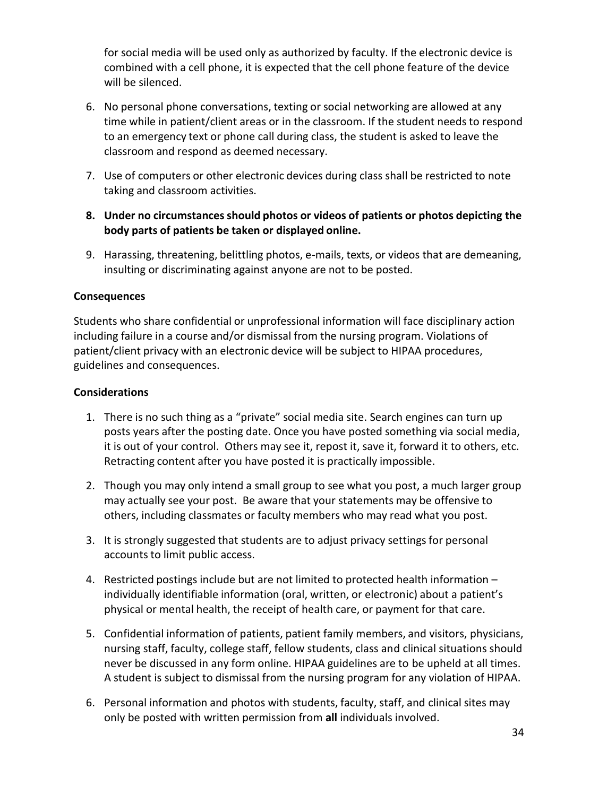for social media will be used only as authorized by faculty. If the electronic device is combined with a cell phone, it is expected that the cell phone feature of the device will be silenced.

- 6. No personal phone conversations, texting or social networking are allowed at any time while in patient/client areas or in the classroom. If the student needs to respond to an emergency text or phone call during class, the student is asked to leave the classroom and respond as deemed necessary.
- 7. Use of computers or other electronic devices during class shall be restricted to note taking and classroom activities.
- **8. Under no circumstances should photos or videos of patients or photos depicting the body parts of patients be taken or displayed online.**
- 9. Harassing, threatening, belittling photos, e-mails, texts, or videos that are demeaning, insulting or discriminating against anyone are not to be posted.

#### **Consequences**

Students who share confidential or unprofessional information will face disciplinary action including failure in a course and/or dismissal from the nursing program. Violations of patient/client privacy with an electronic device will be subject to HIPAA procedures, guidelines and consequences.

#### **Considerations**

- 1. There is no such thing as a "private" social media site. Search engines can turn up posts years after the posting date. Once you have posted something via social media, it is out of your control. Others may see it, repost it, save it, forward it to others, etc. Retracting content after you have posted it is practically impossible.
- 2. Though you may only intend a small group to see what you post, a much larger group may actually see your post. Be aware that your statements may be offensive to others, including classmates or faculty members who may read what you post.
- 3. It is strongly suggested that students are to adjust privacy settingsfor personal accounts to limit public access.
- 4. Restricted postings include but are not limited to protected health information individually identifiable information (oral, written, or electronic) about a patient's physical or mental health, the receipt of health care, or payment for that care.
- 5. Confidential information of patients, patient family members, and visitors, physicians, nursing staff, faculty, college staff, fellow students, class and clinical situations should never be discussed in any form online. HIPAA guidelines are to be upheld at all times. A student is subject to dismissal from the nursing program for any violation of HIPAA.
- 6. Personal information and photos with students, faculty, staff, and clinical sites may only be posted with written permission from **all** individuals involved.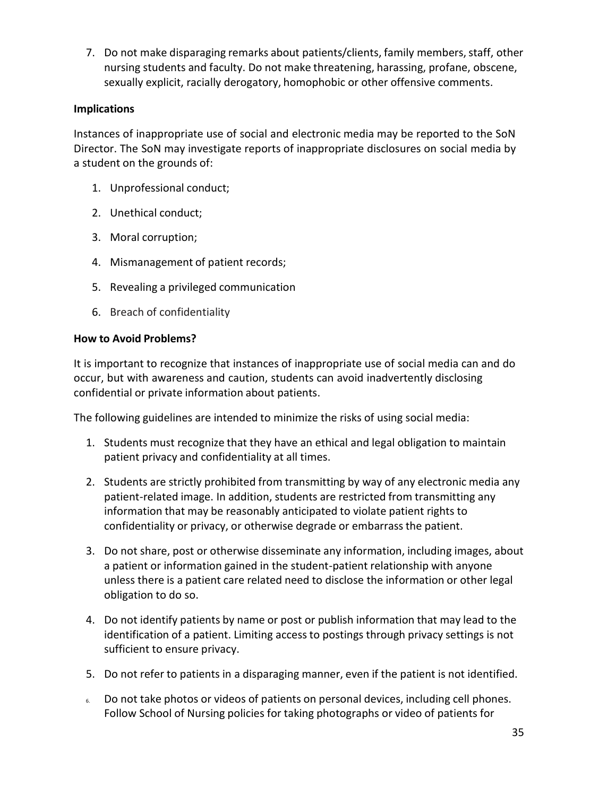7. Do not make disparaging remarks about patients/clients, family members, staff, other nursing students and faculty. Do not make threatening, harassing, profane, obscene, sexually explicit, racially derogatory, homophobic or other offensive comments.

#### **Implications**

Instances of inappropriate use of social and electronic media may be reported to the SoN Director. The SoN may investigate reports of inappropriate disclosures on social media by a student on the grounds of:

- 1. Unprofessional conduct;
- 2. Unethical conduct;
- 3. Moral corruption;
- 4. Mismanagement of patient records;
- 5. Revealing a privileged communication
- 6. Breach of confidentiality

#### **How to Avoid Problems?**

It is important to recognize that instances of inappropriate use of social media can and do occur, but with awareness and caution, students can avoid inadvertently disclosing confidential or private information about patients.

The following guidelines are intended to minimize the risks of using social media:

- 1. Students must recognize that they have an ethical and legal obligation to maintain patient privacy and confidentiality at all times.
- 2. Students are strictly prohibited from transmitting by way of any electronic media any patient-related image. In addition, students are restricted from transmitting any information that may be reasonably anticipated to violate patient rights to confidentiality or privacy, or otherwise degrade or embarrass the patient.
- 3. Do not share, post or otherwise disseminate any information, including images, about a patient or information gained in the student-patient relationship with anyone unless there is a patient care related need to disclose the information or other legal obligation to do so.
- 4. Do not identify patients by name or post or publish information that may lead to the identification of a patient. Limiting accessto postings through privacy settings is not sufficient to ensure privacy.
- 5. Do not refer to patients in a disparaging manner, even if the patient is not identified.
- 6. Do not take photos or videos of patients on personal devices, including cell phones. Follow School of Nursing policies for taking photographs or video of patients for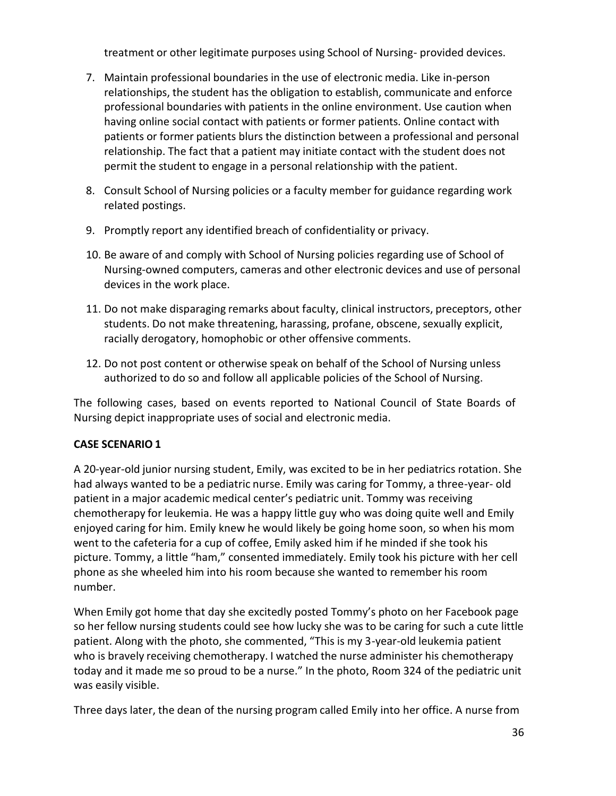treatment or other legitimate purposes using School of Nursing- provided devices.

- 7. Maintain professional boundaries in the use of electronic media. Like in-person relationships, the student has the obligation to establish, communicate and enforce professional boundaries with patients in the online environment. Use caution when having online social contact with patients or former patients. Online contact with patients or former patients blurs the distinction between a professional and personal relationship. The fact that a patient may initiate contact with the student does not permit the student to engage in a personal relationship with the patient.
- 8. Consult School of Nursing policies or a faculty member for guidance regarding work related postings.
- 9. Promptly report any identified breach of confidentiality or privacy.
- 10. Be aware of and comply with School of Nursing policies regarding use of School of Nursing-owned computers, cameras and other electronic devices and use of personal devices in the work place.
- 11. Do not make disparaging remarks about faculty, clinical instructors, preceptors, other students. Do not make threatening, harassing, profane, obscene, sexually explicit, racially derogatory, homophobic or other offensive comments.
- 12. Do not post content or otherwise speak on behalf of the School of Nursing unless authorized to do so and follow all applicable policies of the School of Nursing.

The following cases, based on events reported to National Council of State Boards of Nursing depict inappropriate uses of social and electronic media.

### **CASE SCENARIO 1**

A 20-year-old junior nursing student, Emily, was excited to be in her pediatrics rotation. She had always wanted to be a pediatric nurse. Emily was caring for Tommy, a three-year- old patient in a major academic medical center's pediatric unit. Tommy was receiving chemotherapy for leukemia. He was a happy little guy who was doing quite well and Emily enjoyed caring for him. Emily knew he would likely be going home soon, so when his mom went to the cafeteria for a cup of coffee, Emily asked him if he minded if she took his picture. Tommy, a little "ham," consented immediately. Emily took his picture with her cell phone as she wheeled him into his room because she wanted to remember his room number.

When Emily got home that day she excitedly posted Tommy's photo on her Facebook page so her fellow nursing students could see how lucky she was to be caring for such a cute little patient. Along with the photo, she commented, "This is my 3-year-old leukemia patient who is bravely receiving chemotherapy. I watched the nurse administer his chemotherapy today and it made me so proud to be a nurse." In the photo, Room 324 of the pediatric unit was easily visible.

Three days later, the dean of the nursing program called Emily into her office. A nurse from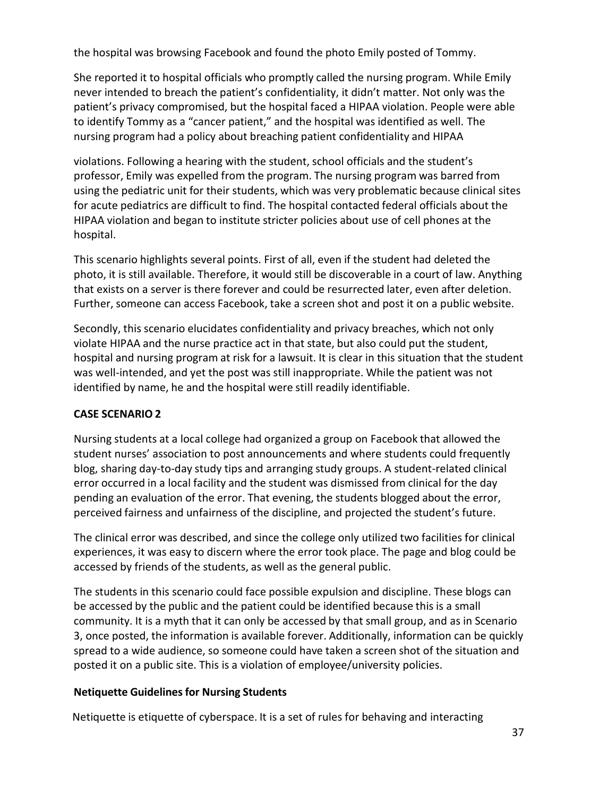the hospital was browsing Facebook and found the photo Emily posted of Tommy.

She reported it to hospital officials who promptly called the nursing program. While Emily never intended to breach the patient's confidentiality, it didn't matter. Not only was the patient's privacy compromised, but the hospital faced a HIPAA violation. People were able to identify Tommy as a "cancer patient," and the hospital was identified as well. The nursing program had a policy about breaching patient confidentiality and HIPAA

violations. Following a hearing with the student, school officials and the student's professor, Emily was expelled from the program. The nursing program was barred from using the pediatric unit for their students, which was very problematic because clinical sites for acute pediatrics are difficult to find. The hospital contacted federal officials about the HIPAA violation and began to institute stricter policies about use of cell phones at the hospital.

This scenario highlights several points. First of all, even if the student had deleted the photo, it is still available. Therefore, it would still be discoverable in a court of law. Anything that exists on a server is there forever and could be resurrected later, even after deletion. Further, someone can access Facebook, take a screen shot and post it on a public website.

Secondly, this scenario elucidates confidentiality and privacy breaches, which not only violate HIPAA and the nurse practice act in that state, but also could put the student, hospital and nursing program at risk for a lawsuit. It is clear in this situation that the student was well-intended, and yet the post was still inappropriate. While the patient was not identified by name, he and the hospital were still readily identifiable.

### **CASE SCENARIO 2**

Nursing students at a local college had organized a group on Facebook that allowed the student nurses' association to post announcements and where students could frequently blog, sharing day-to-day study tips and arranging study groups. A student-related clinical error occurred in a local facility and the student was dismissed from clinical for the day pending an evaluation of the error. That evening, the students blogged about the error, perceived fairness and unfairness of the discipline, and projected the student's future.

The clinical error was described, and since the college only utilized two facilities for clinical experiences, it was easy to discern where the error took place. The page and blog could be accessed by friends of the students, as well as the general public.

The students in this scenario could face possible expulsion and discipline. These blogs can be accessed by the public and the patient could be identified because this is a small community. It is a myth that it can only be accessed by that small group, and as in Scenario 3, once posted, the information is available forever. Additionally, information can be quickly spread to a wide audience, so someone could have taken a screen shot of the situation and posted it on a public site. This is a violation of employee/university policies.

#### **Netiquette Guidelines for Nursing Students**

Netiquette is etiquette of cyberspace. It is a set of rules for behaving and interacting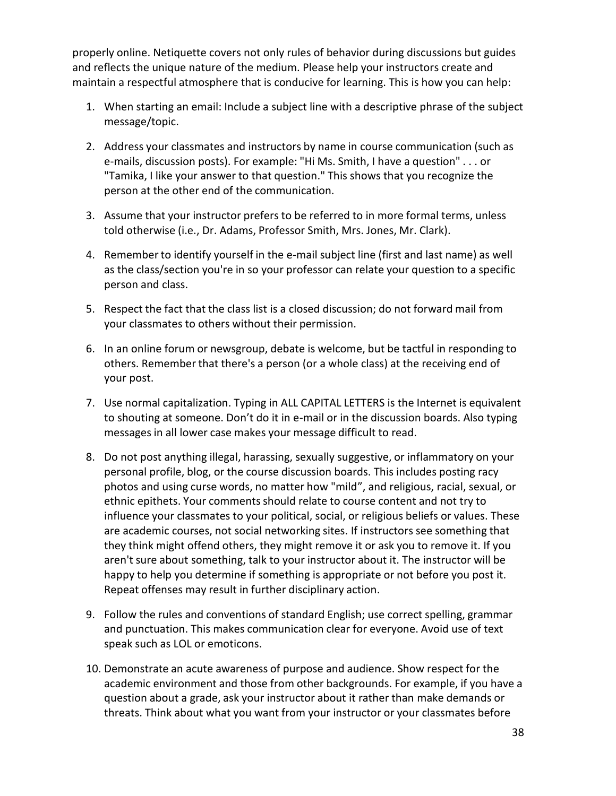properly online. Netiquette covers not only rules of behavior during discussions but guides and reflects the unique nature of the medium. Please help your instructors create and maintain a respectful atmosphere that is conducive for learning. This is how you can help:

- 1. When starting an email: Include a subject line with a descriptive phrase of the subject message/topic.
- 2. Address your classmates and instructors by name in course communication (such as e-mails, discussion posts). For example: "Hi Ms. Smith, I have a question" . . . or "Tamika, I like your answer to that question." This shows that you recognize the person at the other end of the communication.
- 3. Assume that your instructor prefers to be referred to in more formal terms, unless told otherwise (i.e., Dr. Adams, Professor Smith, Mrs. Jones, Mr. Clark).
- 4. Remember to identify yourself in the e-mail subject line (first and last name) as well as the class/section you're in so your professor can relate your question to a specific person and class.
- 5. Respect the fact that the class list is a closed discussion; do not forward mail from your classmates to others without their permission.
- 6. In an online forum or newsgroup, debate is welcome, but be tactful in responding to others. Remember that there's a person (or a whole class) at the receiving end of your post.
- 7. Use normal capitalization. Typing in ALL CAPITAL LETTERS is the Internet is equivalent to shouting at someone. Don't do it in e-mail or in the discussion boards. Also typing messages in all lower case makes your message difficult to read.
- 8. Do not post anything illegal, harassing, sexually suggestive, or inflammatory on your personal profile, blog, or the course discussion boards. This includes posting racy photos and using curse words, no matter how "mild", and religious, racial, sexual, or ethnic epithets. Your comments should relate to course content and not try to influence your classmates to your political, social, or religious beliefs or values. These are academic courses, not social networking sites. If instructors see something that they think might offend others, they might remove it or ask you to remove it. If you aren't sure about something, talk to your instructor about it. The instructor will be happy to help you determine if something is appropriate or not before you post it. Repeat offenses may result in further disciplinary action.
- 9. Follow the rules and conventions of standard English; use correct spelling, grammar and punctuation. This makes communication clear for everyone. Avoid use of text speak such as LOL or emoticons.
- 10. Demonstrate an acute awareness of purpose and audience. Show respect for the academic environment and those from other backgrounds. For example, if you have a question about a grade, ask your instructor about it rather than make demands or threats. Think about what you want from your instructor or your classmates before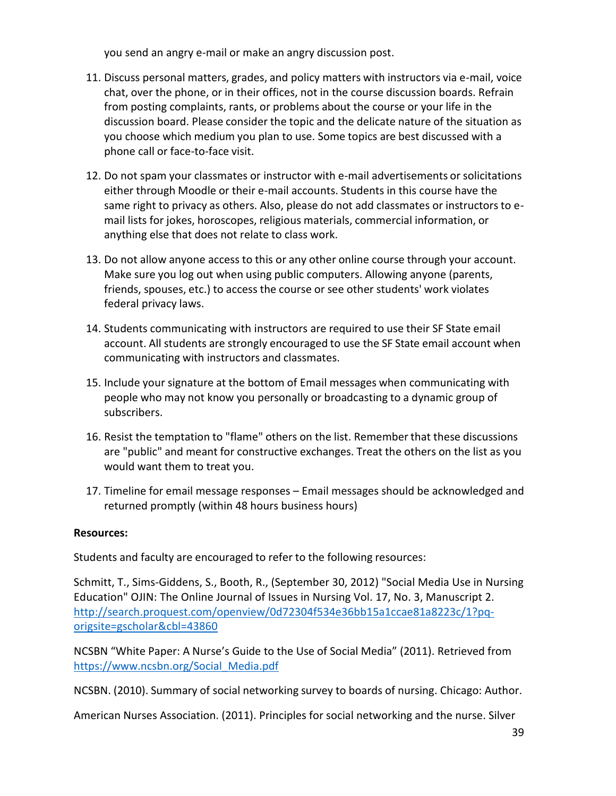you send an angry e-mail or make an angry discussion post.

- 11. Discuss personal matters, grades, and policy matters with instructors via e-mail, voice chat, over the phone, or in their offices, not in the course discussion boards. Refrain from posting complaints, rants, or problems about the course or your life in the discussion board. Please consider the topic and the delicate nature of the situation as you choose which medium you plan to use. Some topics are best discussed with a phone call or face-to-face visit.
- 12. Do not spam your classmates or instructor with e-mail advertisements or solicitations either through Moodle or their e-mail accounts. Students in this course have the same right to privacy as others. Also, please do not add classmates or instructors to email lists for jokes, horoscopes, religious materials, commercial information, or anything else that does not relate to class work.
- 13. Do not allow anyone access to this or any other online course through your account. Make sure you log out when using public computers. Allowing anyone (parents, friends, spouses, etc.) to access the course or see other students' work violates federal privacy laws.
- 14. Students communicating with instructors are required to use their SF State email account. All students are strongly encouraged to use the SF State email account when communicating with instructors and classmates.
- 15. Include your signature at the bottom of Email messages when communicating with people who may not know you personally or broadcasting to a dynamic group of subscribers.
- 16. Resist the temptation to "flame" others on the list. Remember that these discussions are "public" and meant for constructive exchanges. Treat the others on the list as you would want them to treat you.
- 17. Timeline for email message responses Email messages should be acknowledged and returned promptly (within 48 hours business hours)

#### **Resources:**

Students and faculty are encouraged to refer to the following resources:

Schmitt, T., Sims-Giddens, S., Booth, R., (September 30, 2012) "Social Media Use in Nursing Education" OJIN: The Online Journal of Issues in Nursing Vol. 17, No. 3, Manuscript 2. [http://search.proquest.com/openview/0d72304f534e36bb15a1ccae81a8223c/1?pq](http://search.proquest.com/openview/0d72304f534e36bb15a1ccae81a8223c/1?pq-origsite=gscholar&cbl=43860)[origsite=gscholar&cbl=43860](http://search.proquest.com/openview/0d72304f534e36bb15a1ccae81a8223c/1?pq-origsite=gscholar&cbl=43860)

NCSBN "White Paper: A Nurse's Guide to the Use of Social Media" (2011). Retrieved from [https://www.ncsbn.org/Social\\_Media.pdf](https://www.ncsbn.org/Social_Media.pdf)

NCSBN. (2010). Summary of social networking survey to boards of nursing. Chicago: Author.

American Nurses Association. (2011). Principles for social networking and the nurse. Silver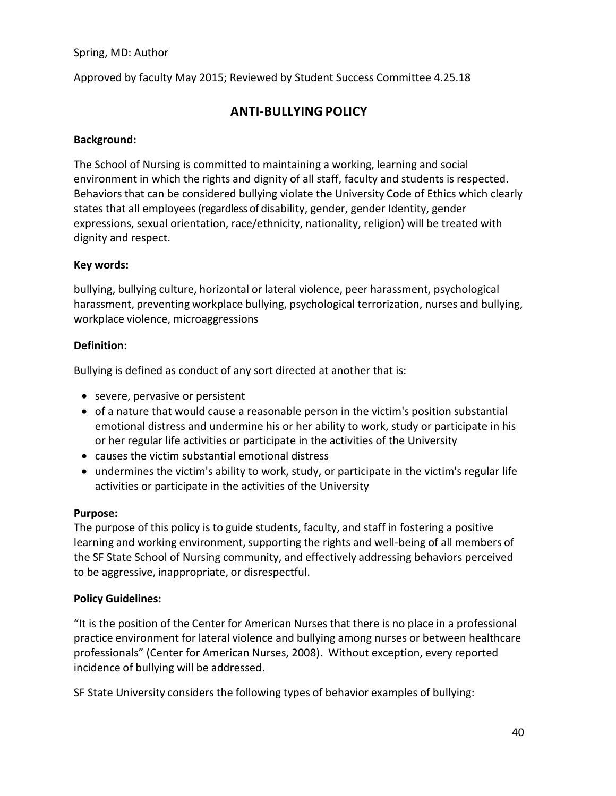Spring, MD: Author

<span id="page-39-0"></span>Approved by faculty May 2015; Reviewed by Student Success Committee 4.25.18

## **ANTI-BULLYING POLICY**

#### **Background:**

The School of Nursing is committed to maintaining a working, learning and social environment in which the rights and dignity of all staff, faculty and students is respected. Behaviors that can be considered bullying violate the University Code of Ethics which clearly states that all employees(regardless of disability, gender, gender Identity, gender expressions, sexual orientation, race/ethnicity, nationality, religion) will be treated with dignity and respect.

#### **Key words:**

bullying, bullying culture, horizontal or lateral violence, peer harassment, psychological harassment, preventing workplace bullying, psychological terrorization, nurses and bullying, workplace violence, microaggressions

#### **Definition:**

Bullying is defined as conduct of any sort directed at another that is:

- severe, pervasive or persistent
- of a nature that would cause a reasonable person in the victim's position substantial emotional distress and undermine his or her ability to work, study or participate in his or her regular life activities or participate in the activities of the University
- causes the victim substantial emotional distress
- undermines the victim's ability to work, study, or participate in the victim's regular life activities or participate in the activities of the University

#### **Purpose:**

The purpose of this policy is to guide students, faculty, and staff in fostering a positive learning and working environment, supporting the rights and well-being of all members of the SF State School of Nursing community, and effectively addressing behaviors perceived to be aggressive, inappropriate, or disrespectful.

#### **Policy Guidelines:**

"It is the position of the Center for American Nurses that there is no place in a professional practice environment for lateral violence and bullying among nurses or between healthcare professionals" (Center for American Nurses, 2008). Without exception, every reported incidence of bullying will be addressed.

SF State University considers the following types of behavior examples of bullying: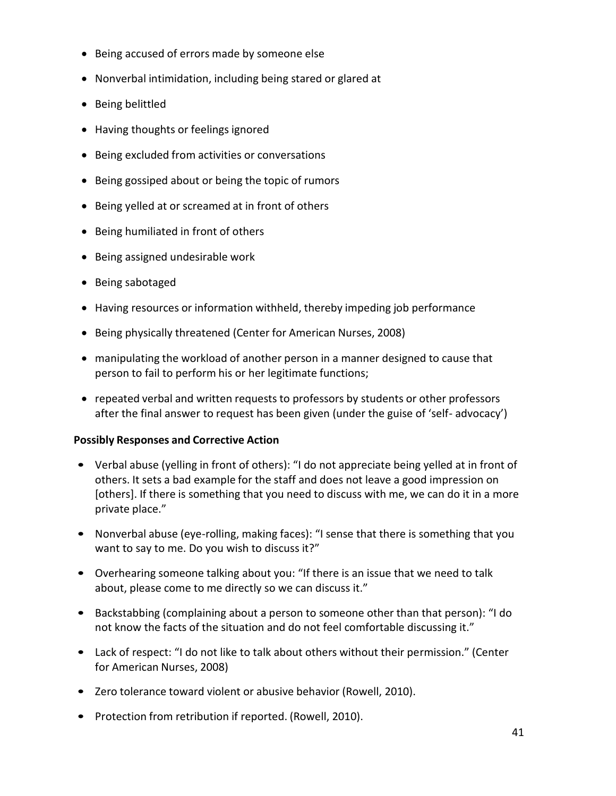- Being accused of errors made by someone else
- Nonverbal intimidation, including being stared or glared at
- Being belittled
- Having thoughts or feelings ignored
- Being excluded from activities or conversations
- Being gossiped about or being the topic of rumors
- Being yelled at or screamed at in front of others
- Being humiliated in front of others
- Being assigned undesirable work
- Being sabotaged
- Having resources or information withheld, thereby impeding job performance
- Being physically threatened (Center for American Nurses, 2008)
- manipulating the workload of another person in a manner designed to cause that person to fail to perform his or her legitimate functions;
- repeated verbal and written requests to professors by students or other professors after the final answer to request has been given (under the guise of 'self- advocacy')

#### **Possibly Responses and Corrective Action**

- Verbal abuse (yelling in front of others): "I do not appreciate being yelled at in front of others. It sets a bad example for the staff and does not leave a good impression on [others]. If there is something that you need to discuss with me, we can do it in a more private place."
- Nonverbal abuse (eye-rolling, making faces): "I sense that there is something that you want to say to me. Do you wish to discuss it?"
- Overhearing someone talking about you: "If there is an issue that we need to talk about, please come to me directly so we can discuss it."
- Backstabbing (complaining about a person to someone other than that person): "I do not know the facts of the situation and do not feel comfortable discussing it."
- Lack of respect: "I do not like to talk about others without their permission." (Center for American Nurses, 2008)
- Zero tolerance toward violent or abusive behavior (Rowell, 2010).
- Protection from retribution if reported. (Rowell, 2010).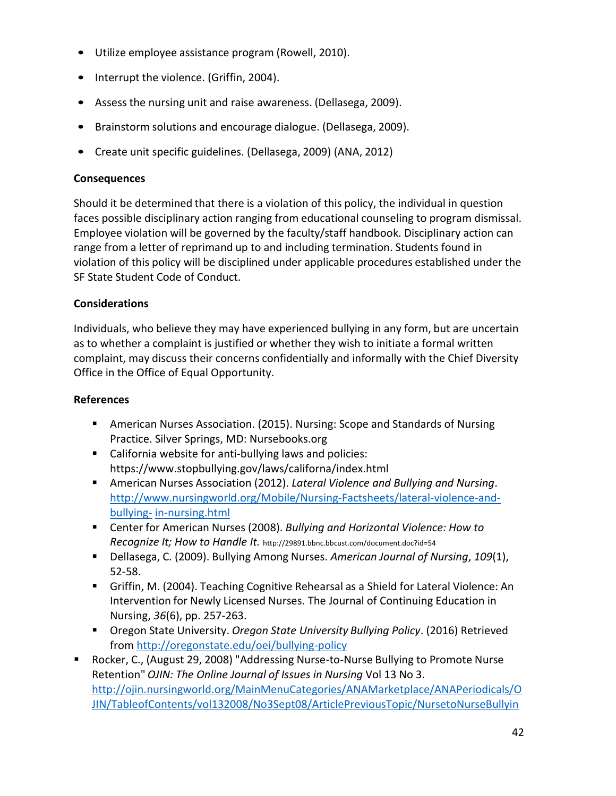- Utilize employee assistance program (Rowell, 2010).
- Interrupt the violence. (Griffin, 2004).
- Assess the nursing unit and raise awareness. (Dellasega, 2009).
- Brainstorm solutions and encourage dialogue. (Dellasega, 2009).
- Create unit specific guidelines. (Dellasega, 2009) (ANA, 2012)

#### **Consequences**

Should it be determined that there is a violation of this policy, the individual in question faces possible disciplinary action ranging from educational counseling to program dismissal. Employee violation will be governed by the faculty/staff handbook. Disciplinary action can range from a letter of reprimand up to and including termination. Students found in violation of this policy will be disciplined under applicable procedures established under the SF State Student Code of Conduct.

#### **Considerations**

Individuals, who believe they may have experienced bullying in any form, but are uncertain as to whether a complaint is justified or whether they wish to initiate a formal written complaint, may discuss their concerns confidentially and informally with the Chief Diversity Office in the Office of Equal Opportunity.

#### **References**

- American Nurses Association. (2015). Nursing: Scope and Standards of Nursing Practice. Silver Springs, MD: Nursebooks.org
- California website for anti-bullying laws and policies: https://www.stopbullying.gov/laws/californa/index.html
- American Nurses Association (2012). *Lateral Violence and Bullying and Nursing*. [http://www.nursingworld.org/Mobile/Nursing-Factsheets/lateral-violence-and](http://www.nursingworld.org/Mobile/Nursing-Factsheets/lateral-violence-and-bullying-in-nursing.html)[bullying-](http://www.nursingworld.org/Mobile/Nursing-Factsheets/lateral-violence-and-bullying-in-nursing.html) [in-nursing.html](http://www.nursingworld.org/Mobile/Nursing-Factsheets/lateral-violence-and-bullying-in-nursing.html)
- Center for American Nurses (2008). *Bullying and Horizontal Violence: How to Recognize It; How to Handle It.* <http://29891.bbnc.bbcust.com/document.doc?id=54>
- Dellasega, C. (2009). Bullying Among Nurses. *American Journal of Nursing*, *109*(1), 52-58.
- Griffin, M. (2004). Teaching Cognitive Rehearsal as a Shield for Lateral Violence: An Intervention for Newly Licensed Nurses. The Journal of Continuing Education in Nursing, *36*(6), pp. 257-263.
- Oregon State University. *Oregon State University Bullying Policy*. (2016) Retrieved from<http://oregonstate.edu/oei/bullying-policy>
- Rocker, C., (August 29, 2008) "Addressing Nurse-to-Nurse Bullying to Promote Nurse Retention" *OJIN: The Online Journal of Issues in Nursing* Vol 13 No 3. [http://ojin.nursingworld.org/MainMenuCategories/ANAMarketplace/ANAPeriodicals/O](http://ojin.nursingworld.org/MainMenuCategories/ANAMarketplace/ANAPeriodicals/OJIN/TableofContents/vol132008/No3Sept08/ArticlePreviousTopic/NursetoNurseBullying.html) [JIN/TableofContents/vol132008/No3Sept08/ArticlePreviousTopic/NursetoNurseBullyin](http://ojin.nursingworld.org/MainMenuCategories/ANAMarketplace/ANAPeriodicals/OJIN/TableofContents/vol132008/No3Sept08/ArticlePreviousTopic/NursetoNurseBullying.html)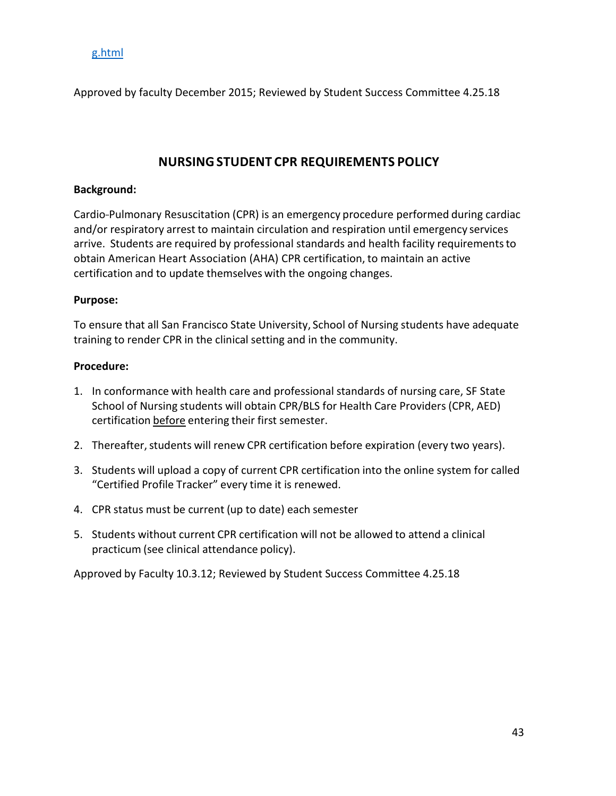#### [g.html](http://ojin.nursingworld.org/MainMenuCategories/ANAMarketplace/ANAPeriodicals/OJIN/TableofContents/vol132008/No3Sept08/ArticlePreviousTopic/NursetoNurseBullying.html)

Approved by faculty December 2015; Reviewed by Student Success Committee 4.25.18

## **NURSINGSTUDENT CPR REQUIREMENTS POLICY**

#### <span id="page-42-0"></span>**Background:**

Cardio-Pulmonary Resuscitation (CPR) is an emergency procedure performed during cardiac and/or respiratory arrest to maintain circulation and respiration until emergency services arrive. Students are required by professional standards and health facility requirementsto obtain American Heart Association (AHA) CPR certification, to maintain an active certification and to update themselves with the ongoing changes.

#### **Purpose:**

To ensure that all San Francisco State University, School of Nursing students have adequate training to render CPR in the clinical setting and in the community.

#### **Procedure:**

- 1. In conformance with health care and professional standards of nursing care, SF State School of Nursing students will obtain CPR/BLS for Health Care Providers(CPR, AED) certification before entering their first semester.
- 2. Thereafter, students will renew CPR certification before expiration (every two years).
- 3. Students will upload a copy of current CPR certification into the online system for called "Certified Profile Tracker" every time it is renewed.
- 4. CPR status must be current (up to date) each semester
- 5. Students without current CPR certification will not be allowed to attend a clinical practicum (see clinical attendance policy).

Approved by Faculty 10.3.12; Reviewed by Student Success Committee 4.25.18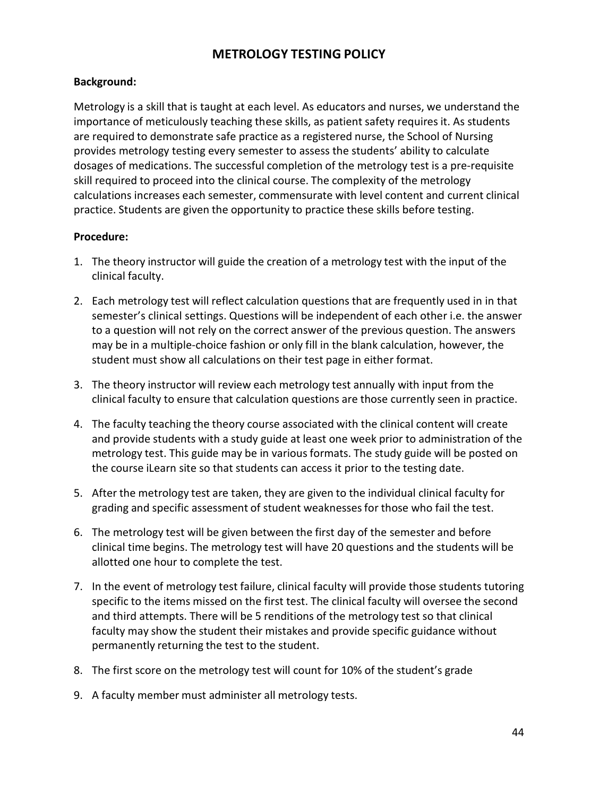## **METROLOGY TESTING POLICY**

#### <span id="page-43-0"></span>**Background:**

Metrology is a skill that is taught at each level. As educators and nurses, we understand the importance of meticulously teaching these skills, as patient safety requires it. As students are required to demonstrate safe practice as a registered nurse, the School of Nursing provides metrology testing every semester to assess the students' ability to calculate dosages of medications. The successful completion of the metrology test is a pre-requisite skill required to proceed into the clinical course. The complexity of the metrology calculations increases each semester, commensurate with level content and current clinical practice. Students are given the opportunity to practice these skills before testing.

#### **Procedure:**

- 1. The theory instructor will guide the creation of a metrology test with the input of the clinical faculty.
- 2. Each metrology test will reflect calculation questions that are frequently used in in that semester's clinical settings. Questions will be independent of each other i.e. the answer to a question will not rely on the correct answer of the previous question. The answers may be in a multiple-choice fashion or only fill in the blank calculation, however, the student must show all calculations on their test page in either format.
- 3. The theory instructor will review each metrology test annually with input from the clinical faculty to ensure that calculation questions are those currently seen in practice.
- 4. The faculty teaching the theory course associated with the clinical content will create and provide students with a study guide at least one week prior to administration of the metrology test. This guide may be in various formats. The study guide will be posted on the course iLearn site so that students can access it prior to the testing date.
- 5. After the metrology test are taken, they are given to the individual clinical faculty for grading and specific assessment of student weaknessesfor those who fail the test.
- 6. The metrology test will be given between the first day of the semester and before clinical time begins. The metrology test will have 20 questions and the students will be allotted one hour to complete the test.
- 7. In the event of metrology test failure, clinical faculty will provide those students tutoring specific to the items missed on the first test. The clinical faculty will oversee the second and third attempts. There will be 5 renditions of the metrology test so that clinical faculty may show the student their mistakes and provide specific guidance without permanently returning the test to the student.
- 8. The first score on the metrology test will count for 10% of the student's grade
- 9. A faculty member must administer all metrology tests.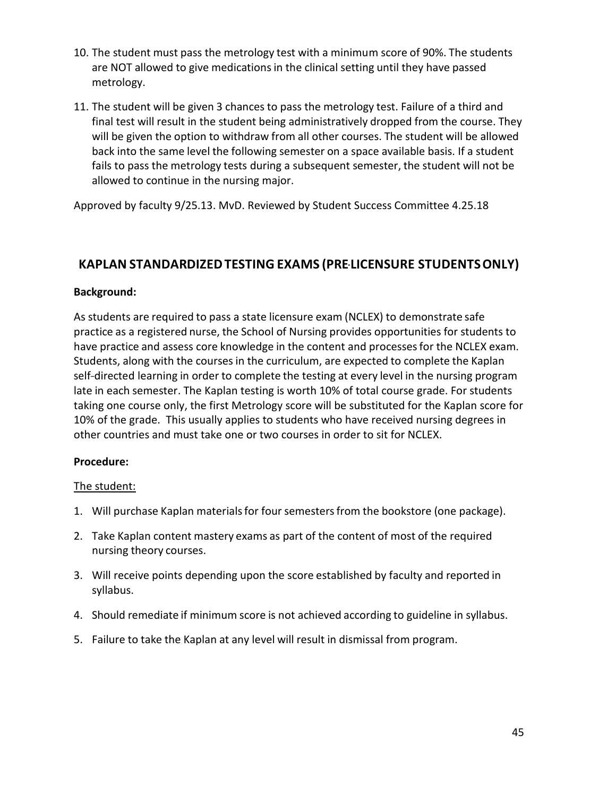- 10. The student must pass the metrology test with a minimum score of 90%. The students are NOT allowed to give medications in the clinical setting until they have passed metrology.
- 11. The student will be given 3 chances to pass the metrology test. Failure of a third and final test will result in the student being administratively dropped from the course. They will be given the option to withdraw from all other courses. The student will be allowed back into the same level the following semester on a space available basis. If a student fails to pass the metrology tests during a subsequent semester, the student will not be allowed to continue in the nursing major.

Approved by faculty 9/25.13. MvD. Reviewed by Student Success Committee 4.25.18

## <span id="page-44-0"></span>**KAPLAN STANDARDIZEDTESTING EXAMS (PRE-LICENSURE STUDENTSONLY)**

#### **Background:**

As students are required to pass a state licensure exam (NCLEX) to demonstrate safe practice as a registered nurse, the School of Nursing provides opportunities for students to have practice and assess core knowledge in the content and processes for the NCLEX exam. Students, along with the coursesin the curriculum, are expected to complete the Kaplan self-directed learning in order to complete the testing at every level in the nursing program late in each semester. The Kaplan testing is worth 10% of total course grade. For students taking one course only, the first Metrology score will be substituted for the Kaplan score for 10% of the grade. This usually applies to students who have received nursing degrees in other countries and must take one or two courses in order to sit for NCLEX.

#### **Procedure:**

#### The student:

- 1. Will purchase Kaplan materials for four semesters from the bookstore (one package).
- 2. Take Kaplan content mastery exams as part of the content of most of the required nursing theory courses.
- 3. Will receive points depending upon the score established by faculty and reported in syllabus.
- 4. Should remediate if minimum score is not achieved according to guideline in syllabus.
- 5. Failure to take the Kaplan at any level will result in dismissal from program.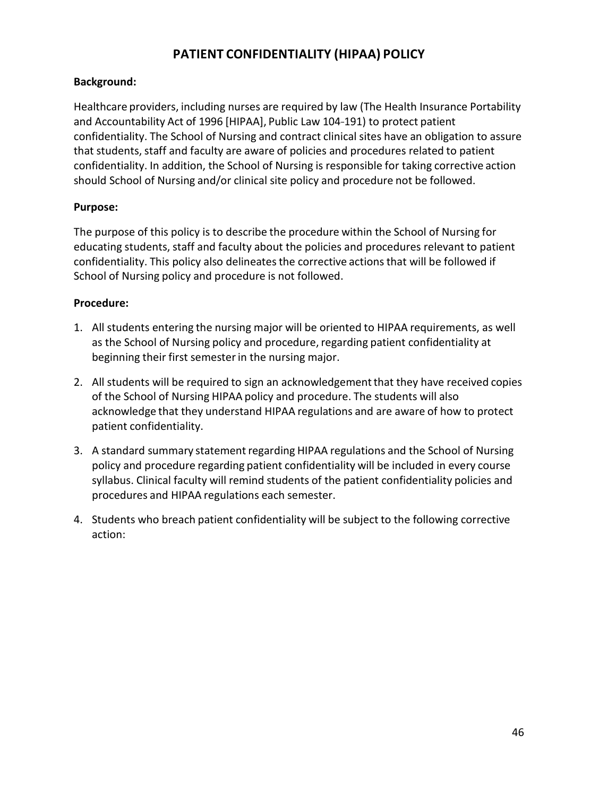## **PATIENT CONFIDENTIALITY (HIPAA) POLICY**

#### <span id="page-45-0"></span>**Background:**

Healthcare providers, including nurses are required by law (The Health Insurance Portability and Accountability Act of 1996 [HIPAA], Public Law 104-191) to protect patient confidentiality. The School of Nursing and contract clinical sites have an obligation to assure that students, staff and faculty are aware of policies and procedures related to patient confidentiality. In addition, the School of Nursing is responsible for taking corrective action should School of Nursing and/or clinical site policy and procedure not be followed.

#### **Purpose:**

The purpose of this policy is to describe the procedure within the School of Nursing for educating students, staff and faculty about the policies and procedures relevant to patient confidentiality. This policy also delineates the corrective actions that will be followed if School of Nursing policy and procedure is not followed.

#### **Procedure:**

- 1. All students entering the nursing major will be oriented to HIPAA requirements, as well as the School of Nursing policy and procedure, regarding patient confidentiality at beginning their first semesterin the nursing major.
- 2. All students will be required to sign an acknowledgementthat they have received copies of the School of Nursing HIPAA policy and procedure. The students will also acknowledge that they understand HIPAA regulations and are aware of how to protect patient confidentiality.
- 3. A standard summary statement regarding HIPAA regulations and the School of Nursing policy and procedure regarding patient confidentiality will be included in every course syllabus. Clinical faculty will remind students of the patient confidentiality policies and procedures and HIPAA regulations each semester.
- 4. Students who breach patient confidentiality will be subject to the following corrective action: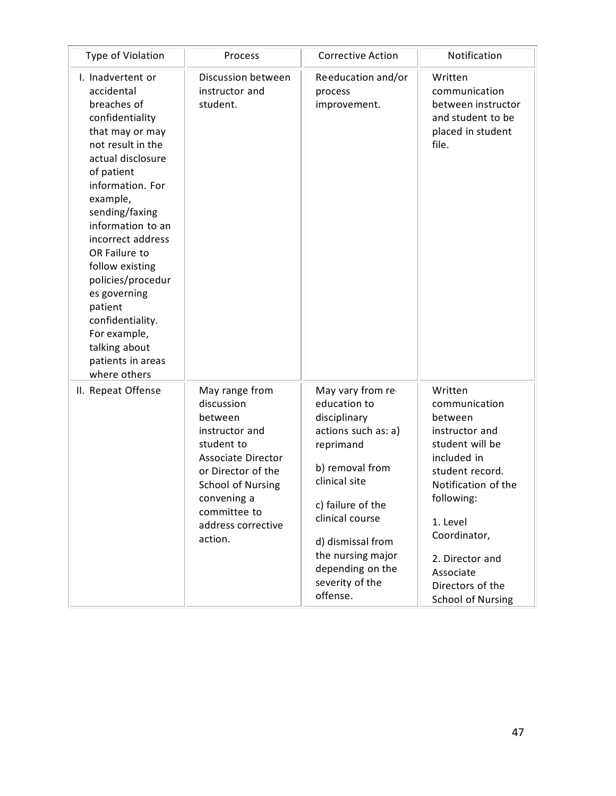| Type of Violation                                                                                                                                                                                                                                                                                                                                                                                                      | Process                                                                                                                                                                                                                | <b>Corrective Action</b>                                                                                                                                                                                                                                       | Notification                                                                                                                                                                                                                                         |
|------------------------------------------------------------------------------------------------------------------------------------------------------------------------------------------------------------------------------------------------------------------------------------------------------------------------------------------------------------------------------------------------------------------------|------------------------------------------------------------------------------------------------------------------------------------------------------------------------------------------------------------------------|----------------------------------------------------------------------------------------------------------------------------------------------------------------------------------------------------------------------------------------------------------------|------------------------------------------------------------------------------------------------------------------------------------------------------------------------------------------------------------------------------------------------------|
| I. Inadvertent or<br>accidental<br>breaches of<br>confidentiality<br>that may or may<br>not result in the<br>actual disclosure<br>of patient<br>information. For<br>example,<br>sending/faxing<br>information to an<br>incorrect address<br>OR Failure to<br>follow existing<br>policies/procedur<br>es governing<br>patient<br>confidentiality.<br>For example,<br>talking about<br>patients in areas<br>where others | Discussion between<br>instructor and<br>student.                                                                                                                                                                       | Reeducation and/or<br>process<br>improvement.                                                                                                                                                                                                                  | Written<br>communication<br>between instructor<br>and student to be<br>placed in student<br>file.                                                                                                                                                    |
| II. Repeat Offense                                                                                                                                                                                                                                                                                                                                                                                                     | May range from<br>discussion<br>between<br>instructor and<br>student to<br><b>Associate Director</b><br>or Director of the<br><b>School of Nursing</b><br>convening a<br>committee to<br>address corrective<br>action. | May vary from re-<br>education to<br>disciplinary<br>actions such as: a)<br>reprimand<br>b) removal from<br>clinical site<br>c) failure of the<br>clinical course<br>d) dismissal from<br>the nursing major<br>depending on the<br>severity of the<br>offense. | Written<br>communication<br>between<br>instructor and<br>student will be<br>included in<br>student record.<br>Notification of the<br>following:<br>1. Level<br>Coordinator,<br>2. Director and<br>Associate<br>Directors of the<br>School of Nursing |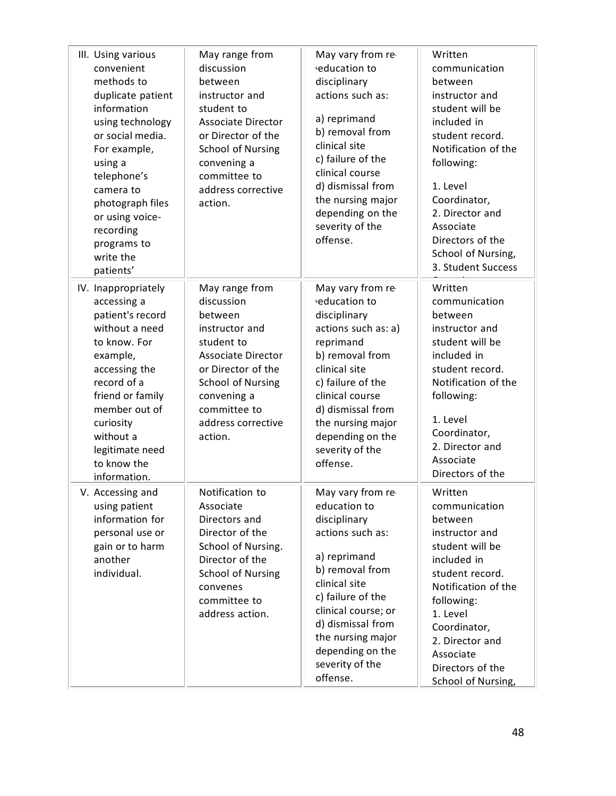| III. Using various<br>convenient<br>methods to<br>duplicate patient<br>information<br>using technology<br>or social media.<br>For example,<br>using a<br>telephone's<br>camera to<br>photograph files<br>or using voice-<br>recording<br>programs to<br>write the<br>patients' | May range from<br>discussion<br>between<br>instructor and<br>student to<br><b>Associate Director</b><br>or Director of the<br><b>School of Nursing</b><br>convening a<br>committee to<br>address corrective<br>action. | May vary from re-<br>education to<br>disciplinary<br>actions such as:<br>a) reprimand<br>b) removal from<br>clinical site<br>c) failure of the<br>clinical course<br>d) dismissal from<br>the nursing major<br>depending on the<br>severity of the<br>offense.     | Written<br>communication<br>between<br>instructor and<br>student will be<br>included in<br>student record.<br>Notification of the<br>following:<br>1. Level<br>Coordinator,<br>2. Director and<br>Associate<br>Directors of the<br>School of Nursing,<br>3. Student Success |
|--------------------------------------------------------------------------------------------------------------------------------------------------------------------------------------------------------------------------------------------------------------------------------|------------------------------------------------------------------------------------------------------------------------------------------------------------------------------------------------------------------------|--------------------------------------------------------------------------------------------------------------------------------------------------------------------------------------------------------------------------------------------------------------------|-----------------------------------------------------------------------------------------------------------------------------------------------------------------------------------------------------------------------------------------------------------------------------|
| IV. Inappropriately<br>accessing a<br>patient's record<br>without a need<br>to know. For<br>example,<br>accessing the<br>record of a<br>friend or family<br>member out of<br>curiosity<br>without a<br>legitimate need<br>to know the<br>information.                          | May range from<br>discussion<br>between<br>instructor and<br>student to<br><b>Associate Director</b><br>or Director of the<br><b>School of Nursing</b><br>convening a<br>committee to<br>address corrective<br>action. | May vary from re-<br>education to<br>disciplinary<br>actions such as: a)<br>reprimand<br>b) removal from<br>clinical site<br>c) failure of the<br>clinical course<br>d) dismissal from<br>the nursing major<br>depending on the<br>severity of the<br>offense.     | Written<br>communication<br>between<br>instructor and<br>student will be<br>included in<br>student record.<br>Notification of the<br>following:<br>1. Level<br>Coordinator,<br>2. Director and<br>Associate<br>Directors of the                                             |
| V. Accessing and<br>using patient<br>information for<br>personal use or<br>gain or to harm<br>another<br>individual.                                                                                                                                                           | Notification to<br>Associate<br>Directors and<br>Director of the<br>School of Nursing.<br>Director of the<br><b>School of Nursing</b><br>convenes<br>committee to<br>address action.                                   | May vary from re-<br>education to<br>disciplinary<br>actions such as:<br>a) reprimand<br>b) removal from<br>clinical site<br>c) failure of the<br>clinical course; or<br>d) dismissal from<br>the nursing major<br>depending on the<br>severity of the<br>offense. | Written<br>communication<br>between<br>instructor and<br>student will be<br>included in<br>student record.<br>Notification of the<br>following:<br>1. Level<br>Coordinator,<br>2. Director and<br>Associate<br>Directors of the<br>School of Nursing,                       |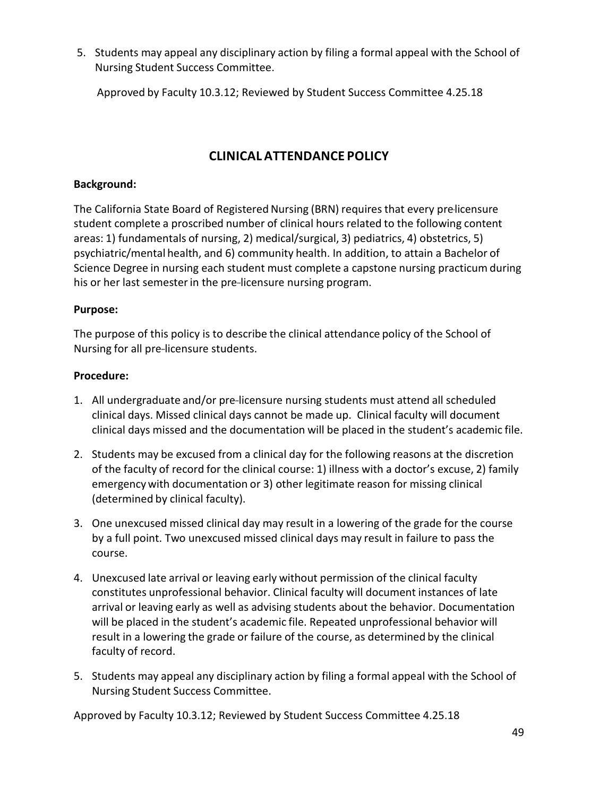5. Students may appeal any disciplinary action by filing a formal appeal with the School of Nursing Student Success Committee.

Approved by Faculty 10.3.12; Reviewed by Student Success Committee 4.25.18

## **CLINICAL ATTENDANCE POLICY**

#### <span id="page-48-0"></span>**Background:**

The California State Board of Registered Nursing (BRN) requires that every pre-licensure student complete a proscribed number of clinical hours related to the following content areas: 1) fundamentals of nursing, 2) medical/surgical, 3) pediatrics, 4) obstetrics, 5) psychiatric/mental health, and 6) community health. In addition, to attain a Bachelor of Science Degree in nursing each student must complete a capstone nursing practicum during his or her last semester in the pre-licensure nursing program.

#### **Purpose:**

The purpose of this policy is to describe the clinical attendance policy of the School of Nursing for all pre-licensure students.

#### **Procedure:**

- 1. All undergraduate and/or pre-licensure nursing students must attend all scheduled clinical days. Missed clinical days cannot be made up. Clinical faculty will document clinical days missed and the documentation will be placed in the student's academic file.
- 2. Students may be excused from a clinical day for the following reasons at the discretion of the faculty of record for the clinical course: 1) illness with a doctor's excuse, 2) family emergencywith documentation or 3) other legitimate reason for missing clinical (determined by clinical faculty).
- 3. One unexcused missed clinical day may result in a lowering of the grade for the course by a full point. Two unexcused missed clinical days may result in failure to pass the course.
- 4. Unexcused late arrival or leaving early without permission of the clinical faculty constitutes unprofessional behavior. Clinical faculty will document instances of late arrival or leaving early as well as advising students about the behavior. Documentation will be placed in the student's academic file. Repeated unprofessional behavior will result in a lowering the grade or failure of the course, as determined by the clinical faculty of record.
- 5. Students may appeal any disciplinary action by filing a formal appeal with the School of Nursing Student Success Committee.

Approved by Faculty 10.3.12; Reviewed by Student Success Committee 4.25.18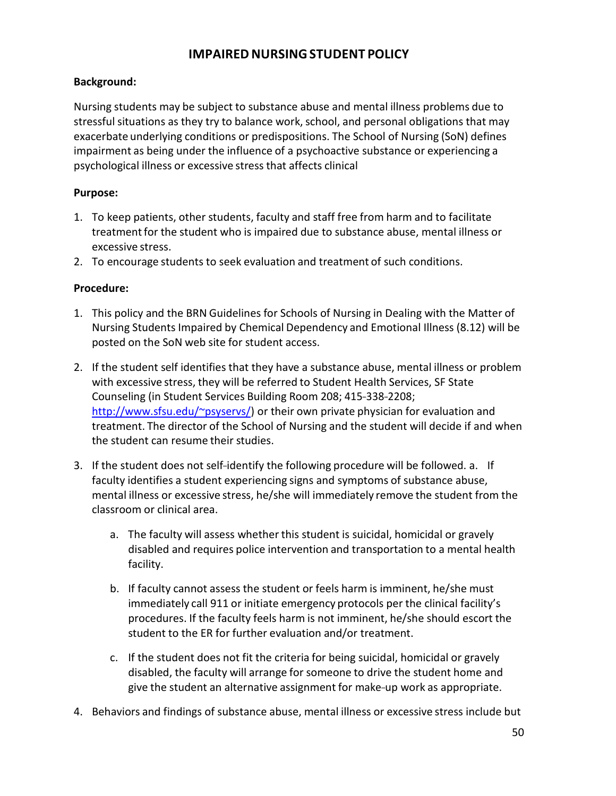## **IMPAIRED NURSINGSTUDENT POLICY**

#### <span id="page-49-0"></span>**Background:**

Nursing students may be subject to substance abuse and mental illness problems due to stressful situations as they try to balance work, school, and personal obligations that may exacerbate underlying conditions or predispositions. The School of Nursing (SoN) defines impairment as being under the influence of a psychoactive substance or experiencing a psychological illness or excessive stressthat affects clinical

#### **Purpose:**

- 1. To keep patients, other students, faculty and staff free from harm and to facilitate treatment for the student who is impaired due to substance abuse, mental illness or excessive stress.
- 2. To encourage students to seek evaluation and treatment of such conditions.

#### **Procedure:**

- 1. This policy and the BRN Guidelines for Schools of Nursing in Dealing with the Matter of Nursing Students Impaired by Chemical Dependency and Emotional Illness (8.12) will be posted on the SoN web site for student access.
- 2. If the student self identifies that they have a substance abuse, mental illness or problem with excessive stress, they will be referred to Student Health Services, SF State Counseling (in Student Services Building Room 208; 415-338-2208; [http://www.sfsu.edu/~psyservs/\)](http://www.sfsu.edu/%7Epsyservs/)) or their own private physician for evaluation and treatment. The director of the School of Nursing and the student will decide if and when the student can resume their studies.
- 3. If the student does not self-identify the following procedure will be followed. a. If faculty identifies a student experiencing signs and symptoms of substance abuse, mental illness or excessive stress, he/she will immediately remove the student from the classroom or clinical area.
	- a. The faculty will assess whether this student is suicidal, homicidal or gravely disabled and requires police intervention and transportation to a mental health facility.
	- b. If faculty cannot assess the student or feels harm is imminent, he/she must immediately call 911 or initiate emergency protocols per the clinical facility's procedures. If the faculty feels harm is not imminent, he/she should escort the student to the ER for further evaluation and/or treatment.
	- c. If the student does not fit the criteria for being suicidal, homicidal or gravely disabled, the faculty will arrange for someone to drive the student home and give the student an alternative assignment for make-up work as appropriate.
- 4. Behaviors and findings of substance abuse, mental illness or excessive stress include but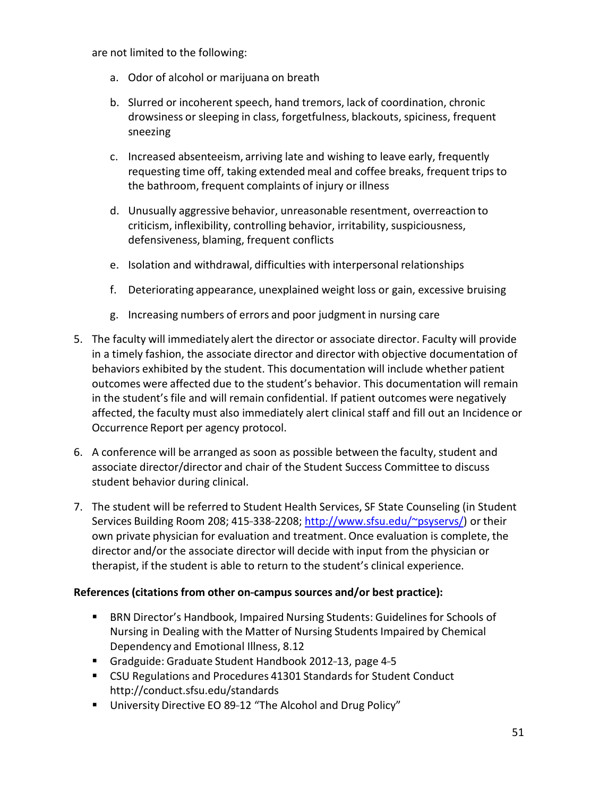are not limited to the following:

- a. Odor of alcohol or marijuana on breath
- b. Slurred or incoherent speech, hand tremors, lack of coordination, chronic drowsiness or sleeping in class, forgetfulness, blackouts, spiciness, frequent sneezing
- c. Increased absenteeism, arriving late and wishing to leave early, frequently requesting time off, taking extended meal and coffee breaks, frequent trips to the bathroom, frequent complaints of injury or illness
- d. Unusually aggressive behavior, unreasonable resentment, overreaction to criticism, inflexibility, controlling behavior, irritability, suspiciousness, defensiveness, blaming, frequent conflicts
- e. Isolation and withdrawal, difficulties with interpersonal relationships
- f. Deteriorating appearance, unexplained weight loss or gain, excessive bruising
- g. Increasing numbers of errors and poor judgment in nursing care
- 5. The faculty will immediately alert the director or associate director. Faculty will provide in a timely fashion, the associate director and director with objective documentation of behaviors exhibited by the student. This documentation will include whether patient outcomes were affected due to the student's behavior. This documentation will remain in the student's file and will remain confidential. If patient outcomes were negatively affected, the faculty must also immediately alert clinical staff and fill out an Incidence or Occurrence Report per agency protocol.
- 6. A conference will be arranged as soon as possible between the faculty, student and associate director/director and chair of the Student Success Committee to discuss student behavior during clinical.
- 7. The student will be referred to Student Health Services, SF State Counseling (in Student Services Building Room 208; 415-338-2208; [http://www.sfsu.edu/~psyservs/\)](http://www.sfsu.edu/%7Epsyservs/)) or their own private physician for evaluation and treatment.Once evaluation is complete, the director and/or the associate director will decide with input from the physician or therapist, if the student is able to return to the student's clinical experience.

#### **References (citations from other on---campus sources and/or best practice):**

- **BRN Director's Handbook, Impaired Nursing Students: Guidelines for Schools of** Nursing in Dealing with the Matter of Nursing Students Impaired by Chemical Dependency and Emotional Illness, 8.12
- Gradguide: Graduate Student Handbook 2012-13, page 4-5
- CSU Regulations and Procedures 41301 Standards for Student Conduct http://conduct.sfsu.edu/standards
- University Directive EO 89-12 "The Alcohol and Drug Policy"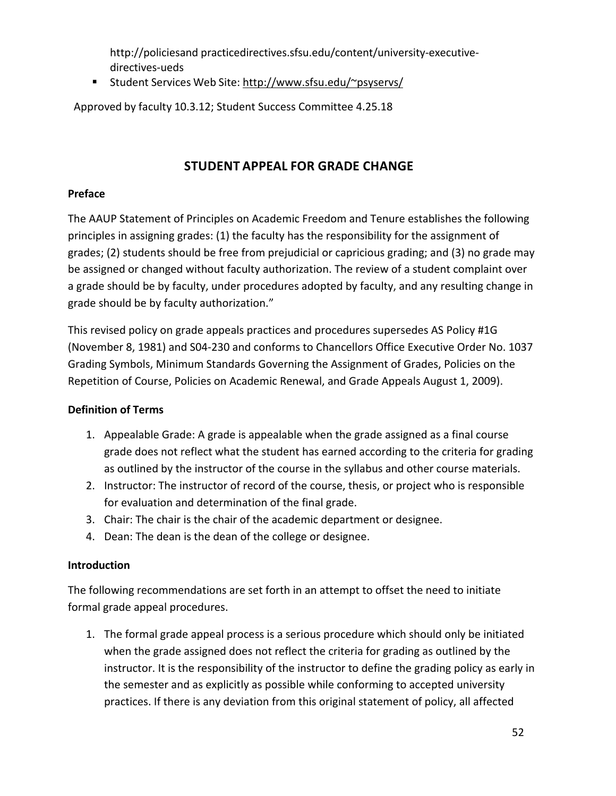[http://policiesand](http://policiesand/) practicedirectives.sfsu.edu/content/university-executivedirectives-ueds

■ Student Services Web Site: [http://www.sfsu.edu/~psyservs/](http://www.sfsu.edu/%7Epsyservs/)

Approved by faculty 10.3.12; Student Success Committee 4.25.18

## **STUDENT APPEAL FOR GRADE CHANGE**

### <span id="page-51-0"></span>**Preface**

The AAUP Statement of Principles on Academic Freedom and Tenure establishes the following principles in assigning grades: (1) the faculty has the responsibility for the assignment of grades; (2) students should be free from prejudicial or capricious grading; and (3) no grade may be assigned or changed without faculty authorization. The review of a student complaint over a grade should be by faculty, under procedures adopted by faculty, and any resulting change in grade should be by faculty authorization."

This revised policy on grade appeals practices and procedures supersedes AS Policy #1G (November 8, 1981) and S04-230 and conforms to Chancellors Office Executive Order No. 1037 Grading Symbols, Minimum Standards Governing the Assignment of Grades, Policies on the Repetition of Course, Policies on Academic Renewal, and Grade Appeals August 1, 2009).

### **Definition of Terms**

- 1. Appealable Grade: A grade is appealable when the grade assigned as a final course grade does not reflect what the student has earned according to the criteria for grading as outlined by the instructor of the course in the syllabus and other course materials.
- 2. Instructor: The instructor of record of the course, thesis, or project who is responsible for evaluation and determination of the final grade.
- 3. Chair: The chair is the chair of the academic department or designee.
- 4. Dean: The dean is the dean of the college or designee.

#### **Introduction**

The following recommendations are set forth in an attempt to offset the need to initiate formal grade appeal procedures.

1. The formal grade appeal process is a serious procedure which should only be initiated when the grade assigned does not reflect the criteria for grading as outlined by the instructor. It is the responsibility of the instructor to define the grading policy as early in the semester and as explicitly as possible while conforming to accepted university practices. If there is any deviation from this original statement of policy, all affected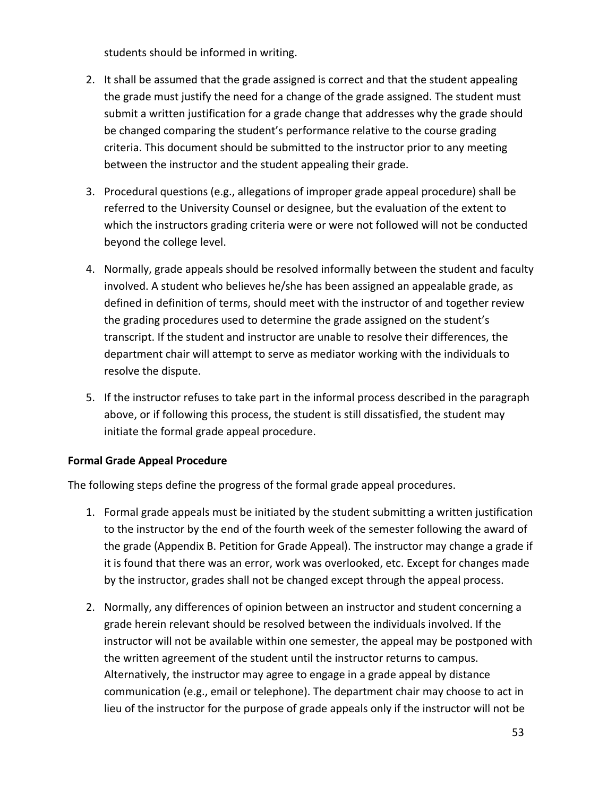students should be informed in writing.

- 2. It shall be assumed that the grade assigned is correct and that the student appealing the grade must justify the need for a change of the grade assigned. The student must submit a written justification for a grade change that addresses why the grade should be changed comparing the student's performance relative to the course grading criteria. This document should be submitted to the instructor prior to any meeting between the instructor and the student appealing their grade.
- 3. Procedural questions (e.g., allegations of improper grade appeal procedure) shall be referred to the University Counsel or designee, but the evaluation of the extent to which the instructors grading criteria were or were not followed will not be conducted beyond the college level.
- 4. Normally, grade appeals should be resolved informally between the student and faculty involved. A student who believes he/she has been assigned an appealable grade, as defined in definition of terms, should meet with the instructor of and together review the grading procedures used to determine the grade assigned on the student's transcript. If the student and instructor are unable to resolve their differences, the department chair will attempt to serve as mediator working with the individuals to resolve the dispute.
- 5. If the instructor refuses to take part in the informal process described in the paragraph above, or if following this process, the student is still dissatisfied, the student may initiate the formal grade appeal procedure.

#### **Formal Grade Appeal Procedure**

The following steps define the progress of the formal grade appeal procedures.

- 1. Formal grade appeals must be initiated by the student submitting a written justification to the instructor by the end of the fourth week of the semester following the award of the grade (Appendix B. Petition for Grade Appeal). The instructor may change a grade if it is found that there was an error, work was overlooked, etc. Except for changes made by the instructor, grades shall not be changed except through the appeal process.
- 2. Normally, any differences of opinion between an instructor and student concerning a grade herein relevant should be resolved between the individuals involved. If the instructor will not be available within one semester, the appeal may be postponed with the written agreement of the student until the instructor returns to campus. Alternatively, the instructor may agree to engage in a grade appeal by distance communication (e.g., email or telephone). The department chair may choose to act in lieu of the instructor for the purpose of grade appeals only if the instructor will not be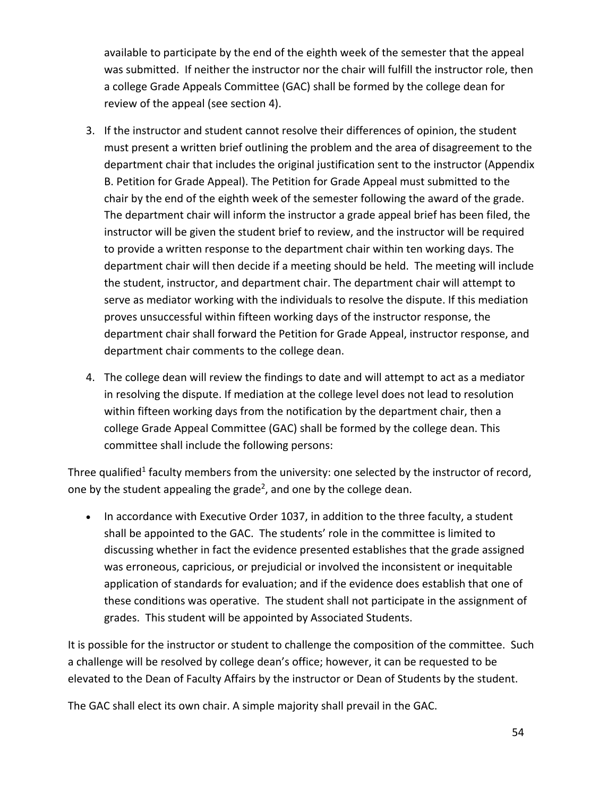available to participate by the end of the eighth week of the semester that the appeal was submitted. If neither the instructor nor the chair will fulfill the instructor role, then a college Grade Appeals Committee (GAC) shall be formed by the college dean for review of the appeal (see section 4).

- 3. If the instructor and student cannot resolve their differences of opinion, the student must present a written brief outlining the problem and the area of disagreement to the department chair that includes the original justification sent to the instructor (Appendix B. Petition for Grade Appeal). The Petition for Grade Appeal must submitted to the chair by the end of the eighth week of the semester following the award of the grade. The department chair will inform the instructor a grade appeal brief has been filed, the instructor will be given the student brief to review, and the instructor will be required to provide a written response to the department chair within ten working days. The department chair will then decide if a meeting should be held. The meeting will include the student, instructor, and department chair. The department chair will attempt to serve as mediator working with the individuals to resolve the dispute. If this mediation proves unsuccessful within fifteen working days of the instructor response, the department chair shall forward the Petition for Grade Appeal, instructor response, and department chair comments to the college dean.
- 4. The college dean will review the findings to date and will attempt to act as a mediator in resolving the dispute. If mediation at the college level does not lead to resolution within fifteen working days from the notification by the department chair, then a college Grade Appeal Committee (GAC) shall be formed by the college dean. This committee shall include the following persons:

Three qualified<sup>1</sup> faculty members from the university: one selected by the instructor of record, one by the student appealing the grade<sup>2</sup>, and one by the college dean.

• In accordance with Executive Order 1037, in addition to the three faculty, a student shall be appointed to the GAC. The students' role in the committee is limited to discussing whether in fact the evidence presented establishes that the grade assigned was erroneous, capricious, or prejudicial or involved the inconsistent or inequitable application of standards for evaluation; and if the evidence does establish that one of these conditions was operative. The student shall not participate in the assignment of grades. This student will be appointed by Associated Students.

It is possible for the instructor or student to challenge the composition of the committee. Such a challenge will be resolved by college dean's office; however, it can be requested to be elevated to the Dean of Faculty Affairs by the instructor or Dean of Students by the student.

The GAC shall elect its own chair. A simple majority shall prevail in the GAC.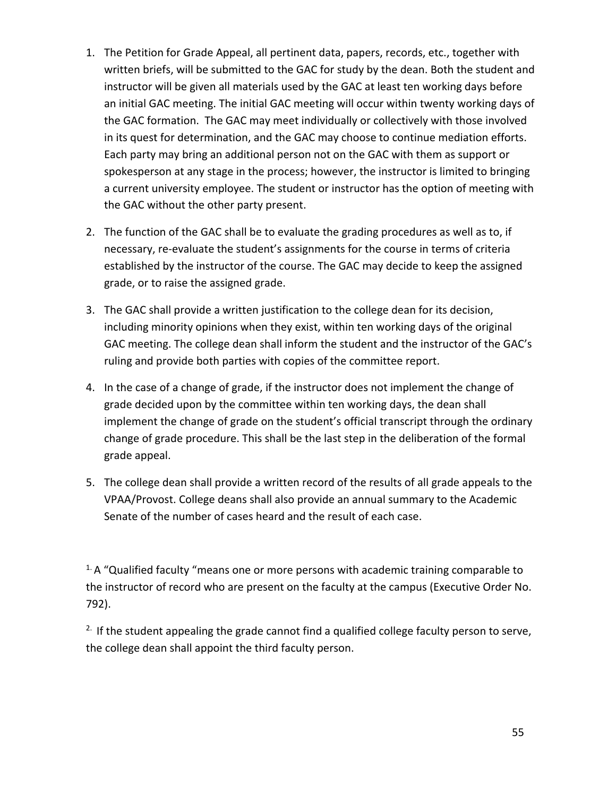- 1. The Petition for Grade Appeal, all pertinent data, papers, records, etc., together with written briefs, will be submitted to the GAC for study by the dean. Both the student and instructor will be given all materials used by the GAC at least ten working days before an initial GAC meeting. The initial GAC meeting will occur within twenty working days of the GAC formation. The GAC may meet individually or collectively with those involved in its quest for determination, and the GAC may choose to continue mediation efforts. Each party may bring an additional person not on the GAC with them as support or spokesperson at any stage in the process; however, the instructor is limited to bringing a current university employee. The student or instructor has the option of meeting with the GAC without the other party present.
- 2. The function of the GAC shall be to evaluate the grading procedures as well as to, if necessary, re-evaluate the student's assignments for the course in terms of criteria established by the instructor of the course. The GAC may decide to keep the assigned grade, or to raise the assigned grade.
- 3. The GAC shall provide a written justification to the college dean for its decision, including minority opinions when they exist, within ten working days of the original GAC meeting. The college dean shall inform the student and the instructor of the GAC's ruling and provide both parties with copies of the committee report.
- 4. In the case of a change of grade, if the instructor does not implement the change of grade decided upon by the committee within ten working days, the dean shall implement the change of grade on the student's official transcript through the ordinary change of grade procedure. This shall be the last step in the deliberation of the formal grade appeal.
- 5. The college dean shall provide a written record of the results of all grade appeals to the VPAA/Provost. College deans shall also provide an annual summary to the Academic Senate of the number of cases heard and the result of each case.

 $1$ . A "Qualified faculty "means one or more persons with academic training comparable to the instructor of record who are present on the faculty at the campus (Executive Order No. 792).

 $2.$  If the student appealing the grade cannot find a qualified college faculty person to serve, the college dean shall appoint the third faculty person.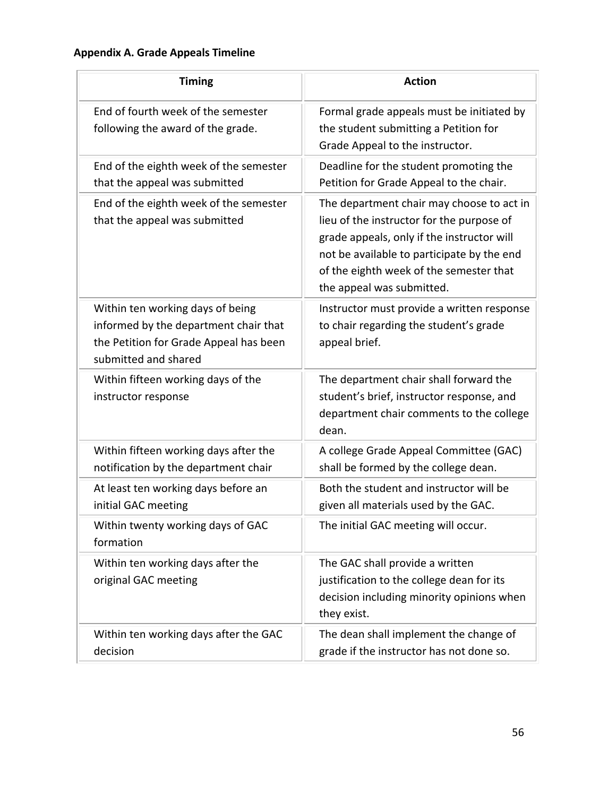## **Appendix A. Grade Appeals Timeline**

| <b>Timing</b>                                                                                                                               | <b>Action</b>                                                                                                                                                                                                                                              |
|---------------------------------------------------------------------------------------------------------------------------------------------|------------------------------------------------------------------------------------------------------------------------------------------------------------------------------------------------------------------------------------------------------------|
| End of fourth week of the semester<br>following the award of the grade.                                                                     | Formal grade appeals must be initiated by<br>the student submitting a Petition for<br>Grade Appeal to the instructor.                                                                                                                                      |
| End of the eighth week of the semester<br>that the appeal was submitted                                                                     | Deadline for the student promoting the<br>Petition for Grade Appeal to the chair.                                                                                                                                                                          |
| End of the eighth week of the semester<br>that the appeal was submitted                                                                     | The department chair may choose to act in<br>lieu of the instructor for the purpose of<br>grade appeals, only if the instructor will<br>not be available to participate by the end<br>of the eighth week of the semester that<br>the appeal was submitted. |
| Within ten working days of being<br>informed by the department chair that<br>the Petition for Grade Appeal has been<br>submitted and shared | Instructor must provide a written response<br>to chair regarding the student's grade<br>appeal brief.                                                                                                                                                      |
| Within fifteen working days of the<br>instructor response                                                                                   | The department chair shall forward the<br>student's brief, instructor response, and<br>department chair comments to the college<br>dean.                                                                                                                   |
| Within fifteen working days after the<br>notification by the department chair                                                               | A college Grade Appeal Committee (GAC)<br>shall be formed by the college dean.                                                                                                                                                                             |
| At least ten working days before an<br>initial GAC meeting                                                                                  | Both the student and instructor will be<br>given all materials used by the GAC.                                                                                                                                                                            |
| Within twenty working days of GAC<br>formation                                                                                              | The initial GAC meeting will occur.                                                                                                                                                                                                                        |
| Within ten working days after the<br>original GAC meeting                                                                                   | The GAC shall provide a written<br>justification to the college dean for its<br>decision including minority opinions when<br>they exist.                                                                                                                   |
| Within ten working days after the GAC<br>decision                                                                                           | The dean shall implement the change of<br>grade if the instructor has not done so.                                                                                                                                                                         |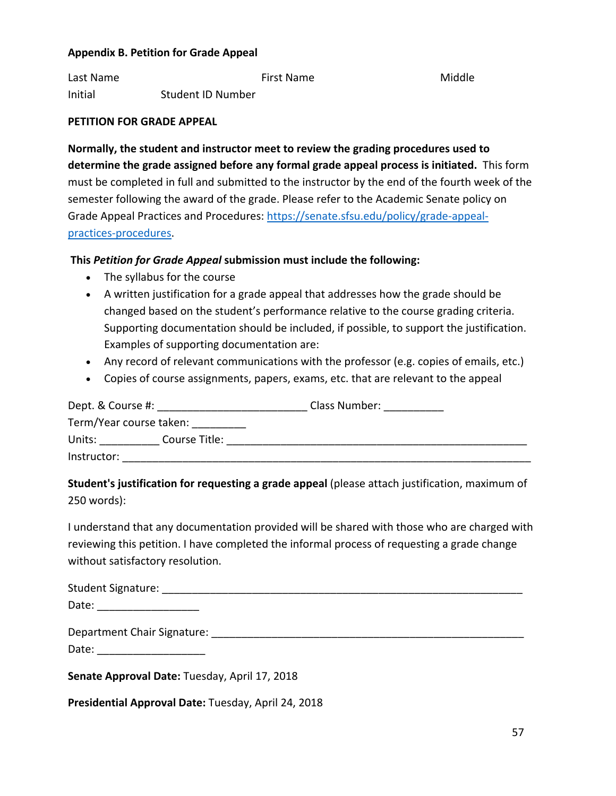#### **Appendix B. Petition for Grade Appeal**

Last Name The Middle Communist Communist Communist Point Communist Point Communist Communist Communist Communist Communist Communist Communist Communist Communist Communist Communist Communist Communist Communist Communist Initial Student ID Number

#### **PETITION FOR GRADE APPEAL**

**Normally, the student and instructor meet to review the grading procedures used to determine the grade assigned before any formal grade appeal process is initiated.** This form must be completed in full and submitted to the instructor by the end of the fourth week of the semester following the award of the grade. Please refer to the Academic Senate policy on Grade Appeal Practices and Procedures: [https://senate.sfsu.edu/policy/grade-appeal](https://senate.sfsu.edu/policy/grade-appeal-practices-procedures)[practices-procedures.](https://senate.sfsu.edu/policy/grade-appeal-practices-procedures)

#### **This** *Petition for Grade Appeal* **submission must include the following:**

- The syllabus for the course
- A written justification for a grade appeal that addresses how the grade should be changed based on the student's performance relative to the course grading criteria. Supporting documentation should be included, if possible, to support the justification. Examples of supporting documentation are:
- Any record of relevant communications with the professor (e.g. copies of emails, etc.)
- Copies of course assignments, papers, exams, etc. that are relevant to the appeal

| Dept. & Course #:       |               | Class Number: |
|-------------------------|---------------|---------------|
| Term/Year course taken: |               |               |
| Units:                  | Course Title: |               |
| Instructor:             |               |               |

## **Student's justification for requesting a grade appeal** (please attach justification, maximum of 250 words):

I understand that any documentation provided will be shared with those who are charged with reviewing this petition. I have completed the informal process of requesting a grade change without satisfactory resolution.

| Student Signature: |  |  |
|--------------------|--|--|
| Date:              |  |  |

| Department Chair Signature: |  |
|-----------------------------|--|
|                             |  |

Date: \_\_\_\_\_\_\_\_\_\_\_\_\_\_\_\_\_\_\_\_\_\_\_\_

**Senate Approval Date:** Tuesday, April 17, 2018

**Presidential Approval Date:** Tuesday, April 24, 2018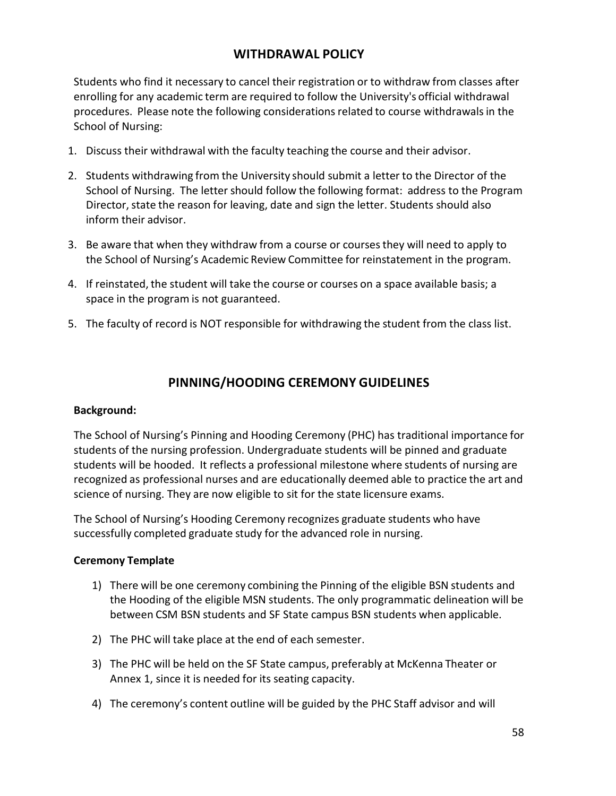## **WITHDRAWAL POLICY**

<span id="page-57-0"></span>Students who find it necessary to cancel their registration or to withdraw from classes after enrolling for any academic term are required to follow the University's official withdrawal procedures. Please note the following considerationsrelated to course withdrawalsin the School of Nursing:

- 1. Discuss their withdrawal with the faculty teaching the course and their advisor.
- 2. Students withdrawing from the University should submit a letter to the Director of the School of Nursing. The letter should follow the following format: address to the Program Director, state the reason for leaving, date and sign the letter. Students should also inform their advisor.
- 3. Be aware that when they withdraw from a course or coursesthey will need to apply to the School of Nursing's Academic Review Committee for reinstatement in the program.
- 4. If reinstated, the student will take the course or courses on a space available basis; a space in the program is not guaranteed.
- 5. The faculty of record is NOT responsible for withdrawing the student from the class list.

## **PINNING/HOODING CEREMONY GUIDELINES**

#### <span id="page-57-1"></span>**Background:**

The School of Nursing's Pinning and Hooding Ceremony (PHC) has traditional importance for students of the nursing profession. Undergraduate students will be pinned and graduate students will be hooded. It reflects a professional milestone where students of nursing are recognized as professional nurses and are educationally deemed able to practice the art and science of nursing. They are now eligible to sit for the state licensure exams.

The School of Nursing's Hooding Ceremony recognizes graduate students who have successfully completed graduate study for the advanced role in nursing.

#### **Ceremony Template**

- 1) There will be one ceremony combining the Pinning of the eligible BSN students and the Hooding of the eligible MSN students. The only programmatic delineation will be between CSM BSN students and SF State campus BSN students when applicable.
- 2) The PHC will take place at the end of each semester.
- 3) The PHC will be held on the SF State campus, preferably at McKenna Theater or Annex 1, since it is needed for its seating capacity.
- 4) The ceremony's content outline will be guided by the PHC Staff advisor and will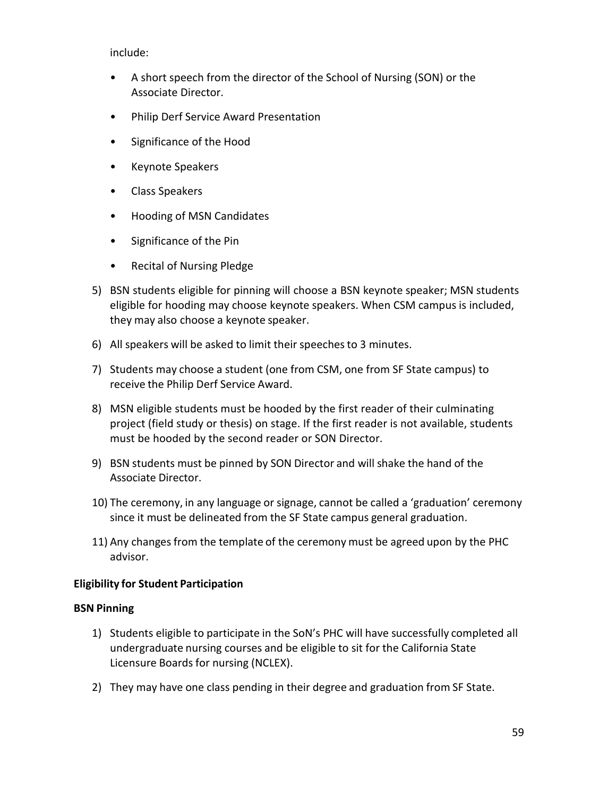include:

- A short speech from the director of the School of Nursing (SON) or the Associate Director.
- Philip Derf Service Award Presentation
- Significance of the Hood
- Keynote Speakers
- Class Speakers
- Hooding of MSN Candidates
- Significance of the Pin
- Recital of Nursing Pledge
- 5) BSN students eligible for pinning will choose a BSN keynote speaker; MSN students eligible for hooding may choose keynote speakers. When CSM campus is included, they may also choose a keynote speaker.
- 6) All speakers will be asked to limit their speechesto 3 minutes.
- 7) Students may choose a student (one from CSM, one from SF State campus) to receive the Philip Derf Service Award.
- 8) MSN eligible students must be hooded by the first reader of their culminating project (field study or thesis) on stage. If the first reader is not available, students must be hooded by the second reader or SON Director.
- 9) BSN students must be pinned by SON Director and will shake the hand of the Associate Director.
- 10) The ceremony, in any language or signage, cannot be called a 'graduation' ceremony since it must be delineated from the SF State campus general graduation.
- 11) Any changes from the template of the ceremony must be agreed upon by the PHC advisor.

#### **Eligibility for Student Participation**

#### **BSN Pinning**

- 1) Students eligible to participate in the SoN's PHC will have successfully completed all undergraduate nursing courses and be eligible to sit for the California State Licensure Boards for nursing (NCLEX).
- 2) They may have one class pending in their degree and graduation from SF State.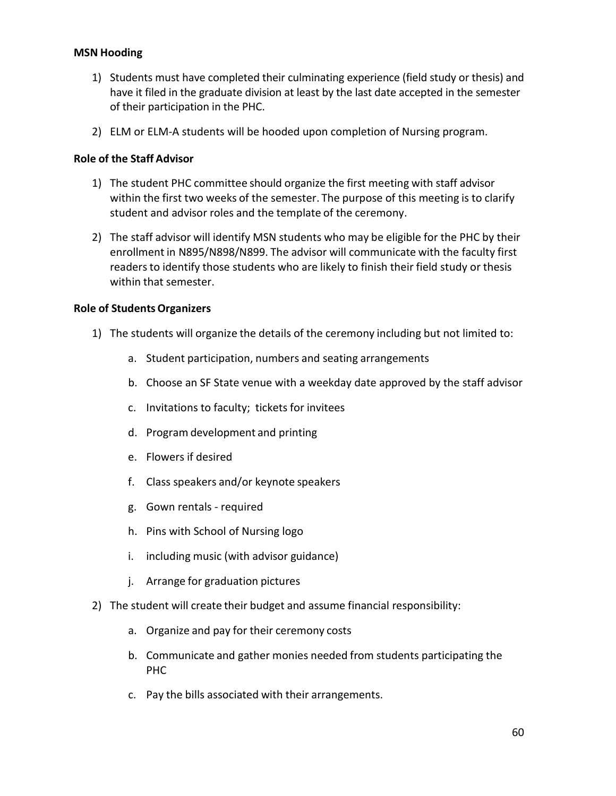#### **MSN Hooding**

- 1) Students must have completed their culminating experience (field study or thesis) and have it filed in the graduate division at least by the last date accepted in the semester of their participation in the PHC.
- 2) ELM or ELM-A students will be hooded upon completion of Nursing program.

#### **Role of the Staff Advisor**

- 1) The student PHC committee should organize the first meeting with staff advisor within the first two weeks of the semester. The purpose of this meeting is to clarify student and advisor roles and the template of the ceremony.
- 2) The staff advisor will identify MSN students who may be eligible for the PHC by their enrollment in N895/N898/N899. The advisor will communicate with the faculty first readers to identify those students who are likely to finish their field study or thesis within that semester.

#### **Role of StudentsOrganizers**

- 1) The students will organize the details of the ceremony including but not limited to:
	- a. Student participation, numbers and seating arrangements
	- b. Choose an SF State venue with a weekday date approved by the staff advisor
	- c. Invitations to faculty; tickets for invitees
	- d. Program development and printing
	- e. Flowers if desired
	- f. Class speakers and/or keynote speakers
	- g. Gown rentals required
	- h. Pins with School of Nursing logo
	- i. including music (with advisor guidance)
	- j. Arrange for graduation pictures
- 2) The student will create their budget and assume financial responsibility:
	- a. Organize and pay for their ceremony costs
	- b. Communicate and gather monies needed from students participating the PHC
	- c. Pay the bills associated with their arrangements.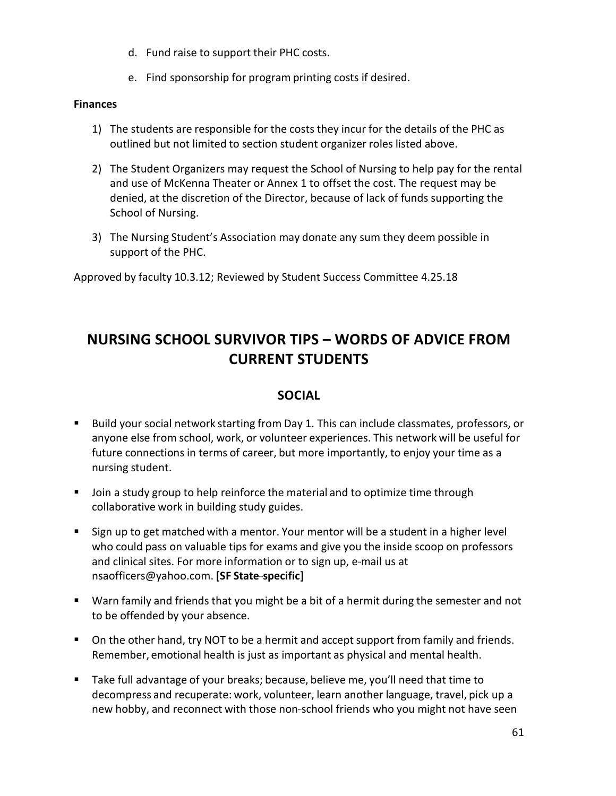- d. Fund raise to support their PHC costs.
- e. Find sponsorship for program printing costs if desired.

#### **Finances**

- 1) The students are responsible for the costs they incur for the details of the PHC as outlined but not limited to section student organizer roles listed above.
- 2) The Student Organizers may request the School of Nursing to help pay for the rental and use of McKenna Theater or Annex 1 to offset the cost. The request may be denied, at the discretion of the Director, because of lack of funds supporting the School of Nursing.
- 3) The Nursing Student's Association may donate any sum they deem possible in support of the PHC.

Approved by faculty 10.3.12; Reviewed by Student Success Committee 4.25.18

## <span id="page-60-0"></span>**NURSING SCHOOL SURVIVOR TIPS – WORDS OF ADVICE FROM CURRENT STUDENTS**

## **SOCIAL**

- <span id="page-60-1"></span> Build your social network starting from Day 1. This can include classmates, professors, or anyone else from school, work, or volunteer experiences. This network will be useful for future connections in terms of career, but more importantly, to enjoy your time as a nursing student.
- **Join a study group to help reinforce the material and to optimize time through** collaborative work in building study guides.
- Sign up to get matched with a mentor. Your mentor will be a student in a higher level who could pass on valuable tips for exams and give you the inside scoop on professors and clinical sites. For more information or to sign up, e-mail us at [nsaofficers@yahoo.com.](mailto:nsaofficers@yahoo.com) **[SF State---specific]**
- Warn family and friends that you might be a bit of a hermit during the semester and not to be offended by your absence.
- On the other hand, try NOT to be a hermit and accept support from family and friends. Remember, emotional health is just as important as physical and mental health.
- Take full advantage of your breaks; because, believe me, you'll need that time to decompress and recuperate: work, volunteer, learn another language, travel, pick up a new hobby, and reconnect with those non-school friends who you might not have seen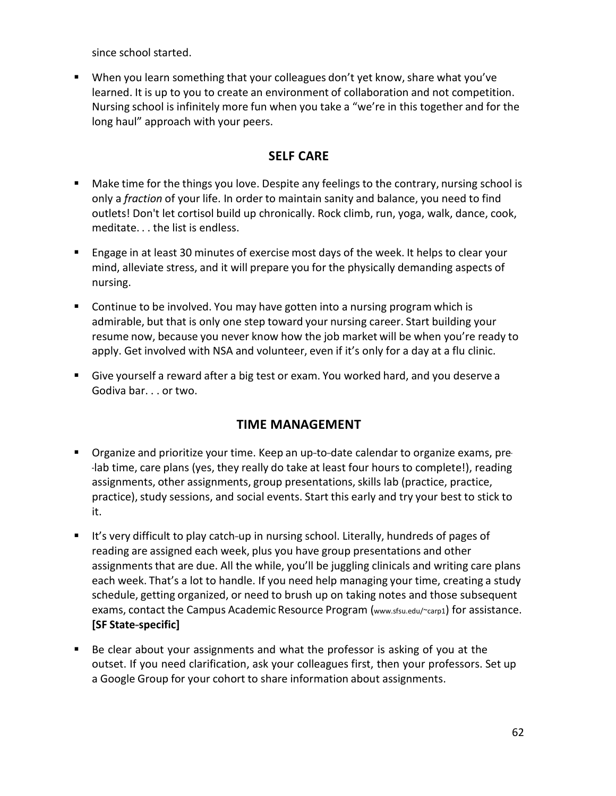since school started.

**When you learn something that your colleagues don't yet know, share what you've** learned. It is up to you to create an environment of collaboration and not competition. Nursing school is infinitely more fun when you take a "we're in this together and for the long haul" approach with your peers.

## **SELF CARE**

- <span id="page-61-0"></span> Make time for the things you love. Despite any feelingsto the contrary, nursing school is only a *fraction* of your life. In order to maintain sanity and balance, you need to find outlets! Don't let cortisol build up chronically. Rock climb, run, yoga, walk, dance, cook, meditate. . . the list is endless.
- Engage in at least 30 minutes of exercise most days of the week. It helps to clear your mind, alleviate stress, and it will prepare you for the physically demanding aspects of nursing.
- **Continue to be involved. You may have gotten into a nursing program which is** admirable, but that is only one step toward your nursing career. Start building your resume now, because you never know how the job market will be when you're ready to apply. Get involved with NSA and volunteer, even if it's only for a day at a flu clinic.
- <span id="page-61-1"></span> Give yourself a reward after a big test or exam. You worked hard, and you deserve a Godiva bar. . . or two.

## **TIME MANAGEMENT**

- **•** Organize and prioritize your time. Keep an up-to-date calendar to organize exams, pre---lab time, care plans (yes, they really do take at least four hours to complete!), reading assignments, other assignments, group presentations, skills lab (practice, practice, practice), study sessions, and social events. Start this early and try your best to stick to it.
- It's very difficult to play catch-up in nursing school. Literally, hundreds of pages of reading are assigned each week, plus you have group presentations and other assignments that are due. All the while, you'll be juggling clinicals and writing care plans each week. That's a lot to handle. If you need help managing your time, creating a study schedule, getting organized, or need to brush up on taking notes and those subsequent exams, contact the Campus Academic Resource Program (www.sfsu.edu/~carp1) for assistance. **[SF State---specific]**
- Be clear about your assignments and what the professor is asking of you at the outset. If you need clarification, ask your colleagues first, then your professors. Set up a Google Group for your cohort to share information about assignments.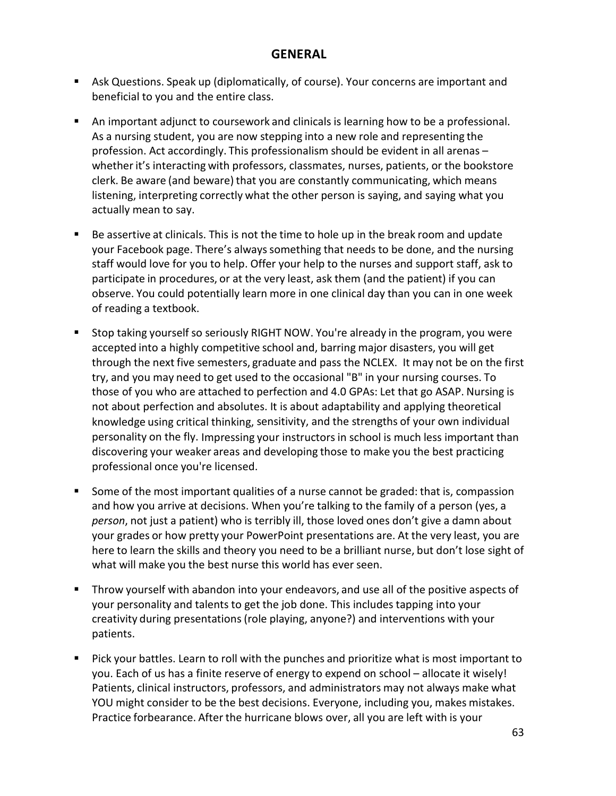### **GENERAL**

- <span id="page-62-0"></span> Ask Questions. Speak up (diplomatically, of course). Your concerns are important and beneficial to you and the entire class.
- An important adjunct to coursework and clinicals is learning how to be a professional. As a nursing student, you are now stepping into a new role and representing the profession. Act accordingly. This professionalism should be evident in all arenas – whether it's interacting with professors, classmates, nurses, patients, or the bookstore clerk. Be aware (and beware) that you are constantly communicating, which means listening, interpreting correctly what the other person is saying, and saying what you actually mean to say.
- Be assertive at clinicals. This is not the time to hole up in the break room and update your Facebook page. There's alwayssomething that needs to be done, and the nursing staff would love for you to help. Offer your help to the nurses and support staff, ask to participate in procedures, or at the very least, ask them (and the patient) if you can observe. You could potentially learn more in one clinical day than you can in one week of reading a textbook.
- Stop taking yourself so seriously RIGHT NOW. You're already in the program, you were accepted into a highly competitive school and, barring major disasters, you will get through the next five semesters, graduate and pass the NCLEX. It may not be on the first try, and you may need to get used to the occasional "B" in your nursing courses. To those of you who are attached to perfection and 4.0 GPAs: Let that go ASAP. Nursing is not about perfection and absolutes. It is about adaptability and applying theoretical knowledge using critical thinking, sensitivity, and the strengths of your own individual personality on the fly. Impressing your instructors in school is much less important than discovering your weaker areas and developing those to make you the best practicing professional once you're licensed.
- Some of the most important qualities of a nurse cannot be graded: that is, compassion and how you arrive at decisions. When you're talking to the family of a person (yes, a *person*, not just a patient) who is terribly ill, those loved ones don't give a damn about your grades or how pretty your PowerPoint presentations are. At the very least, you are here to learn the skills and theory you need to be a brilliant nurse, but don't lose sight of what will make you the best nurse this world has ever seen.
- **Throw yourself with abandon into your endeavors, and use all of the positive aspects of** your personality and talents to get the job done. This includes tapping into your creativity during presentations(role playing, anyone?) and interventions with your patients.
- Pick your battles. Learn to roll with the punches and prioritize what is most important to you. Each of us has a finite reserve of energy to expend on school – allocate it wisely! Patients, clinical instructors, professors, and administrators may not always make what YOU might consider to be the best decisions. Everyone, including you, makes mistakes. Practice forbearance. After the hurricane blows over, all you are left with is your